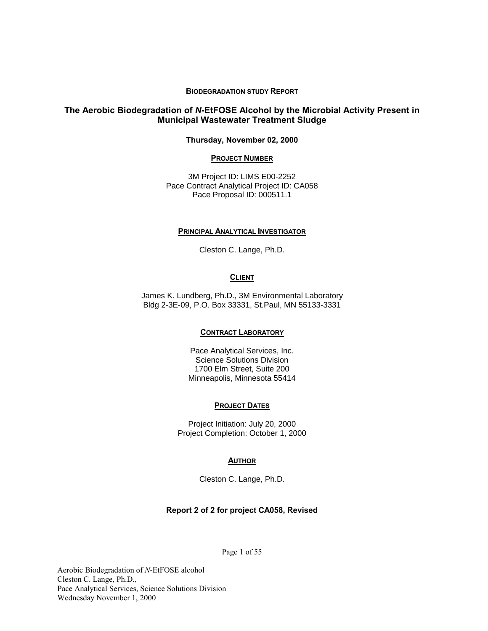#### **BIODEGRADATION STUDY REPORT**

## **The Aerobic Biodegradation of** *N***-EtFOSE Alcohol by the Microbial Activity Present in Municipal Wastewater Treatment Sludge**

#### **Thursday, November 02, 2000**

#### **PROJECT NUMBER**

3M Project ID: LIMS E00-2252 Pace Contract Analytical Project ID: CA058 Pace Proposal ID: 000511.1

#### **PRINCIPAL ANALYTICAL INVESTIGATOR**

Cleston C. Lange, Ph.D.

#### **CLIENT**

James K. Lundberg, Ph.D., 3M Environmental Laboratory Bldg 2-3E-09, P.O. Box 33331, St.Paul, MN 55133-3331

#### **CONTRACT LABORATORY**

Pace Analytical Services, Inc. Science Solutions Division 1700 Elm Street, Suite 200 Minneapolis, Minnesota 55414

#### **PROJECT DATES**

Project Initiation: July 20, 2000 Project Completion: October 1, 2000

#### **AUTHOR**

Cleston C. Lange, Ph.D.

#### **Report 2 of 2 for project CA058, Revised**

Page 1 of 55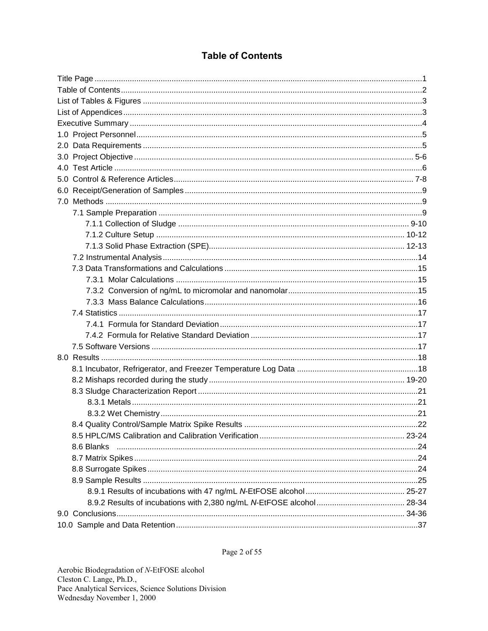## **Table of Contents**

| 8.6 Blanks |  |
|------------|--|
|            |  |
|            |  |
|            |  |
|            |  |
|            |  |
|            |  |
|            |  |

Page 2 of 55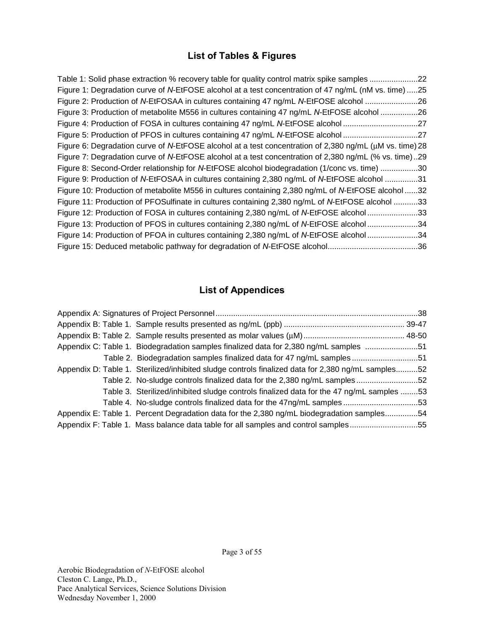## **List of Tables & Figures**

| Table 1: Solid phase extraction % recovery table for quality control matrix spike samples 22            |  |
|---------------------------------------------------------------------------------------------------------|--|
| Figure 1: Degradation curve of N-EtFOSE alcohol at a test concentration of 47 ng/mL (nM vs. time) 25    |  |
| Figure 2: Production of N-EtFOSAA in cultures containing 47 ng/mL N-EtFOSE alcohol 26                   |  |
| Figure 3: Production of metabolite M556 in cultures containing 47 ng/mL N-EtFOSE alcohol 26             |  |
| Figure 4: Production of FOSA in cultures containing 47 ng/mL N-EtFOSE alcohol 27                        |  |
| Figure 5: Production of PFOS in cultures containing 47 ng/mL N-EtFOSE alcohol 27                        |  |
| Figure 6: Degradation curve of N-EtFOSE alcohol at a test concentration of 2,380 ng/mL (μM vs. time) 28 |  |
| Figure 7: Degradation curve of N-EtFOSE alcohol at a test concentration of 2,380 ng/mL (% vs. time)29   |  |
| Figure 8: Second-Order relationship for N-EtFOSE alcohol biodegradation (1/conc vs. time) 30            |  |
| Figure 9: Production of N-EtFOSAA in cultures containing 2,380 ng/mL of N-EtFOSE alcohol 31             |  |
| Figure 10: Production of metabolite M556 in cultures containing 2,380 ng/mL of N-EtFOSE alcohol 32      |  |
| Figure 11: Production of PFOSulfinate in cultures containing 2,380 ng/mL of N-EtFOSE alcohol 33         |  |
| Figure 12: Production of FOSA in cultures containing 2,380 ng/mL of N-EtFOSE alcohol 33                 |  |
| Figure 13: Production of PFOS in cultures containing 2,380 ng/mL of N-EtFOSE alcohol 34                 |  |
| Figure 14: Production of PFOA in cultures containing 2,380 ng/mL of N-EtFOSE alcohol 34                 |  |
|                                                                                                         |  |

## **List of Appendices**

| Appendix C: Table 1. Biodegradation samples finalized data for 2,380 ng/mL samples 51              |  |
|----------------------------------------------------------------------------------------------------|--|
| Table 2. Biodegradation samples finalized data for 47 ng/mL samples 51                             |  |
| Appendix D: Table 1. Sterilized/inhibited sludge controls finalized data for 2,380 ng/mL samples52 |  |
| Table 2. No-sludge controls finalized data for the 2,380 ng/mL samples 52                          |  |
| Table 3. Sterilized/inhibited sludge controls finalized data for the 47 ng/mL samples 53           |  |
| Table 4. No-sludge controls finalized data for the 47ng/mL samples 53                              |  |
| Appendix E: Table 1. Percent Degradation data for the 2,380 ng/mL biodegradation samples54         |  |
| Appendix F: Table 1. Mass balance data table for all samples and control samples55                 |  |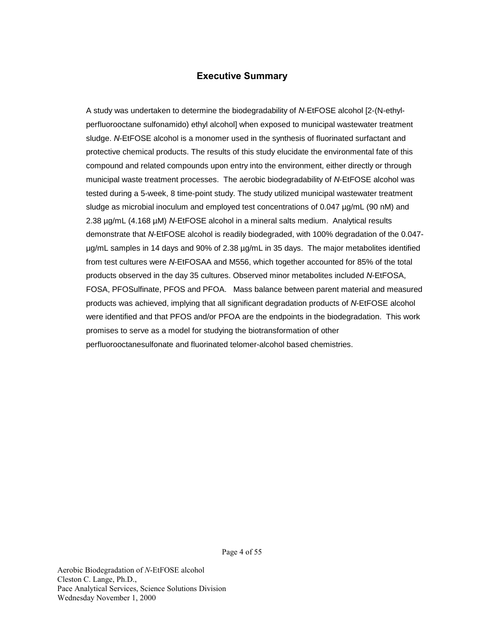## **Executive Summary**

A study was undertaken to determine the biodegradability of *N*-EtFOSE alcohol [2-(N-ethylperfluorooctane sulfonamido) ethyl alcohol] when exposed to municipal wastewater treatment sludge. *N*-EtFOSE alcohol is a monomer used in the synthesis of fluorinated surfactant and protective chemical products. The results of this study elucidate the environmental fate of this compound and related compounds upon entry into the environment, either directly or through municipal waste treatment processes. The aerobic biodegradability of *N*-EtFOSE alcohol was tested during a 5-week, 8 time-point study. The study utilized municipal wastewater treatment sludge as microbial inoculum and employed test concentrations of 0.047 µg/mL (90 nM) and 2.38 µg/mL (4.168 µM) *N*-EtFOSE alcohol in a mineral salts medium. Analytical results demonstrate that *N*-EtFOSE alcohol is readily biodegraded, with 100% degradation of the 0.047 µg/mL samples in 14 days and 90% of 2.38 µg/mL in 35 days. The major metabolites identified from test cultures were *N*-EtFOSAA and M556, which together accounted for 85% of the total products observed in the day 35 cultures. Observed minor metabolites included *N*-EtFOSA, FOSA, PFOSulfinate, PFOS and PFOA. Mass balance between parent material and measured products was achieved, implying that all significant degradation products of *N*-EtFOSE alcohol were identified and that PFOS and/or PFOA are the endpoints in the biodegradation. This work promises to serve as a model for studying the biotransformation of other perfluorooctanesulfonate and fluorinated telomer-alcohol based chemistries.

Page 4 of 55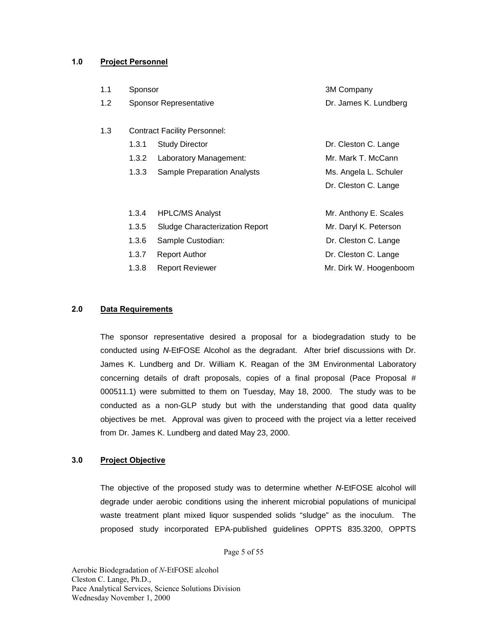## **1.0 Project Personnel**

| 1.1 | Sponsor |                                     | 3M Company             |
|-----|---------|-------------------------------------|------------------------|
| 1.2 |         | <b>Sponsor Representative</b>       | Dr. James K. Lundberg  |
|     |         |                                     |                        |
| 1.3 |         | <b>Contract Facility Personnel:</b> |                        |
|     | 1.3.1   | <b>Study Director</b>               | Dr. Cleston C. Lange   |
|     | 1.3.2   | Laboratory Management:              | Mr. Mark T. McCann     |
|     | 1.3.3   | <b>Sample Preparation Analysts</b>  | Ms. Angela L. Schuler  |
|     |         |                                     | Dr. Cleston C. Lange   |
|     |         |                                     |                        |
|     | 1.3.4   | <b>HPLC/MS Analyst</b>              | Mr. Anthony E. Scales  |
|     | 1.3.5   | Sludge Characterization Report      | Mr. Daryl K. Peterson  |
|     | 1.3.6   | Sample Custodian:                   | Dr. Cleston C. Lange   |
|     | 1.3.7   | <b>Report Author</b>                | Dr. Cleston C. Lange   |
|     | 1.3.8   | <b>Report Reviewer</b>              | Mr. Dirk W. Hoogenboom |
|     |         |                                     |                        |

## **2.0 Data Requirements**

The sponsor representative desired a proposal for a biodegradation study to be conducted using *N*-EtFOSE Alcohol as the degradant. After brief discussions with Dr. James K. Lundberg and Dr. William K. Reagan of the 3M Environmental Laboratory concerning details of draft proposals, copies of a final proposal (Pace Proposal # 000511.1) were submitted to them on Tuesday, May 18, 2000. The study was to be conducted as a non-GLP study but with the understanding that good data quality objectives be met. Approval was given to proceed with the project via a letter received from Dr. James K. Lundberg and dated May 23, 2000.

## **3.0 Project Objective**

The objective of the proposed study was to determine whether *N*-EtFOSE alcohol will degrade under aerobic conditions using the inherent microbial populations of municipal waste treatment plant mixed liquor suspended solids "sludge" as the inoculum. The proposed study incorporated EPA-published guidelines OPPTS 835.3200, OPPTS

Page 5 of 55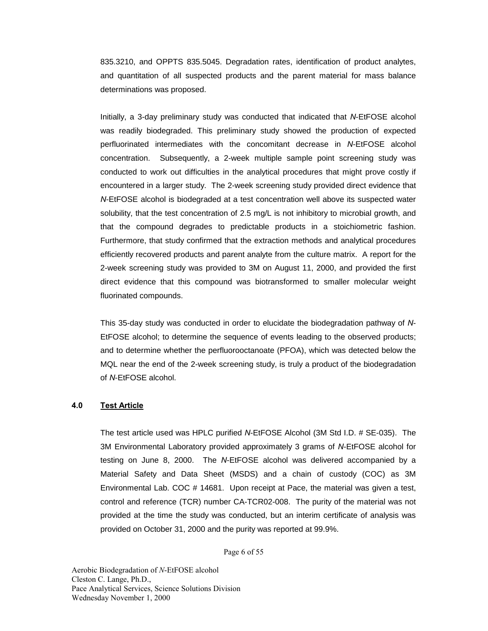835.3210, and OPPTS 835.5045. Degradation rates, identification of product analytes, and quantitation of all suspected products and the parent material for mass balance determinations was proposed.

Initially, a 3-day preliminary study was conducted that indicated that *N*-EtFOSE alcohol was readily biodegraded. This preliminary study showed the production of expected perfluorinated intermediates with the concomitant decrease in *N*-EtFOSE alcohol concentration. Subsequently, a 2-week multiple sample point screening study was conducted to work out difficulties in the analytical procedures that might prove costly if encountered in a larger study. The 2-week screening study provided direct evidence that *N*-EtFOSE alcohol is biodegraded at a test concentration well above its suspected water solubility, that the test concentration of 2.5 mg/L is not inhibitory to microbial growth, and that the compound degrades to predictable products in a stoichiometric fashion. Furthermore, that study confirmed that the extraction methods and analytical procedures efficiently recovered products and parent analyte from the culture matrix. A report for the 2-week screening study was provided to 3M on August 11, 2000, and provided the first direct evidence that this compound was biotransformed to smaller molecular weight fluorinated compounds.

This 35-day study was conducted in order to elucidate the biodegradation pathway of *N*-EtFOSE alcohol; to determine the sequence of events leading to the observed products; and to determine whether the perfluorooctanoate (PFOA), which was detected below the MQL near the end of the 2-week screening study, is truly a product of the biodegradation of *N*-EtFOSE alcohol.

### **4.0 Test Article**

The test article used was HPLC purified *N*-EtFOSE Alcohol (3M Std I.D. # SE-035). The 3M Environmental Laboratory provided approximately 3 grams of *N*-EtFOSE alcohol for testing on June 8, 2000. The *N*-EtFOSE alcohol was delivered accompanied by a Material Safety and Data Sheet (MSDS) and a chain of custody (COC) as 3M Environmental Lab. COC # 14681. Upon receipt at Pace, the material was given a test, control and reference (TCR) number CA-TCR02-008. The purity of the material was not provided at the time the study was conducted, but an interim certificate of analysis was provided on October 31, 2000 and the purity was reported at 99.9%.

Page 6 of 55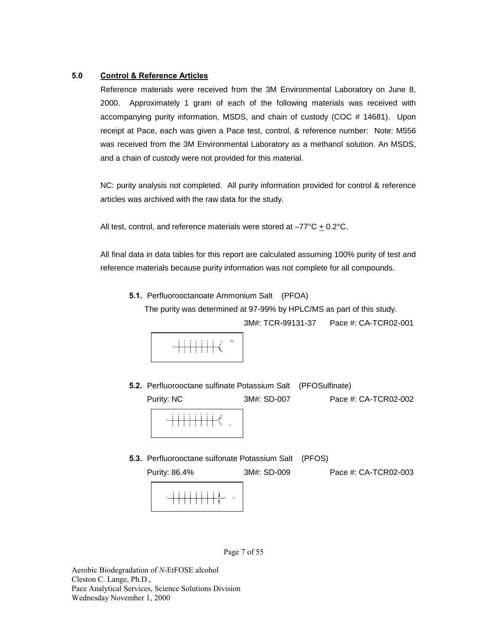### **5.0 Control & Reference Articles**

Reference materials were received from the 3M Environmental Laboratory on June 8, 2000. Approximately 1 gram of each of the following materials was received with accompanying purity information, MSDS, and chain of custody (COC # 14681). Upon receipt at Pace, each was given a Pace test, control, & reference number: Note: M556 was received from the 3M Environmental Laboratory as a methanol solution. An MSDS, and a chain of custody were not provided for this material.

NC: purity analysis not completed. All purity information provided for control & reference articles was archived with the raw data for the study.

All test, control, and reference materials were stored at  $-77^{\circ}C \pm 0.2^{\circ}C$ .

All final data in data tables for this report are calculated assuming 100% purity of test and reference materials because purity information was not complete for all compounds.

**5.1.** Perfluorooctanoate Ammonium Salt (PFOA)

The purity was determined at 97-99% by HPLC/MS as part of this study.

3M#: TCR-99131-37 Pace #: CA-TCR02-001



**5.2.** Perfluorooctane sulfinate Potassium Salt (PFOSulfinate)



**5.3.** Perfluorooctane sulfonate Potassium Salt (PFOS)

F

O

O-K+

F

F

F

F

F F

F

F



Page 7 of 55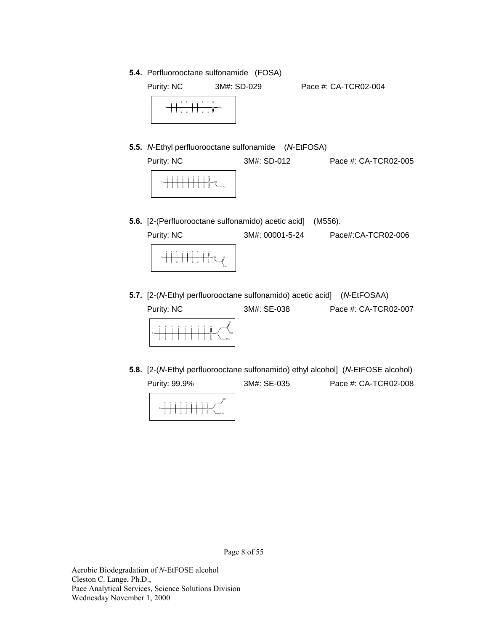**5.4.** Perfluorooctane sulfonamide (FOSA)



- **5.5.** *N*-Ethyl perfluorooctane sulfonamide (*N*-EtFOSA) Purity: NC 3M#: SD-012 Pace #: CA-TCR02-005 F F F F F F F F F F F F F F F F 8  $-$  CH3  $s$  — NH F F F F F
- **5.6.** [2-(Perfluorooctane sulfonamido) acetic acid] (M556).
	- Purity: NC 3M#: 00001-5-24 Pace#:CA-TCR02-006 F F F F F F F F  $s$  -  $N$ H F F OH O
- **5.7.** [2-(*N*-Ethyl perfluorooctane sulfonamido) acetic acid] (*N*-EtFOSAA)

Purity: NC 3M#: SE-038 Pace #: CA-TCR02-007



**5.8.** [2-(*N*-Ethyl perfluorooctane sulfonamido) ethyl alcohol] (*N*-EtFOSE alcohol) Purity: 99.9% 3M#: SE-035 Pace #: CA-TCR02-008



Page 8 of 55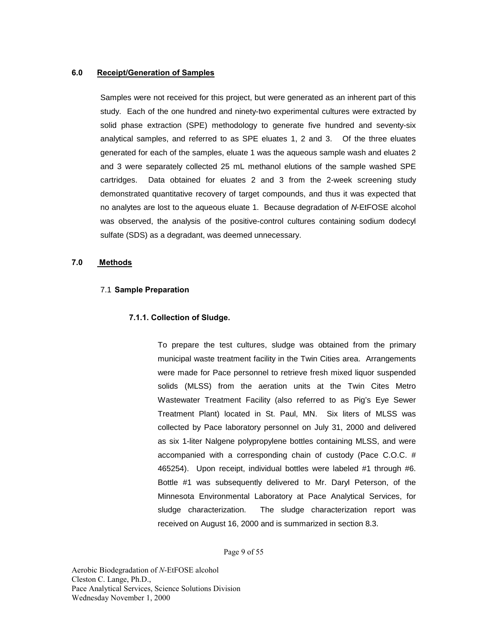#### **6.0 Receipt/Generation of Samples**

Samples were not received for this project, but were generated as an inherent part of this study. Each of the one hundred and ninety-two experimental cultures were extracted by solid phase extraction (SPE) methodology to generate five hundred and seventy-six analytical samples, and referred to as SPE eluates 1, 2 and 3. Of the three eluates generated for each of the samples, eluate 1 was the aqueous sample wash and eluates 2 and 3 were separately collected 25 mL methanol elutions of the sample washed SPE cartridges. Data obtained for eluates 2 and 3 from the 2-week screening study demonstrated quantitative recovery of target compounds, and thus it was expected that no analytes are lost to the aqueous eluate 1. Because degradation of *N*-EtFOSE alcohol was observed, the analysis of the positive-control cultures containing sodium dodecyl sulfate (SDS) as a degradant, was deemed unnecessary.

#### **7.0 Methods**

#### 7.1 **Sample Preparation**

#### **7.1.1. Collection of Sludge.**

To prepare the test cultures, sludge was obtained from the primary municipal waste treatment facility in the Twin Cities area. Arrangements were made for Pace personnel to retrieve fresh mixed liquor suspended solids (MLSS) from the aeration units at the Twin Cites Metro Wastewater Treatment Facility (also referred to as Pig's Eye Sewer Treatment Plant) located in St. Paul, MN. Six liters of MLSS was collected by Pace laboratory personnel on July 31, 2000 and delivered as six 1-liter Nalgene polypropylene bottles containing MLSS, and were accompanied with a corresponding chain of custody (Pace C.O.C. # 465254). Upon receipt, individual bottles were labeled #1 through #6. Bottle #1 was subsequently delivered to Mr. Daryl Peterson, of the Minnesota Environmental Laboratory at Pace Analytical Services, for sludge characterization. The sludge characterization report was received on August 16, 2000 and is summarized in section 8.3.

Page 9 of 55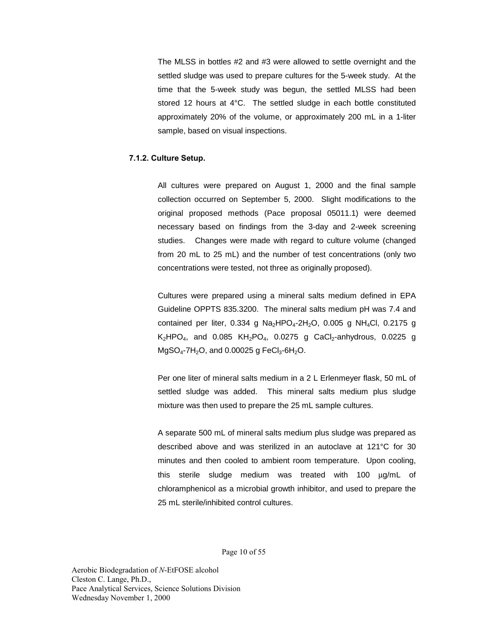The MLSS in bottles #2 and #3 were allowed to settle overnight and the settled sludge was used to prepare cultures for the 5-week study. At the time that the 5-week study was begun, the settled MLSS had been stored 12 hours at 4°C. The settled sludge in each bottle constituted approximately 20% of the volume, or approximately 200 mL in a 1-liter sample, based on visual inspections.

### **7.1.2. Culture Setup.**

All cultures were prepared on August 1, 2000 and the final sample collection occurred on September 5, 2000. Slight modifications to the original proposed methods (Pace proposal 05011.1) were deemed necessary based on findings from the 3-day and 2-week screening studies. Changes were made with regard to culture volume (changed from 20 mL to 25 mL) and the number of test concentrations (only two concentrations were tested, not three as originally proposed).

Cultures were prepared using a mineral salts medium defined in EPA Guideline OPPTS 835.3200. The mineral salts medium pH was 7.4 and contained per liter,  $0.334$  g Na<sub>2</sub>HPO<sub>4</sub>-2H<sub>2</sub>O,  $0.005$  g NH<sub>4</sub>Cl,  $0.2175$  g  $K_2HPO_4$ , and 0.085  $KH_2PO_4$ , 0.0275 g CaCl<sub>2</sub>-anhydrous, 0.0225 g  $MgSO_4$ -7H<sub>2</sub>O, and 0.00025 g FeCl<sub>3</sub>-6H<sub>2</sub>O.

Per one liter of mineral salts medium in a 2 L Erlenmeyer flask, 50 mL of settled sludge was added. This mineral salts medium plus sludge mixture was then used to prepare the 25 mL sample cultures.

A separate 500 mL of mineral salts medium plus sludge was prepared as described above and was sterilized in an autoclave at 121°C for 30 minutes and then cooled to ambient room temperature. Upon cooling, this sterile sludge medium was treated with 100 µg/mL of chloramphenicol as a microbial growth inhibitor, and used to prepare the 25 mL sterile/inhibited control cultures.

Page 10 of 55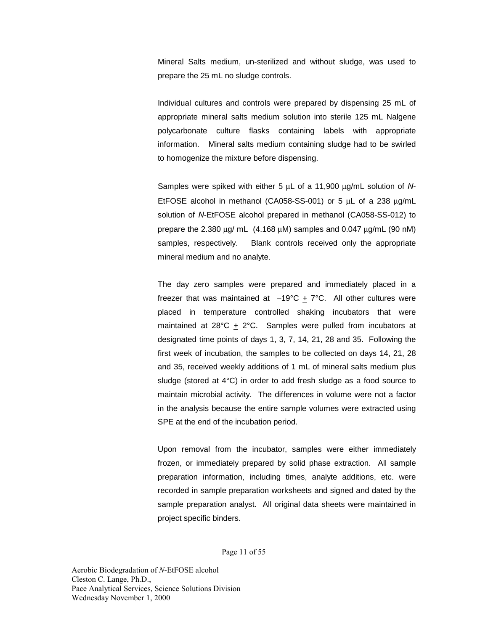Mineral Salts medium, un-sterilized and without sludge, was used to prepare the 25 mL no sludge controls.

Individual cultures and controls were prepared by dispensing 25 mL of appropriate mineral salts medium solution into sterile 125 mL Nalgene polycarbonate culture flasks containing labels with appropriate information. Mineral salts medium containing sludge had to be swirled to homogenize the mixture before dispensing.

Samples were spiked with either 5 µL of a 11,900 µg/mL solution of *N*-EtFOSE alcohol in methanol (CA058-SS-001) or 5 µL of a 238 µg/mL solution of *N*-EtFOSE alcohol prepared in methanol (CA058-SS-012) to prepare the 2.380  $\mu$ g/ mL (4.168  $\mu$ M) samples and 0.047  $\mu$ g/mL (90 nM) samples, respectively. Blank controls received only the appropriate mineral medium and no analyte.

The day zero samples were prepared and immediately placed in a freezer that was maintained at  $-19^{\circ}C + 7^{\circ}C$ . All other cultures were placed in temperature controlled shaking incubators that were maintained at 28°C + 2°C. Samples were pulled from incubators at designated time points of days 1, 3, 7, 14, 21, 28 and 35. Following the first week of incubation, the samples to be collected on days 14, 21, 28 and 35, received weekly additions of 1 mL of mineral salts medium plus sludge (stored at 4°C) in order to add fresh sludge as a food source to maintain microbial activity. The differences in volume were not a factor in the analysis because the entire sample volumes were extracted using SPE at the end of the incubation period.

Upon removal from the incubator, samples were either immediately frozen, or immediately prepared by solid phase extraction. All sample preparation information, including times, analyte additions, etc. were recorded in sample preparation worksheets and signed and dated by the sample preparation analyst. All original data sheets were maintained in project specific binders.

Page 11 of 55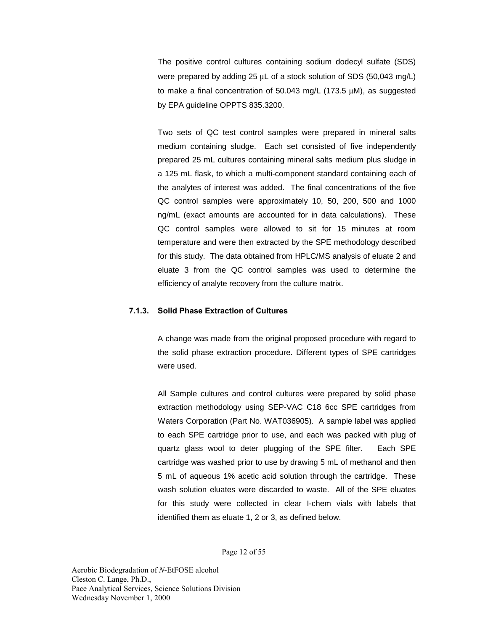The positive control cultures containing sodium dodecyl sulfate (SDS) were prepared by adding 25 µL of a stock solution of SDS (50,043 mg/L) to make a final concentration of 50.043 mg/L (173.5 µM), as suggested by EPA guideline OPPTS 835.3200.

Two sets of QC test control samples were prepared in mineral salts medium containing sludge. Each set consisted of five independently prepared 25 mL cultures containing mineral salts medium plus sludge in a 125 mL flask, to which a multi-component standard containing each of the analytes of interest was added. The final concentrations of the five QC control samples were approximately 10, 50, 200, 500 and 1000 ng/mL (exact amounts are accounted for in data calculations). These QC control samples were allowed to sit for 15 minutes at room temperature and were then extracted by the SPE methodology described for this study. The data obtained from HPLC/MS analysis of eluate 2 and eluate 3 from the QC control samples was used to determine the efficiency of analyte recovery from the culture matrix.

## **7.1.3. Solid Phase Extraction of Cultures**

A change was made from the original proposed procedure with regard to the solid phase extraction procedure. Different types of SPE cartridges were used.

All Sample cultures and control cultures were prepared by solid phase extraction methodology using SEP-VAC C18 6cc SPE cartridges from Waters Corporation (Part No. WAT036905). A sample label was applied to each SPE cartridge prior to use, and each was packed with plug of quartz glass wool to deter plugging of the SPE filter. Each SPE cartridge was washed prior to use by drawing 5 mL of methanol and then 5 mL of aqueous 1% acetic acid solution through the cartridge. These wash solution eluates were discarded to waste. All of the SPE eluates for this study were collected in clear I-chem vials with labels that identified them as eluate 1, 2 or 3, as defined below.

Page 12 of 55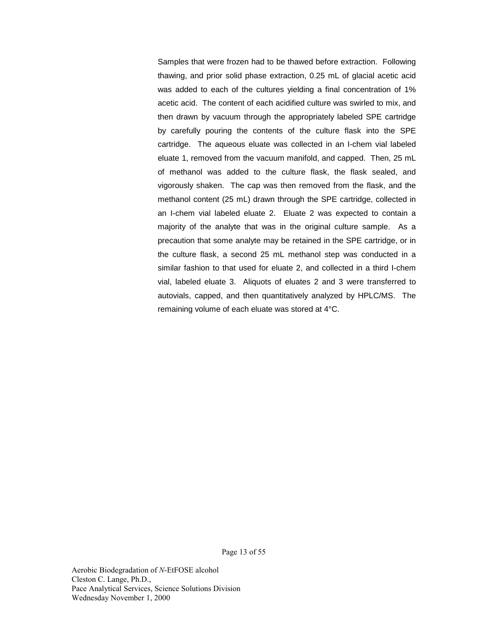Samples that were frozen had to be thawed before extraction. Following thawing, and prior solid phase extraction, 0.25 mL of glacial acetic acid was added to each of the cultures yielding a final concentration of 1% acetic acid. The content of each acidified culture was swirled to mix, and then drawn by vacuum through the appropriately labeled SPE cartridge by carefully pouring the contents of the culture flask into the SPE cartridge. The aqueous eluate was collected in an I-chem vial labeled eluate 1, removed from the vacuum manifold, and capped. Then, 25 mL of methanol was added to the culture flask, the flask sealed, and vigorously shaken. The cap was then removed from the flask, and the methanol content (25 mL) drawn through the SPE cartridge, collected in an I-chem vial labeled eluate 2. Eluate 2 was expected to contain a majority of the analyte that was in the original culture sample. As a precaution that some analyte may be retained in the SPE cartridge, or in the culture flask, a second 25 mL methanol step was conducted in a similar fashion to that used for eluate 2, and collected in a third I-chem vial, labeled eluate 3. Aliquots of eluates 2 and 3 were transferred to autovials, capped, and then quantitatively analyzed by HPLC/MS. The remaining volume of each eluate was stored at 4°C.

Page 13 of 55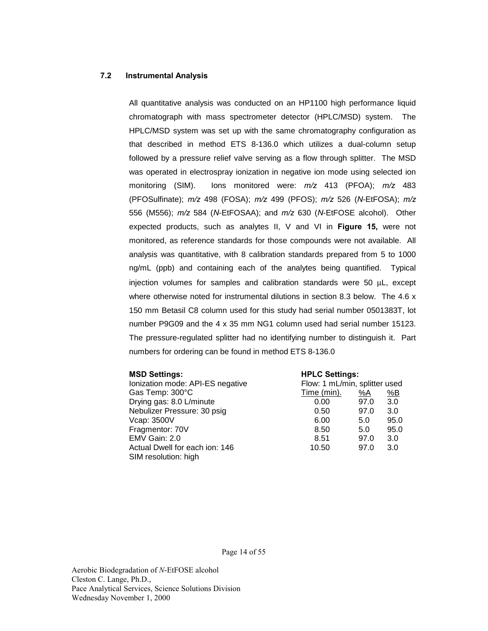### **7.2 Instrumental Analysis**

All quantitative analysis was conducted on an HP1100 high performance liquid chromatograph with mass spectrometer detector (HPLC/MSD) system. The HPLC/MSD system was set up with the same chromatography configuration as that described in method ETS 8-136.0 which utilizes a dual-column setup followed by a pressure relief valve serving as a flow through splitter. The MSD was operated in electrospray ionization in negative ion mode using selected ion monitoring (SIM). Ions monitored were: *m/z* 413 (PFOA); *m/z* 483 (PFOSulfinate); *m/z* 498 (FOSA); *m/z* 499 (PFOS); *m/z* 526 (*N*-EtFOSA); *m/z* 556 (M556); *m/z* 584 (*N*-EtFOSAA); and *m/z* 630 (*N*-EtFOSE alcohol). Other expected products, such as analytes II, V and VI in **Figure 15,** were not monitored, as reference standards for those compounds were not available. All analysis was quantitative, with 8 calibration standards prepared from 5 to 1000 ng/mL (ppb) and containing each of the analytes being quantified. Typical injection volumes for samples and calibration standards were 50 µL, except where otherwise noted for instrumental dilutions in section 8.3 below. The 4.6 x 150 mm Betasil C8 column used for this study had serial number 0501383T, lot number P9G09 and the 4 x 35 mm NG1 column used had serial number 15123. The pressure-regulated splitter had no identifying number to distinguish it. Part numbers for ordering can be found in method ETS 8-136.0

| <b>MSD Settings:</b>                                   | <b>HPLC Settings:</b>         |           |      |
|--------------------------------------------------------|-------------------------------|-----------|------|
| Ionization mode: API-ES negative                       | Flow: 1 mL/min, splitter used |           |      |
| Gas Temp: 300°C                                        | Time (min).                   | <u>%A</u> | %B   |
| Drying gas: 8.0 L/minute                               | 0.00                          | 97.0      | 3.0  |
| Nebulizer Pressure: 30 psig                            | 0.50                          | 97.0      | 3.0  |
| Vcap: 3500V                                            | 6.00                          | 5.0       | 95.0 |
| Fragmentor: 70V                                        | 8.50                          | 5.0       | 95.0 |
| EMV Gain: 2.0                                          | 8.51                          | 97.0      | 3.0  |
| Actual Dwell for each ion: 146<br>SIM resolution: high | 10.50                         | 97.0      | 3.0  |

Page 14 of 55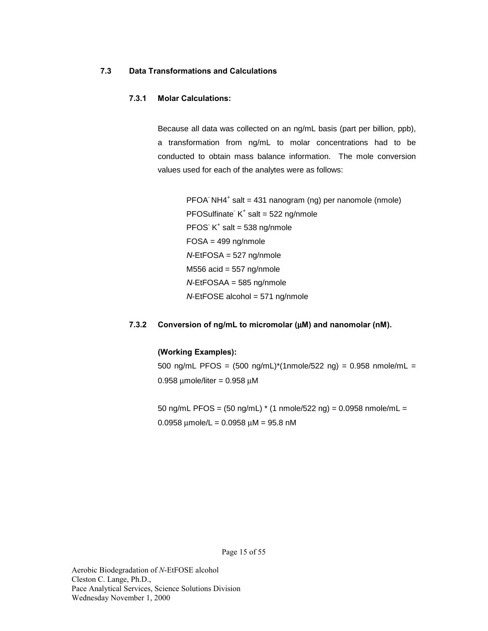### **7.3 Data Transformations and Calculations**

## **7.3.1 Molar Calculations:**

Because all data was collected on an ng/mL basis (part per billion, ppb), a transformation from ng/mL to molar concentrations had to be conducted to obtain mass balance information. The mole conversion values used for each of the analytes were as follows:

 PFOA- NH4+ salt = 431 nanogram (ng) per nanomole (nmole)  $PFOSulfinate K<sup>+</sup> salt = 522 ng/nmole$  $PFOS K<sup>+</sup> salt = 538 ng/nmole$  $FOSA = 499$  ng/nmole *N*-EtFOSA = 527 ng/nmole M556 acid =  $557$  ng/nmole *N*-EtFOSAA = 585 ng/nmole *N*-EtFOSE alcohol = 571 ng/nmole

## **7.3.2 Conversion of ng/mL to micromolar (**µ**M) and nanomolar (nM).**

#### **(Working Examples):**

500 ng/mL PFOS = (500 ng/mL)\*(1nmole/522 ng) = 0.958 nmole/mL =  $0.958$  µmole/liter =  $0.958$  µM

50 ng/mL PFOS = (50 ng/mL) \* (1 nmole/522 ng) = 0.0958 nmole/mL =  $0.0958 \mu$ mole/L =  $0.0958 \mu$ M =  $95.8 \mu$ M

Page 15 of 55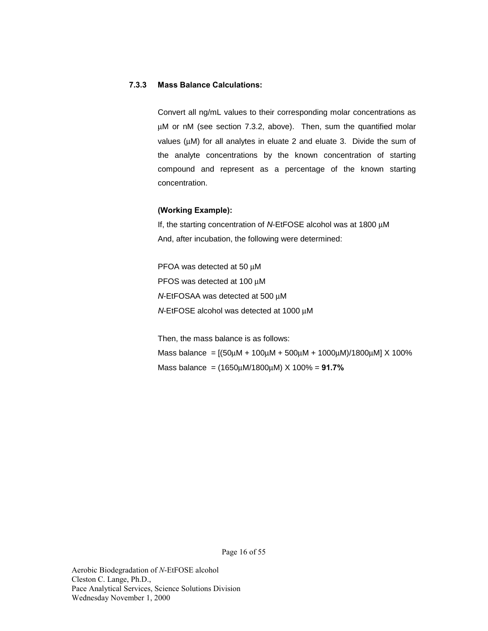## **7.3.3 Mass Balance Calculations:**

Convert all ng/mL values to their corresponding molar concentrations as µM or nM (see section 7.3.2, above). Then, sum the quantified molar values (µM) for all analytes in eluate 2 and eluate 3. Divide the sum of the analyte concentrations by the known concentration of starting compound and represent as a percentage of the known starting concentration.

#### **(Working Example):**

If, the starting concentration of *N*-EtFOSE alcohol was at 1800 µM And, after incubation, the following were determined:

PFOA was detected at 50 µM PFOS was detected at 100 µM *N*-EtFOSAA was detected at 500 µM *N*-EtFOSE alcohol was detected at 1000 µM

 Then, the mass balance is as follows: Mass balance =  $[(50\mu M + 100\mu M + 500\mu M + 1000\mu M)/1800\mu M]$  X 100% Mass balance = (1650µM/1800µM) X 100% = **91.7%**

Page 16 of 55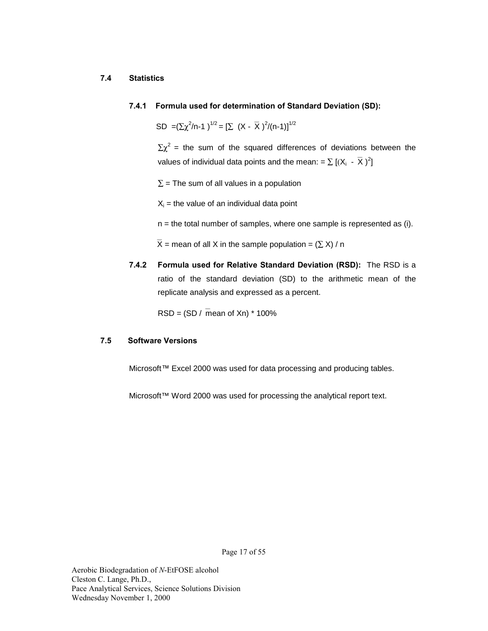#### **7.4 Statistics**

### **7.4.1 Formula used for determination of Standard Deviation (SD):**

SD = $(\Sigma \chi^2/n-1)^{1/2} = [\Sigma (X - \overline{X})^2/(n-1)]^{1/2}$ 

 $\Sigma \chi^2$  = the sum of the squared differences of deviations between the values of individual data points and the mean: =  $\sum [(X_i - \overline{X})^2]$ 

 $\Sigma$  = The sum of all values in a population

 $X_i$  = the value of an individual data point

 $n =$  the total number of samples, where one sample is represented as (i).

 $\overline{X}$  = mean of all X in the sample population =  $(\Sigma X)$  / n

**7.4.2 Formula used for Relative Standard Deviation (RSD):** The RSD is a ratio of the standard deviation (SD) to the arithmetic mean of the replicate analysis and expressed as a percent.

 $RSD = (SD / mean of Xn) * 100%$ 

#### **7.5 Software Versions**

Microsoft*™* Excel 2000 was used for data processing and producing tables.

Microsoft™ Word 2000 was used for processing the analytical report text.

Page 17 of 55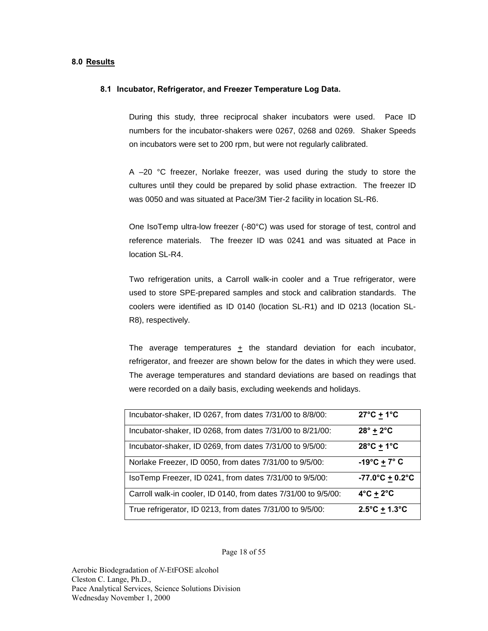#### **8.0 Results**

#### **8.1 Incubator, Refrigerator, and Freezer Temperature Log Data.**

During this study, three reciprocal shaker incubators were used. Pace ID numbers for the incubator-shakers were 0267, 0268 and 0269. Shaker Speeds on incubators were set to 200 rpm, but were not regularly calibrated.

A –20 °C freezer, Norlake freezer, was used during the study to store the cultures until they could be prepared by solid phase extraction. The freezer ID was 0050 and was situated at Pace/3M Tier-2 facility in location SL-R6.

One IsoTemp ultra-low freezer (-80°C) was used for storage of test, control and reference materials. The freezer ID was 0241 and was situated at Pace in location SL-R4.

Two refrigeration units, a Carroll walk-in cooler and a True refrigerator, were used to store SPE-prepared samples and stock and calibration standards. The coolers were identified as ID 0140 (location SL-R1) and ID 0213 (location SL-R8), respectively.

The average temperatures  $\pm$  the standard deviation for each incubator, refrigerator, and freezer are shown below for the dates in which they were used. The average temperatures and standard deviations are based on readings that were recorded on a daily basis, excluding weekends and holidays.

| Incubator-shaker, ID 0267, from dates 7/31/00 to 8/8/00:       | $27^{\circ}$ C + 1 $^{\circ}$ C |
|----------------------------------------------------------------|---------------------------------|
| Incubator-shaker, ID 0268, from dates 7/31/00 to 8/21/00:      | $28^\circ \pm 2^\circ \text{C}$ |
| Incubator-shaker, ID 0269, from dates 7/31/00 to 9/5/00:       | $28^{\circ}$ C + 1 $^{\circ}$ C |
| Norlake Freezer, ID 0050, from dates 7/31/00 to 9/5/00:        | $-19^{\circ}C + 7^{\circ}C$     |
| IsoTemp Freezer, ID 0241, from dates 7/31/00 to 9/5/00:        | $-77.0^{\circ}C + 0.2^{\circ}C$ |
| Carroll walk-in cooler, ID 0140, from dates 7/31/00 to 9/5/00: | $4^{\circ}$ C + $2^{\circ}$ C   |
| True refrigerator, ID 0213, from dates 7/31/00 to 9/5/00:      | $2.5^{\circ}C + 1.3^{\circ}C$   |

Page 18 of 55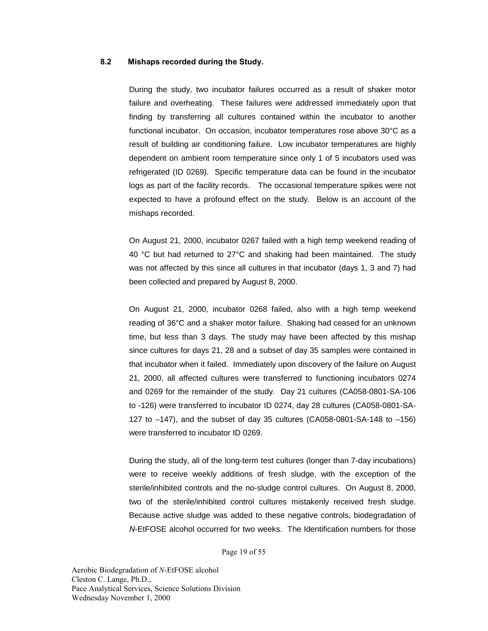#### **8.2 Mishaps recorded during the Study.**

During the study, two incubator failures occurred as a result of shaker motor failure and overheating. These failures were addressed immediately upon that finding by transferring all cultures contained within the incubator to another functional incubator. On occasion, incubator temperatures rose above 30°C as a result of building air conditioning failure. Low incubator temperatures are highly dependent on ambient room temperature since only 1 of 5 incubators used was refrigerated (ID 0269). Specific temperature data can be found in the incubator logs as part of the facility records. The occasional temperature spikes were not expected to have a profound effect on the study. Below is an account of the mishaps recorded.

On August 21, 2000, incubator 0267 failed with a high temp weekend reading of 40 °C but had returned to 27°C and shaking had been maintained. The study was not affected by this since all cultures in that incubator (days 1, 3 and 7) had been collected and prepared by August 8, 2000.

On August 21, 2000, incubator 0268 failed, also with a high temp weekend reading of 36°C and a shaker motor failure. Shaking had ceased for an unknown time, but less than 3 days. The study may have been affected by this mishap since cultures for days 21, 28 and a subset of day 35 samples were contained in that incubator when it failed. Immediately upon discovery of the failure on August 21, 2000, all affected cultures were transferred to functioning incubators 0274 and 0269 for the remainder of the study. Day 21 cultures (CA058-0801-SA-106 to -126) were transferred to incubator ID 0274, day 28 cultures (CA058-0801-SA-127 to –147), and the subset of day 35 cultures (CA058-0801-SA-148 to –156) were transferred to incubator ID 0269.

During the study, all of the long-term test cultures (longer than 7-day incubations) were to receive weekly additions of fresh sludge, with the exception of the sterile/inhibited controls and the no-sludge control cultures. On August 8, 2000, two of the sterile/inhibited control cultures mistakenly received fresh sludge. Because active sludge was added to these negative controls, biodegradation of *N*-EtFOSE alcohol occurred for two weeks. The Identification numbers for those

Page 19 of 55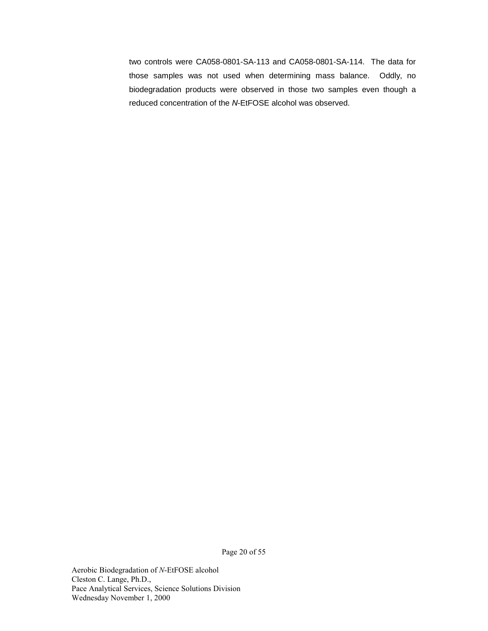two controls were CA058-0801-SA-113 and CA058-0801-SA-114. The data for those samples was not used when determining mass balance. Oddly, no biodegradation products were observed in those two samples even though a reduced concentration of the *N*-EtFOSE alcohol was observed.

Page 20 of 55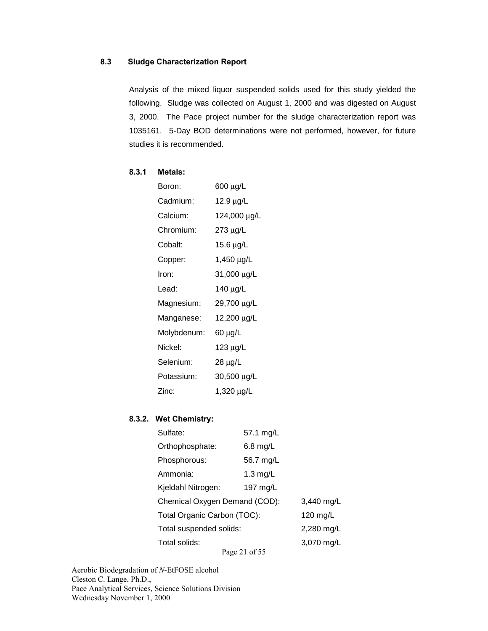## **8.3 Sludge Characterization Report**

Analysis of the mixed liquor suspended solids used for this study yielded the following. Sludge was collected on August 1, 2000 and was digested on August 3, 2000. The Pace project number for the sludge characterization report was 1035161. 5-Day BOD determinations were not performed, however, for future studies it is recommended.

## **8.3.1 Metals:**

| Boron:      | 600 μg/L     |
|-------------|--------------|
| Cadmium:    | 12.9 μg/L    |
| Calcium:    | 124,000 μg/L |
| Chromium:   | 273 µg/L     |
| Cobalt:     | 15.6 μg/L    |
| Copper:     | 1,450 µg/L   |
| Iron:       | 31,000 µg/L  |
| Lead:       | 140 μg/L     |
| Magnesium:  | 29,700 µg/L  |
| Manganese:  | 12,200 μg/L  |
| Molybdenum: | 60 μg/L      |
| Nickel:     | 123 µg/L     |
| Selenium:   | 28 µg/L      |
| Potassium:  | 30,500 µg/L  |
| Zinc:       | 1,320 μg/L   |

#### **8.3.2. Wet Chemistry:**

| Sulfate:                      | 57.1 mg/L          |            |
|-------------------------------|--------------------|------------|
| Orthophosphate:               | $6.8$ mg/L         |            |
| Phosphorous:                  | 56.7 mg/L          |            |
| Ammonia:                      | $1.3 \text{ mg/L}$ |            |
| Kjeldahl Nitrogen:            | 197 mg/L           |            |
| Chemical Oxygen Demand (COD): |                    | 3,440 mg/L |
| Total Organic Carbon (TOC):   |                    | 120 $mg/L$ |
| Total suspended solids:       |                    | 2,280 mg/L |
| Total solids:                 |                    | 3,070 mg/L |
|                               | Page 21 of 55      |            |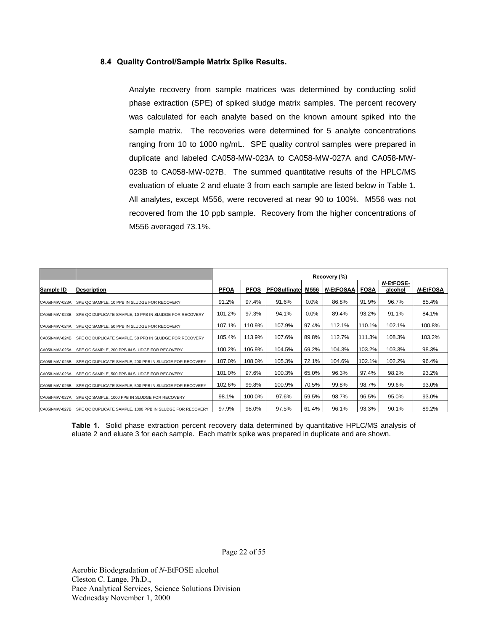#### **8.4 Quality Control/Sample Matrix Spike Results.**

Analyte recovery from sample matrices was determined by conducting solid phase extraction (SPE) of spiked sludge matrix samples. The percent recovery was calculated for each analyte based on the known amount spiked into the sample matrix. The recoveries were determined for 5 analyte concentrations ranging from 10 to 1000 ng/mL. SPE quality control samples were prepared in duplicate and labeled CA058-MW-023A to CA058-MW-027A and CA058-MW-023B to CA058-MW-027B. The summed quantitative results of the HPLC/MS evaluation of eluate 2 and eluate 3 from each sample are listed below in Table 1. All analytes, except M556, were recovered at near 90 to 100%. M556 was not recovered from the 10 ppb sample. Recovery from the higher concentrations of M556 averaged 73.1%.

|               |                                                          |             | Recovery (%) |                     |         |                       |        |                             |                 |  |  |  |
|---------------|----------------------------------------------------------|-------------|--------------|---------------------|---------|-----------------------|--------|-----------------------------|-----------------|--|--|--|
| Sample ID     | <b>Description</b>                                       | <b>PFOA</b> | <b>PFOS</b>  | <b>PFOSulfinate</b> | M556    | <b>N-EtFOSAA FOSA</b> |        | <b>N-EtFOSE-</b><br>alcohol | <b>N-EtFOSA</b> |  |  |  |
| CA058-MW-023A | SPE QC SAMPLE, 10 PPB IN SLUDGE FOR RECOVERY             | 91.2%       | 97.4%        | 91.6%               | $0.0\%$ | 86.8%                 | 91.9%  | 96.7%                       | 85.4%           |  |  |  |
| CA058-MW-023B | SPE QC DUPLICATE SAMPLE, 10 PPB IN SLUDGE FOR RECOVERY   | 101.2%      | 97.3%        | 94.1%               | $0.0\%$ | 89.4%                 | 93.2%  | 91.1%                       | 84.1%           |  |  |  |
| CA058-MW-024A | SPE QC SAMPLE, 50 PPB IN SLUDGE FOR RECOVERY             | 107.1%      | 110.9%       | 107.9%              | 97.4%   | 112.1%                | 110.1% | 102.1%                      | 100.8%          |  |  |  |
| CA058-MW-024B | SPE QC DUPLICATE SAMPLE, 50 PPB IN SLUDGE FOR RECOVERY   | 105.4%      | 113.9%       | 107.6%              | 89.8%   | 112.7%                | 111.3% | 108.3%                      | 103.2%          |  |  |  |
| CA058-MW-025A | SPE QC SAMPLE, 200 PPB IN SLUDGE FOR RECOVERY            | 100.2%      | 106.9%       | 104.5%              | 69.2%   | 104.3%                | 103.2% | 103.3%                      | 98.3%           |  |  |  |
| CA058-MW-025B | SPE QC DUPLICATE SAMPLE, 200 PPB IN SLUDGE FOR RECOVERY  | 107.0%      | 108.0%       | 105.3%              | 72.1%   | 104.6%                | 102.1% | 102.2%                      | 96.4%           |  |  |  |
| CA058-MW-026A | SPE QC SAMPLE, 500 PPB IN SLUDGE FOR RECOVERY            | 101.0%      | 97.6%        | 100.3%              | 65.0%   | 96.3%                 | 97.4%  | 98.2%                       | 93.2%           |  |  |  |
| CA058-MW-026B | SPE QC DUPLICATE SAMPLE, 500 PPB IN SLUDGE FOR RECOVERY  | 102.6%      | 99.8%        | 100.9%              | 70.5%   | 99.8%                 | 98.7%  | 99.6%                       | 93.0%           |  |  |  |
| CA058-MW-027A | SPE QC SAMPLE, 1000 PPB IN SLUDGE FOR RECOVERY           | 98.1%       | 100.0%       | 97.6%               | 59.5%   | 98.7%                 | 96.5%  | 95.0%                       | 93.0%           |  |  |  |
| CA058-MW-027B | SPE QC DUPLICATE SAMPLE, 1000 PPB IN SLUDGE FOR RECOVERY | 97.9%       | 98.0%        | 97.5%               | 61.4%   | 96.1%                 | 93.3%  | 90.1%                       | 89.2%           |  |  |  |

**Table 1.** Solid phase extraction percent recovery data determined by quantitative HPLC/MS analysis of eluate 2 and eluate 3 for each sample. Each matrix spike was prepared in duplicate and are shown.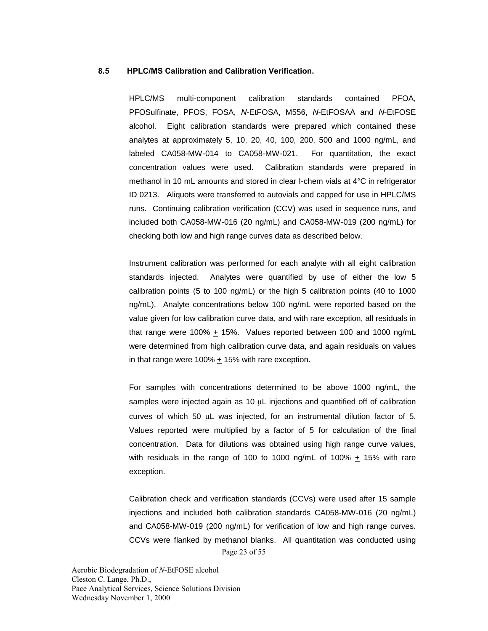#### **8.5 HPLC/MS Calibration and Calibration Verification.**

HPLC/MS multi-component calibration standards contained PFOA, PFOSulfinate, PFOS, FOSA, *N*-EtFOSA, M556, *N*-EtFOSAA and *N*-EtFOSE alcohol. Eight calibration standards were prepared which contained these analytes at approximately 5, 10, 20, 40, 100, 200, 500 and 1000 ng/mL, and labeled CA058-MW-014 to CA058-MW-021. For quantitation, the exact concentration values were used. Calibration standards were prepared in methanol in 10 mL amounts and stored in clear I-chem vials at 4°C in refrigerator ID 0213. Aliquots were transferred to autovials and capped for use in HPLC/MS runs. Continuing calibration verification (CCV) was used in sequence runs, and included both CA058-MW-016 (20 ng/mL) and CA058-MW-019 (200 ng/mL) for checking both low and high range curves data as described below.

Instrument calibration was performed for each analyte with all eight calibration standards injected. Analytes were quantified by use of either the low 5 calibration points (5 to 100 ng/mL) or the high 5 calibration points (40 to 1000 ng/mL). Analyte concentrations below 100 ng/mL were reported based on the value given for low calibration curve data, and with rare exception, all residuals in that range were 100%  $\pm$  15%. Values reported between 100 and 1000 ng/mL were determined from high calibration curve data, and again residuals on values in that range were 100% + 15% with rare exception.

For samples with concentrations determined to be above 1000 ng/mL, the samples were injected again as 10  $\mu$ L injections and quantified off of calibration curves of which 50 µL was injected, for an instrumental dilution factor of 5. Values reported were multiplied by a factor of 5 for calculation of the final concentration. Data for dilutions was obtained using high range curve values, with residuals in the range of 100 to 1000 ng/mL of 100% + 15% with rare exception.

Page 23 of 55 Calibration check and verification standards (CCVs) were used after 15 sample injections and included both calibration standards CA058-MW-016 (20 ng/mL) and CA058-MW-019 (200 ng/mL) for verification of low and high range curves. CCVs were flanked by methanol blanks. All quantitation was conducted using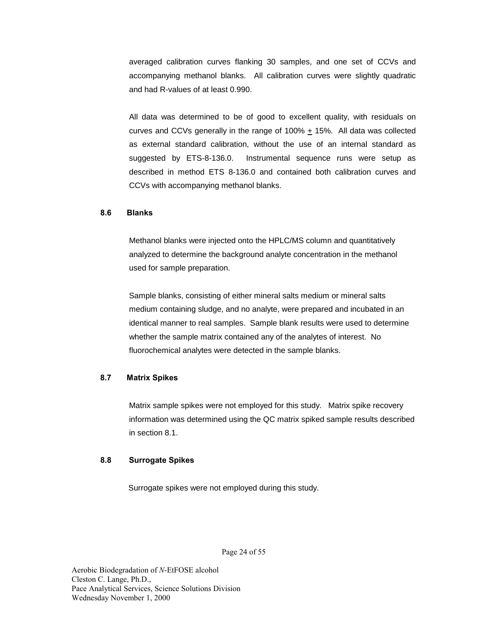averaged calibration curves flanking 30 samples, and one set of CCVs and accompanying methanol blanks. All calibration curves were slightly quadratic and had R-values of at least 0.990.

All data was determined to be of good to excellent quality, with residuals on curves and CCVs generally in the range of 100% + 15%. All data was collected as external standard calibration, without the use of an internal standard as suggested by ETS-8-136.0. Instrumental sequence runs were setup as described in method ETS 8-136.0 and contained both calibration curves and CCVs with accompanying methanol blanks.

#### **8.6 Blanks**

Methanol blanks were injected onto the HPLC/MS column and quantitatively analyzed to determine the background analyte concentration in the methanol used for sample preparation.

Sample blanks, consisting of either mineral salts medium or mineral salts medium containing sludge, and no analyte, were prepared and incubated in an identical manner to real samples. Sample blank results were used to determine whether the sample matrix contained any of the analytes of interest. No fluorochemical analytes were detected in the sample blanks.

## **8.7 Matrix Spikes**

Matrix sample spikes were not employed for this study. Matrix spike recovery information was determined using the QC matrix spiked sample results described in section 8.1.

#### **8.8 Surrogate Spikes**

Surrogate spikes were not employed during this study.

Page 24 of 55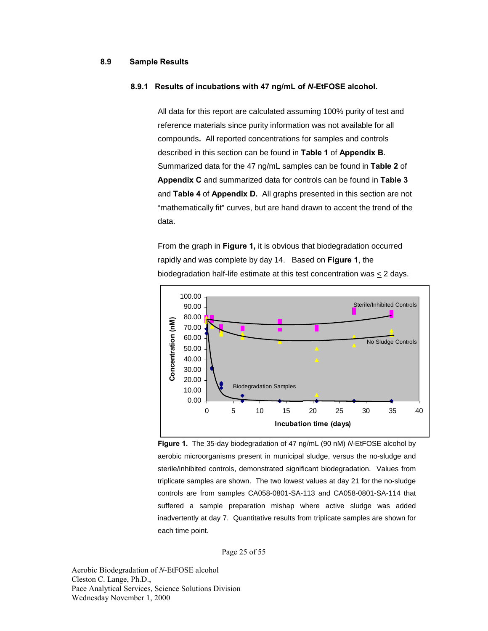### **8.9 Sample Results**

#### **8.9.1 Results of incubations with 47 ng/mL of** *N***-EtFOSE alcohol.**

All data for this report are calculated assuming 100% purity of test and reference materials since purity information was not available for all compounds**.** All reported concentrations for samples and controls described in this section can be found in **Table 1** of **Appendix B**. Summarized data for the 47 ng/mL samples can be found in **Table 2** of **Appendix C** and summarized data for controls can be found in **Table 3**  and **Table 4** of **Appendix D.** All graphs presented in this section are not "mathematically fit" curves, but are hand drawn to accent the trend of the data.

From the graph in **Figure 1,** it is obvious that biodegradation occurred rapidly and was complete by day 14. Based on **Figure 1**, the biodegradation half-life estimate at this test concentration was < 2 days.



**Figure 1.** The 35-day biodegradation of 47 ng/mL (90 nM) *N*-EtFOSE alcohol by aerobic microorganisms present in municipal sludge, versus the no-sludge and sterile/inhibited controls, demonstrated significant biodegradation. Values from triplicate samples are shown. The two lowest values at day 21 for the no-sludge controls are from samples CA058-0801-SA-113 and CA058-0801-SA-114 that suffered a sample preparation mishap where active sludge was added inadvertently at day 7. Quantitative results from triplicate samples are shown for each time point.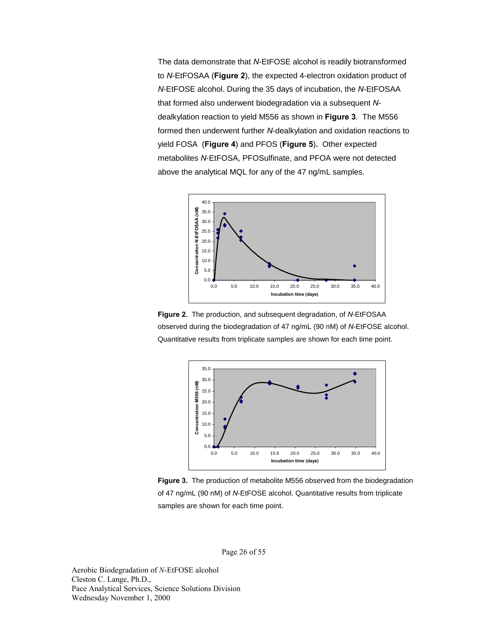The data demonstrate that *N*-EtFOSE alcohol is readily biotransformed to *N*-EtFOSAA (**Figure 2**), the expected 4-electron oxidation product of *N*-EtFOSE alcohol. During the 35 days of incubation, the *N*-EtFOSAA that formed also underwent biodegradation via a subsequent *N*dealkylation reaction to yield M556 as shown in **Figure 3**. The M556 formed then underwent further *N*-dealkylation and oxidation reactions to yield FOSA (**Figure 4**) and PFOS (**Figure 5**)**.** Other expected metabolites *N*-EtFOSA, PFOSulfinate, and PFOA were not detected above the analytical MQL for any of the 47 ng/mL samples.



**Figure 2.** The production, and subsequent degradation, of *N*-EtFOSAA observed during the biodegradation of 47 ng/mL (90 nM) of *N*-EtFOSE alcohol. Quantitative results from triplicate samples are shown for each time point.



**Figure 3.** The production of metabolite M556 observed from the biodegradation of 47 ng/mL (90 nM) of *N*-EtFOSE alcohol. Quantitative results from triplicate samples are shown for each time point.

Page 26 of 55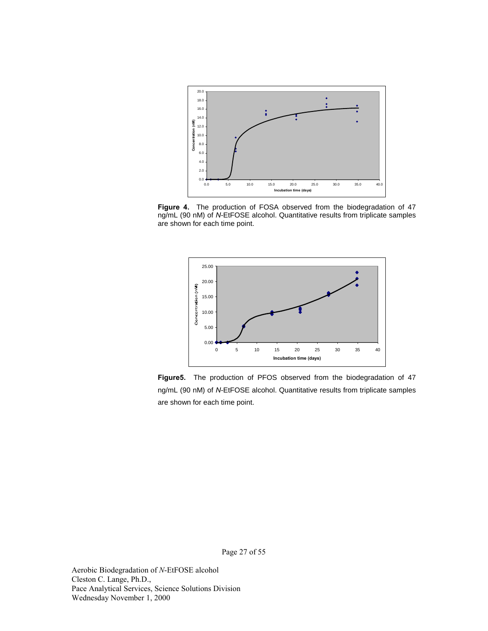

**Figure 4.** The production of FOSA observed from the biodegradation of 47 ng/mL (90 nM) of *N*-EtFOSE alcohol. Quantitative results from triplicate samples are shown for each time point.



**Figure5.** The production of PFOS observed from the biodegradation of 47 ng/mL (90 nM) of *N*-EtFOSE alcohol. Quantitative results from triplicate samples are shown for each time point.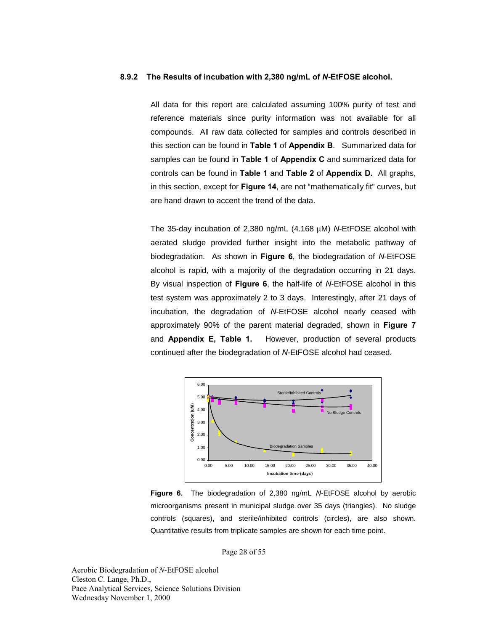#### **8.9.2 The Results of incubation with 2,380 ng/mL of** *N***-EtFOSE alcohol.**

All data for this report are calculated assuming 100% purity of test and reference materials since purity information was not available for all compounds. All raw data collected for samples and controls described in this section can be found in **Table 1** of **Appendix B**. Summarized data for samples can be found in **Table 1** of **Appendix C** and summarized data for controls can be found in **Table 1** and **Table 2** of **Appendix D.** All graphs, in this section, except for **Figure 14**, are not "mathematically fit" curves, but are hand drawn to accent the trend of the data.

The 35-day incubation of 2,380 ng/mL (4.168 µM) *N*-EtFOSE alcohol with aerated sludge provided further insight into the metabolic pathway of biodegradation. As shown in **Figure 6**, the biodegradation of *N*-EtFOSE alcohol is rapid, with a majority of the degradation occurring in 21 days. By visual inspection of **Figure 6**, the half-life of *N*-EtFOSE alcohol in this test system was approximately 2 to 3 days. Interestingly, after 21 days of incubation, the degradation of *N*-EtFOSE alcohol nearly ceased with approximately 90% of the parent material degraded, shown in **Figure 7** and **Appendix E, Table 1.** However, production of several products continued after the biodegradation of *N*-EtFOSE alcohol had ceased.



**Figure 6.** The biodegradation of 2,380 ng/mL *N*-EtFOSE alcohol by aerobic microorganisms present in municipal sludge over 35 days (triangles). No sludge controls (squares), and sterile/inhibited controls (circles), are also shown. Quantitative results from triplicate samples are shown for each time point.

Page 28 of 55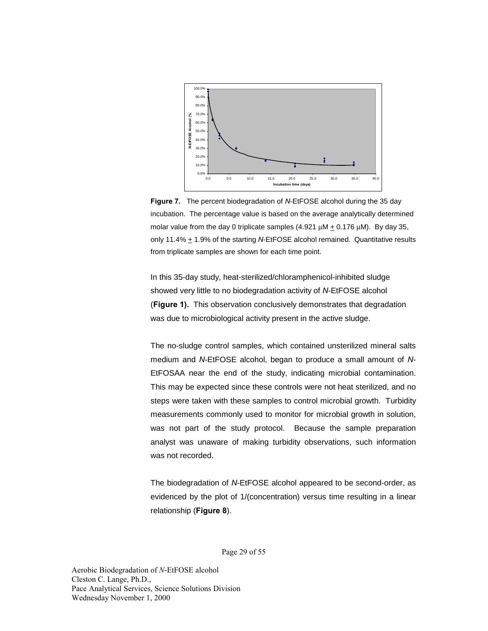

**Figure 7.** The percent biodegradation of *N*-EtFOSE alcohol during the 35 day incubation. The percentage value is based on the average analytically determined molar value from the day 0 triplicate samples  $(4.921 \mu M + 0.176 \mu M)$ . By day 35, only 11.4% + 1.9% of the starting *N*-EtFOSE alcohol remained. Quantitative results from triplicate samples are shown for each time point.

In this 35-day study, heat-sterilized/chloramphenicol-inhibited sludge showed very little to no biodegradation activity of *N*-EtFOSE alcohol (**Figure 1).** This observation conclusively demonstrates that degradation was due to microbiological activity present in the active sludge.

The no-sludge control samples, which contained unsterilized mineral salts medium and *N*-EtFOSE alcohol, began to produce a small amount of *N*-EtFOSAA near the end of the study, indicating microbial contamination. This may be expected since these controls were not heat sterilized, and no steps were taken with these samples to control microbial growth. Turbidity measurements commonly used to monitor for microbial growth in solution, was not part of the study protocol. Because the sample preparation analyst was unaware of making turbidity observations, such information was not recorded.

The biodegradation of *N*-EtFOSE alcohol appeared to be second-order, as evidenced by the plot of 1/(concentration) versus time resulting in a linear relationship (**Figure 8**).

Page 29 of 55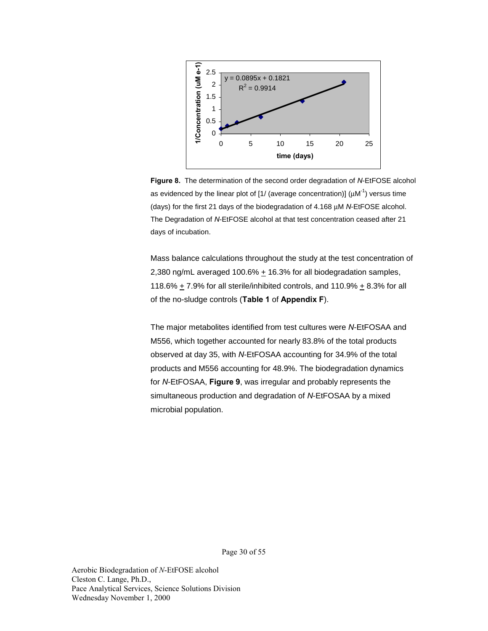

**Figure 8.** The determination of the second order degradation of *N*-EtFOSE alcohol as evidenced by the linear plot of  $1/$  (average concentration)] ( $\mu$ M<sup>-1</sup>) versus time (days) for the first 21 days of the biodegradation of 4.168 µM *N*-EtFOSE alcohol. The Degradation of *N*-EtFOSE alcohol at that test concentration ceased after 21 days of incubation.

Mass balance calculations throughout the study at the test concentration of 2,380 ng/mL averaged 100.6%  $\pm$  16.3% for all biodegradation samples, 118.6%  $\pm$  7.9% for all sterile/inhibited controls, and 110.9%  $\pm$  8.3% for all of the no-sludge controls (**Table 1** of **Appendix F**).

The major metabolites identified from test cultures were *N*-EtFOSAA and M556, which together accounted for nearly 83.8% of the total products observed at day 35, with *N*-EtFOSAA accounting for 34.9% of the total products and M556 accounting for 48.9%. The biodegradation dynamics for *N*-EtFOSAA, **Figure 9**, was irregular and probably represents the simultaneous production and degradation of *N*-EtFOSAA by a mixed microbial population.

Page 30 of 55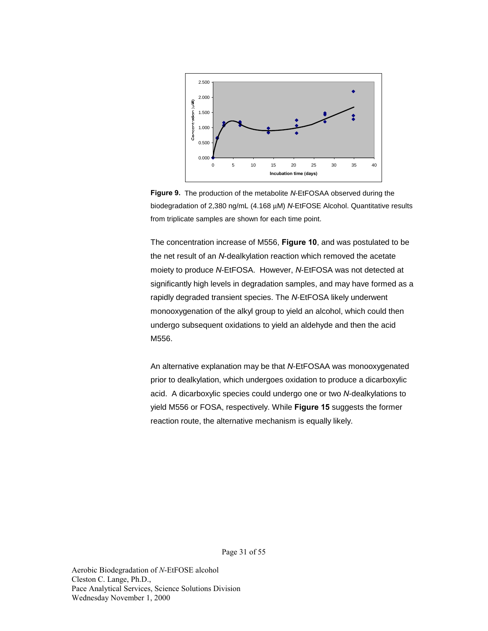

**Figure 9.** The production of the metabolite *N*-EtFOSAA observed during the biodegradation of 2,380 ng/mL (4.168 µM) *N*-EtFOSE Alcohol. Quantitative results from triplicate samples are shown for each time point.

The concentration increase of M556, **Figure 10**, and was postulated to be the net result of an *N*-dealkylation reaction which removed the acetate moiety to produce *N*-EtFOSA. However, *N*-EtFOSA was not detected at significantly high levels in degradation samples, and may have formed as a rapidly degraded transient species. The *N*-EtFOSA likely underwent monooxygenation of the alkyl group to yield an alcohol, which could then undergo subsequent oxidations to yield an aldehyde and then the acid M556.

An alternative explanation may be that *N*-EtFOSAA was monooxygenated prior to dealkylation, which undergoes oxidation to produce a dicarboxylic acid. A dicarboxylic species could undergo one or two *N*-dealkylations to yield M556 or FOSA, respectively. While **Figure 15** suggests the former reaction route, the alternative mechanism is equally likely.

Page 31 of 55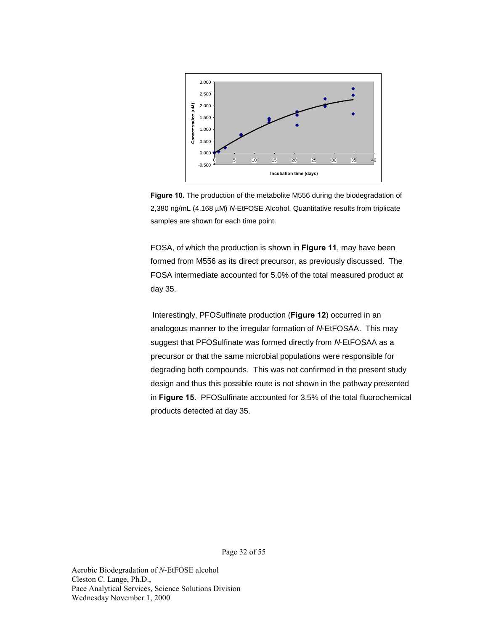

**Figure 10.** The production of the metabolite M556 during the biodegradation of 2,380 ng/mL (4.168 µM) *N*-EtFOSE Alcohol. Quantitative results from triplicate samples are shown for each time point.

FOSA, of which the production is shown in **Figure 11**, may have been formed from M556 as its direct precursor, as previously discussed. The FOSA intermediate accounted for 5.0% of the total measured product at day 35.

Interestingly, PFOSulfinate production (**Figure 12**) occurred in an analogous manner to the irregular formation of *N*-EtFOSAA. This may suggest that PFOSulfinate was formed directly from *N*-EtFOSAA as a precursor or that the same microbial populations were responsible for degrading both compounds. This was not confirmed in the present study design and thus this possible route is not shown in the pathway presented in **Figure 15**. PFOSulfinate accounted for 3.5% of the total fluorochemical products detected at day 35.

Page 32 of 55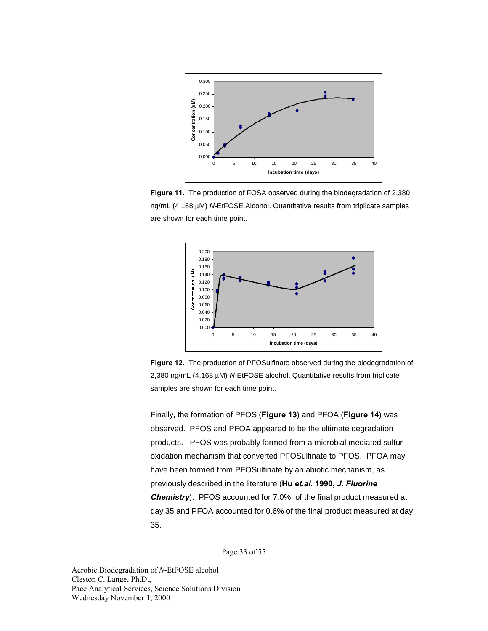

**Figure 11.** The production of FOSA observed during the biodegradation of 2,380 ng/mL (4.168 µM) *N*-EtFOSE Alcohol. Quantitative results from triplicate samples are shown for each time point.



**Figure 12.** The production of PFOSulfinate observed during the biodegradation of 2,380 ng/mL (4.168 µM) *N*-EtFOSE alcohol. Quantitative results from triplicate samples are shown for each time point.

Finally, the formation of PFOS (**Figure 13**) and PFOA (**Figure 14**) was observed. PFOS and PFOA appeared to be the ultimate degradation products. PFOS was probably formed from a microbial mediated sulfur oxidation mechanism that converted PFOSulfinate to PFOS. PFOA may have been formed from PFOSulfinate by an abiotic mechanism, as previously described in the literature (**Hu** *et.al.* **1990,** *J. Fluorine Chemistry*). PFOS accounted for 7.0% of the final product measured at day 35 and PFOA accounted for 0.6% of the final product measured at day 35.

Page 33 of 55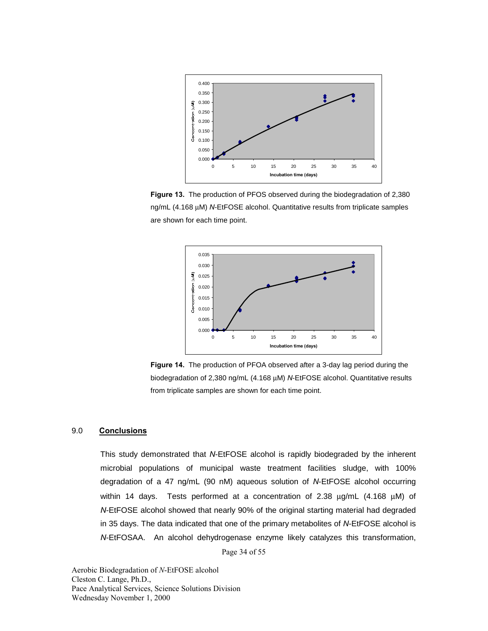

**Figure 13.** The production of PFOS observed during the biodegradation of 2,380 ng/mL (4.168 µM) *N*-EtFOSE alcohol. Quantitative results from triplicate samples are shown for each time point.



**Figure 14.** The production of PFOA observed after a 3-day lag period during the biodegradation of 2,380 ng/mL (4.168 µM) *N*-EtFOSE alcohol. Quantitative results from triplicate samples are shown for each time point.

### 9.0 **Conclusions**

Page 34 of 55 This study demonstrated that *N*-EtFOSE alcohol is rapidly biodegraded by the inherent microbial populations of municipal waste treatment facilities sludge, with 100% degradation of a 47 ng/mL (90 nM) aqueous solution of *N*-EtFOSE alcohol occurring within 14 days. Tests performed at a concentration of 2.38  $\mu q/mL$  (4.168  $\mu M$ ) of *N*-EtFOSE alcohol showed that nearly 90% of the original starting material had degraded in 35 days. The data indicated that one of the primary metabolites of *N*-EtFOSE alcohol is *N*-EtFOSAA. An alcohol dehydrogenase enzyme likely catalyzes this transformation,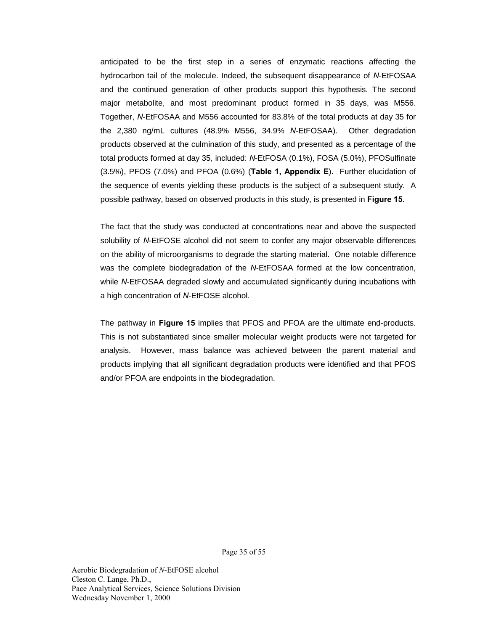anticipated to be the first step in a series of enzymatic reactions affecting the hydrocarbon tail of the molecule. Indeed, the subsequent disappearance of *N*-EtFOSAA and the continued generation of other products support this hypothesis. The second major metabolite, and most predominant product formed in 35 days, was M556. Together, *N*-EtFOSAA and M556 accounted for 83.8% of the total products at day 35 for the 2,380 ng/mL cultures (48.9% M556, 34.9% *N*-EtFOSAA). Other degradation products observed at the culmination of this study, and presented as a percentage of the total products formed at day 35, included: *N*-EtFOSA (0.1%), FOSA (5.0%), PFOSulfinate (3.5%), PFOS (7.0%) and PFOA (0.6%) (**Table 1, Appendix E**). Further elucidation of the sequence of events yielding these products is the subject of a subsequent study. A possible pathway, based on observed products in this study, is presented in **Figure 15**.

The fact that the study was conducted at concentrations near and above the suspected solubility of *N*-EtFOSE alcohol did not seem to confer any major observable differences on the ability of microorganisms to degrade the starting material. One notable difference was the complete biodegradation of the *N*-EtFOSAA formed at the low concentration, while *N*-EtFOSAA degraded slowly and accumulated significantly during incubations with a high concentration of *N*-EtFOSE alcohol.

The pathway in **Figure 15** implies that PFOS and PFOA are the ultimate end-products. This is not substantiated since smaller molecular weight products were not targeted for analysis. However, mass balance was achieved between the parent material and products implying that all significant degradation products were identified and that PFOS and/or PFOA are endpoints in the biodegradation.

Page 35 of 55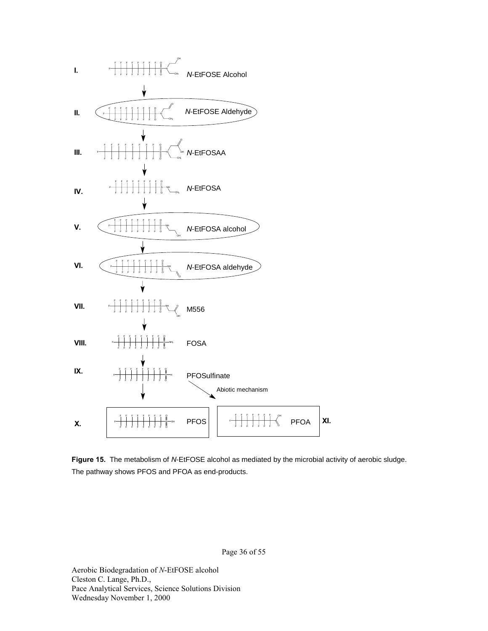

**Figure 15.** The metabolism of *N*-EtFOSE alcohol as mediated by the microbial activity of aerobic sludge. The pathway shows PFOS and PFOA as end-products.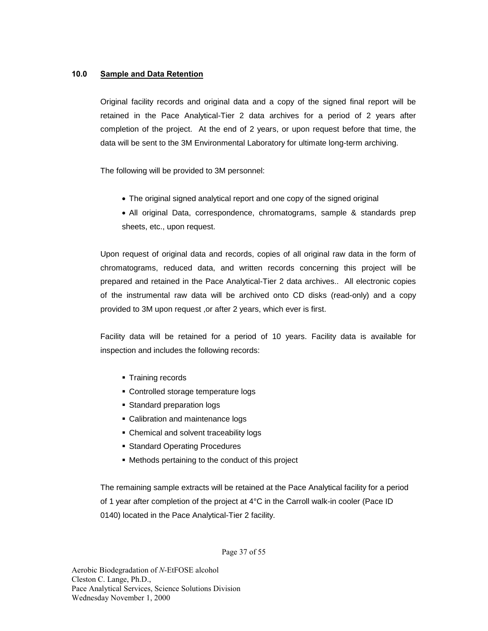## **10.0 Sample and Data Retention**

Original facility records and original data and a copy of the signed final report will be retained in the Pace Analytical-Tier 2 data archives for a period of 2 years after completion of the project. At the end of 2 years, or upon request before that time, the data will be sent to the 3M Environmental Laboratory for ultimate long-term archiving.

The following will be provided to 3M personnel:

- The original signed analytical report and one copy of the signed original
- All original Data, correspondence, chromatograms, sample & standards prep sheets, etc., upon request.

Upon request of original data and records, copies of all original raw data in the form of chromatograms, reduced data, and written records concerning this project will be prepared and retained in the Pace Analytical-Tier 2 data archives.. All electronic copies of the instrumental raw data will be archived onto CD disks (read-only) and a copy provided to 3M upon request ,or after 2 years, which ever is first.

Facility data will be retained for a period of 10 years. Facility data is available for inspection and includes the following records:

- **Training records**
- Controlled storage temperature logs
- Standard preparation logs
- Calibration and maintenance logs
- **Chemical and solvent traceability logs**
- **Standard Operating Procedures**
- Methods pertaining to the conduct of this project

The remaining sample extracts will be retained at the Pace Analytical facility for a period of 1 year after completion of the project at 4°C in the Carroll walk-in cooler (Pace ID 0140) located in the Pace Analytical-Tier 2 facility.

Page 37 of 55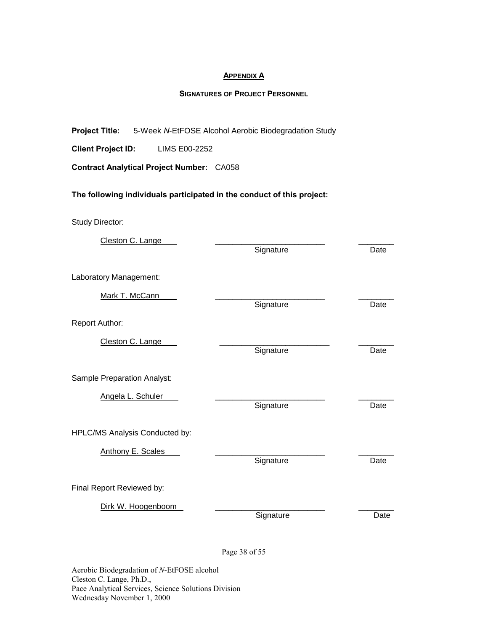#### **APPENDIX A**

### **SIGNATURES OF PROJECT PERSONNEL**

**Project Title:** 5-Week *N*-EtFOSE Alcohol Aerobic Biodegradation Study

**Client Project ID:** LIMS E00-2252

**Contract Analytical Project Number:** CA058

## **The following individuals participated in the conduct of this project:**

Study Director:

| Cleston C. Lange               | Signature | Date |
|--------------------------------|-----------|------|
| Laboratory Management:         |           |      |
| Mark T. McCann                 | Signature | Date |
| Report Author:                 |           |      |
| Cleston C. Lange               | Signature | Date |
| Sample Preparation Analyst:    |           |      |
| Angela L. Schuler              | Signature | Date |
| HPLC/MS Analysis Conducted by: |           |      |
| <b>Anthony E. Scales</b>       | Signature | Date |
| Final Report Reviewed by:      |           |      |
| Dirk W. Hoogenboom             | Signature | Date |

Page 38 of 55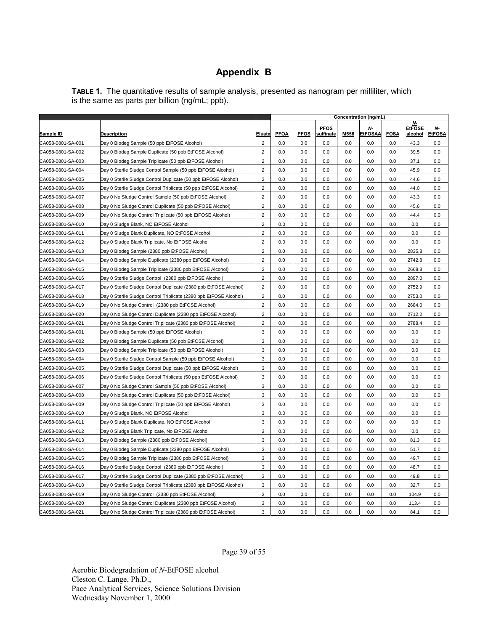## **Appendix B**

**TABLE 1.** The quantitative results of sample analysis, presented as nanogram per milliliter, which is the same as parts per billion (ng/mL; ppb).

|                   |                                                                   |                         | Concentration (ng/mL) |             |                          |      |                      |             |                                  |                     |
|-------------------|-------------------------------------------------------------------|-------------------------|-----------------------|-------------|--------------------------|------|----------------------|-------------|----------------------------------|---------------------|
| Sample ID         | <b>Description</b>                                                | Eluate                  | <b>PFOA</b>           | <b>PFOS</b> | <b>PFOS</b><br>sulfinate | M556 | Ν-<br><b>EtFOSAA</b> | <b>FOSA</b> | $N-$<br><b>EtFOSE</b><br>alcohol | Ν-<br><b>EtFOSA</b> |
| CA058-0801-SA-001 | Day 0 Biodeg Sample (50 ppb EtFOSE Alcohol)                       | $\overline{c}$          | 0.0                   | 0.0         | 0.0                      | 0.0  | 0.0                  | 0.0         | 43.3                             | 0.0                 |
| CA058-0801-SA-002 | Day 0 Biodeg Sample Duplicate (50 ppb EtFOSE Alcohol)             | $\overline{2}$          | 0.0                   | 0.0         | 0.0                      | 0.0  | 0.0                  | 0.0         | 39.5                             | 0.0                 |
| CA058-0801-SA-003 | Day 0 Biodeg Sample Triplicate (50 ppb EtFOSE Alcohol)            | $\overline{2}$          | 0.0                   | 0.0         | 0.0                      | 0.0  | 0.0                  | 0.0         | 37.1                             | 0.0                 |
| CA058-0801-SA-004 | Day 0 Sterile Sludge Control Sample (50 ppb EtFOSE Alcohol)       | $\overline{2}$          | 0.0                   | 0.0         | 0.0                      | 0.0  | 0.0                  | 0.0         | 45.9                             | 0.0                 |
| CA058-0801-SA-005 | Day 0 Sterile Sludge Control Duplicate (50 ppb EtFOSE Alcohol)    | $\overline{2}$          | 0.0                   | 0.0         | 0.0                      | 0.0  | 0.0                  | 0.0         | 44.6                             | 0.0                 |
| CA058-0801-SA-006 | Day 0 Sterile Sludge Control Triplicate (50 ppb EtFOSE Alcohol)   | $\overline{2}$          | 0.0                   | 0.0         | 0.0                      | 0.0  | 0.0                  | 0.0         | 44.0                             | 0.0                 |
| CA058-0801-SA-007 | Day 0 No Sludge Control Sample (50 ppb EtFOSE Alcohol)            | $\overline{c}$          | 0.0                   | 0.0         | 0.0                      | 0.0  | 0.0                  | 0.0         | 43.3                             | 0.0                 |
| CA058-0801-SA-008 | Day 0 No Sludge Control Duplicate (50 ppb EtFOSE Alcohol)         | $\overline{2}$          | 0.0                   | 0.0         | 0.0                      | 0.0  | 0.0                  | 0.0         | 45.6                             | 0.0                 |
| CA058-0801-SA-009 | Day 0 No Sludge Control Triplicate (50 ppb EtFOSE Alcohol)        | $\overline{2}$          | 0.0                   | 0.0         | 0.0                      | 0.0  | 0.0                  | 0.0         | 44.4                             | 0.0                 |
| CA058-0801-SA-010 | Day 0 Sludge Blank, NO EtFOSE Alcohol                             | $\overline{\mathbf{c}}$ | 0.0                   | 0.0         | 0.0                      | 0.0  | 0.0                  | 0.0         | 0.0                              | 0.0                 |
| CA058-0801-SA-011 | Day 0 Sludge Blank Duplicate, NO EtFOSE Alcohol                   | $\overline{2}$          | 0.0                   | 0.0         | 0.0                      | 0.0  | 0.0                  | 0.0         | 0.0                              | 0.0                 |
| CA058-0801-SA-012 | Day 0 Sludge Blank Triplicate, No EtFOSE Alcohol                  | $\overline{2}$          | 0.0                   | 0.0         | 0.0                      | 0.0  | 0.0                  | 0.0         | 0.0                              | 0.0                 |
| CA058-0801-SA-013 | Day 0 Biodeg Sample (2380 ppb EtFOSE Alcohol)                     | $\overline{c}$          | 0.0                   | 0.0         | 0.0                      | 0.0  | 0.0                  | 0.0         | 2835.8                           | 0.0                 |
| CA058-0801-SA-014 | Day 0 Biodeg Sample Duplicate (2380 ppb EtFOSE Alcohol)           | $\overline{2}$          | 0.0                   | 0.0         | 0.0                      | 0.0  | 0.0                  | 0.0         | 2742.8                           | 0.0                 |
| CA058-0801-SA-015 | Day 0 Biodeg Sample Triplicate (2380 ppb EtFOSE Alcohol)          | $\overline{2}$          | 0.0                   | 0.0         | 0.0                      | 0.0  | 0.0                  | 0.0         | 2668.8                           | 0.0                 |
| CA058-0801-SA-016 | Day 0 Sterile Sludge Control (2380 ppb EtFOSE Alcohol)            | $\overline{2}$          | 0.0                   | 0.0         | 0.0                      | 0.0  | 0.0                  | 0.0         | 2897.0                           | 0.0                 |
| CA058-0801-SA-017 | Day 0 Sterile Sludge Control Duplicate (2380 ppb EtFOSE Alcohol)  | $\overline{2}$          | 0.0                   | 0.0         | 0.0                      | 0.0  | 0.0                  | 0.0         | 2752.9                           | 0.0                 |
| CA058-0801-SA-018 | Day 0 Sterile Sludge Control Triplicate (2380 ppb EtFOSE Alcohol) | $\overline{2}$          | 0.0                   | 0.0         | 0.0                      | 0.0  | 0.0                  | 0.0         | 2753.0                           | 0.0                 |
| CA058-0801-SA-019 | Day 0 No Sludge Control (2380 ppb EtFOSE Alcohol)                 | $\overline{c}$          | 0.0                   | 0.0         | 0.0                      | 0.0  | 0.0                  | 0.0         | 2684.0                           | 0.0                 |
| CA058-0801-SA-020 | Day 0 No Sludge Control Duplicate (2380 ppb EtFOSE Alcohol)       | $\overline{2}$          | 0.0                   | 0.0         | 0.0                      | 0.0  | 0.0                  | 0.0         | 2712.2                           | 0.0                 |
| CA058-0801-SA-021 | Day 0 No Sludge Control Triplicate (2380 ppb EtFOSE Alcohol)      | $\overline{2}$          | 0.0                   | 0.0         | 0.0                      | 0.0  | 0.0                  | 0.0         | 2788.4                           | 0.0                 |
| CA058-0801-SA-001 | Day 0 Biodeg Sample (50 ppb EtFOSE Alcohol)                       | 3                       | 0.0                   | 0.0         | 0.0                      | 0.0  | 0.0                  | 0.0         | 0.0                              | 0.0                 |
| CA058-0801-SA-002 | Day 0 Biodeg Sample Duplicate (50 ppb EtFOSE Alcohol)             | 3                       | 0.0                   | 0.0         | 0.0                      | 0.0  | 0.0                  | 0.0         | 0.0                              | 0.0                 |
| CA058-0801-SA-003 | Day 0 Biodeg Sample Triplicate (50 ppb EtFOSE Alcohol)            | 3                       | 0.0                   | 0.0         | 0.0                      | 0.0  | 0.0                  | 0.0         | 0.0                              | 0.0                 |
| CA058-0801-SA-004 | Day 0 Sterile Sludge Control Sample (50 ppb EtFOSE Alcohol)       | 3                       | 0.0                   | 0.0         | 0.0                      | 0.0  | 0.0                  | 0.0         | 0.0                              | 0.0                 |
| CA058-0801-SA-005 | Day 0 Sterile Sludge Control Duplicate (50 ppb EtFOSE Alcohol)    | 3                       | 0.0                   | 0.0         | 0.0                      | 0.0  | 0.0                  | 0.0         | 0.0                              | 0.0                 |
| CA058-0801-SA-006 | Day 0 Sterile Sludge Control Triplicate (50 ppb EtFOSE Alcohol)   | 3                       | 0.0                   | 0.0         | 0.0                      | 0.0  | 0.0                  | 0.0         | 0.0                              | 0.0                 |
| CA058-0801-SA-007 | Day 0 No Sludge Control Sample (50 ppb EtFOSE Alcohol)            | 3                       | 0.0                   | 0.0         | 0.0                      | 0.0  | 0.0                  | 0.0         | 0.0                              | 0.0                 |
| CA058-0801-SA-008 | Day 0 No Sludge Control Duplicate (50 ppb EtFOSE Alcohol)         | 3                       | 0.0                   | 0.0         | 0.0                      | 0.0  | 0.0                  | 0.0         | 0.0                              | 0.0                 |
| CA058-0801-SA-009 | Day 0 No Sludge Control Triplicate (50 ppb EtFOSE Alcohol)        | 3                       | 0.0                   | 0.0         | 0.0                      | 0.0  | 0.0                  | 0.0         | 0.0                              | 0.0                 |
| CA058-0801-SA-010 | Day 0 Sludge Blank, NO EtFOSE Alcohol                             | 3                       | 0.0                   | 0.0         | 0.0                      | 0.0  | 0.0                  | 0.0         | 0.0                              | 0.0                 |
| CA058-0801-SA-011 | Day 0 Sludge Blank Duplicate, NO EtFOSE Alcohol                   | 3                       | 0.0                   | 0.0         | 0.0                      | 0.0  | 0.0                  | 0.0         | 0.0                              | 0.0                 |
| CA058-0801-SA-012 | Day 0 Sludge Blank Triplicate, No EtFOSE Alcohol                  | 3                       | 0.0                   | 0.0         | 0.0                      | 0.0  | 0.0                  | 0.0         | 0.0                              | 0.0                 |
| CA058-0801-SA-013 | Day 0 Biodeg Sample (2380 ppb EtFOSE Alcohol)                     | 3                       | 0.0                   | 0.0         | 0.0                      | 0.0  | 0.0                  | 0.0         | 81.3                             | 0.0                 |
| CA058-0801-SA-014 | Day 0 Biodeg Sample Duplicate (2380 ppb EtFOSE Alcohol)           | 3                       | 0.0                   | 0.0         | 0.0                      | 0.0  | 0.0                  | 0.0         | 51.7                             | 0.0                 |
| CA058-0801-SA-015 | Day 0 Biodeg Sample Triplicate (2380 ppb EtFOSE Alcohol)          | 3                       | 0.0                   | 0.0         | 0.0                      | 0.0  | 0.0                  | 0.0         | 49.7                             | 0.0                 |
| CA058-0801-SA-016 | Day 0 Sterile Sludge Control (2380 ppb EtFOSE Alcohol)            | 3                       | 0.0                   | 0.0         | 0.0                      | 0.0  | 0.0                  | 0.0         | 48.7                             | 0.0                 |
| CA058-0801-SA-017 | Day 0 Sterile Sludge Control Duplicate (2380 ppb EtFOSE Alcohol)  | 3                       | 0.0                   | 0.0         | 0.0                      | 0.0  | 0.0                  | 0.0         | 49.8                             | 0.0                 |
| CA058-0801-SA-018 | Day 0 Sterile Sludge Control Triplicate (2380 ppb EtFOSE Alcohol) | 3                       | 0.0                   | 0.0         | 0.0                      | 0.0  | 0.0                  | 0.0         | 32.7                             | 0.0                 |
| CA058-0801-SA-019 | Day 0 No Sludge Control (2380 ppb EtFOSE Alcohol)                 | 3                       | 0.0                   | 0.0         | 0.0                      | 0.0  | 0.0                  | 0.0         | 104.9                            | 0.0                 |
| CA058-0801-SA-020 | Day 0 No Sludge Control Duplicate (2380 ppb EtFOSE Alcohol)       | 3                       | 0.0                   | 0.0         | 0.0                      | 0.0  | 0.0                  | 0.0         | 113.4                            | 0.0                 |
| CA058-0801-SA-021 | Day 0 No Sludge Control Triplicate (2380 ppb EtFOSE Alcohol)      | 3                       | 0.0                   | 0.0         | 0.0                      | 0.0  | 0.0                  | 0.0         | 84.1                             | 0.0                 |

Page 39 of 55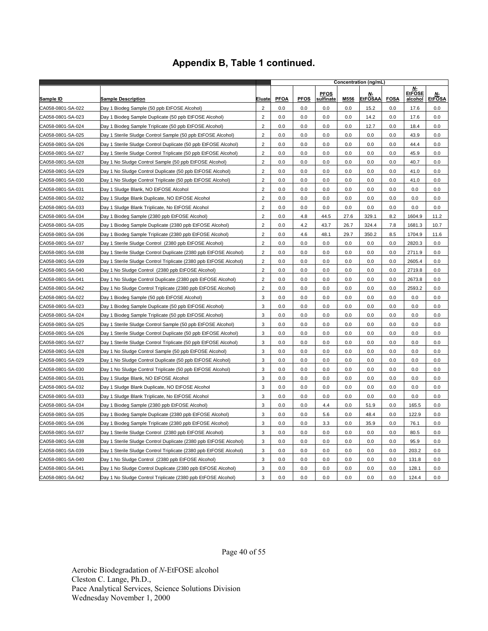|                   |                                                                   |                | Concentration (ng/mL) |             |                          |      |                             |             |                                |                            |
|-------------------|-------------------------------------------------------------------|----------------|-----------------------|-------------|--------------------------|------|-----------------------------|-------------|--------------------------------|----------------------------|
| <u>Sample ID</u>  | <b>Sample Description</b>                                         | <u>Eluate</u>  | <b>PFOA</b>           | <b>PFOS</b> | <b>PFOS</b><br>sulfinate | M556 | <u>N-</u><br><b>EtFOSAA</b> | <b>FOSA</b> | Ν-<br><b>EtFOSE</b><br>alcohol | <u>N-</u><br><b>EtFOSA</b> |
| CA058-0801-SA-022 | Day 1 Biodeg Sample (50 ppb EtFOSE Alcohol)                       | $\overline{c}$ | 0.0                   | 0.0         | 0.0                      | 0.0  | 15.2                        | 0.0         | 17.6                           | 0.0                        |
| CA058-0801-SA-023 | Day 1 Biodeg Sample Duplicate (50 ppb EtFOSE Alcohol)             | $\overline{2}$ | 0.0                   | 0.0         | 0.0                      | 0.0  | 14.2                        | 0.0         | 17.6                           | 0.0                        |
| CA058-0801-SA-024 | Day 1 Biodeg Sample Triplicate (50 ppb EtFOSE Alcohol)            | $\overline{2}$ | 0.0                   | 0.0         | 0.0                      | 0.0  | 12.7                        | 0.0         | 18.4                           | 0.0                        |
| CA058-0801-SA-025 | Day 1 Sterile Sludge Control Sample (50 ppb EtFOSE Alcohol)       | $\overline{2}$ | 0.0                   | 0.0         | 0.0                      | 0.0  | 0.0                         | 0.0         | 43.9                           | 0.0                        |
| CA058-0801-SA-026 | Day 1 Sterile Sludge Control Duplicate (50 ppb EtFOSE Alcohol)    | $\overline{2}$ | 0.0                   | 0.0         | 0.0                      | 0.0  | 0.0                         | 0.0         | 44.4                           | 0.0                        |
| CA058-0801-SA-027 | Day 1 Sterile Sludge Control Triplicate (50 ppb EtFOSE Alcohol)   | $\overline{2}$ | 0.0                   | 0.0         | 0.0                      | 0.0  | 0.0                         | 0.0         | 45.9                           | 0.0                        |
| CA058-0801-SA-028 | Day 1 No Sludge Control Sample (50 ppb EtFOSE Alcohol)            | $\overline{2}$ | 0.0                   | 0.0         | 0.0                      | 0.0  | 0.0                         | 0.0         | 40.7                           | 0.0                        |
| CA058-0801-SA-029 | Day 1 No Sludge Control Duplicate (50 ppb EtFOSE Alcohol)         | $\sqrt{2}$     | 0.0                   | 0.0         | 0.0                      | 0.0  | 0.0                         | 0.0         | 41.0                           | 0.0                        |
| CA058-0801-SA-030 | Day 1 No Sludge Control Triplicate (50 ppb EtFOSE Alcohol)        | $\overline{2}$ | 0.0                   | $0.0\,$     | 0.0                      | 0.0  | 0.0                         | 0.0         | 41.0                           | 0.0                        |
| CA058-0801-SA-031 | Day 1 Sludge Blank, NO EtFOSE Alcohol                             | $\overline{2}$ | 0.0                   | 0.0         | 0.0                      | 0.0  | 0.0                         | 0.0         | 0.0                            | 0.0                        |
| CA058-0801-SA-032 | Day 1 Sludge Blank Duplicate, NO EtFOSE Alcohol                   | $\overline{2}$ | 0.0                   | 0.0         | 0.0                      | 0.0  | 0.0                         | 0.0         | 0.0                            | 0.0                        |
| CA058-0801-SA-033 | Day 1 Sludge Blank Triplicate, No EtFOSE Alcohol                  | $\overline{2}$ | 0.0                   | 0.0         | 0.0                      | 0.0  | 0.0                         | 0.0         | 0.0                            | 0.0                        |
| CA058-0801-SA-034 | Day 1 Biodeg Sample (2380 ppb EtFOSE Alcohol)                     | $\overline{2}$ | 0.0                   | 4.8         | 44.5                     | 27.6 | 329.1                       | 8.2         | 1604.9                         | 11.2                       |
| CA058-0801-SA-035 | Day 1 Biodeg Sample Duplicate (2380 ppb EtFOSE Alcohol)           | $\overline{2}$ | 0.0                   | 4.2         | 43.7                     | 26.7 | 324.4                       | 7.8         | 1681.3                         | 10.7                       |
| CA058-0801-SA-036 | Day 1 Biodeg Sample Triplicate (2380 ppb EtFOSE Alcohol)          | $\overline{c}$ | 0.0                   | 4.6         | 48.1                     | 29.7 | 350.2                       | 8.5         | 1704.9                         | 11.6                       |
| CA058-0801-SA-037 | Day 1 Sterile Sludge Control (2380 ppb EtFOSE Alcohol)            | $\overline{2}$ | 0.0                   | 0.0         | 0.0                      | 0.0  | 0.0                         | 0.0         | 2820.3                         | 0.0                        |
| CA058-0801-SA-038 | Day 1 Sterile Sludge Control Duplicate (2380 ppb EtFOSE Alcohol)  | $\sqrt{2}$     | 0.0                   | 0.0         | 0.0                      | 0.0  | 0.0                         | 0.0         | 2711.9                         | 0.0                        |
| CA058-0801-SA-039 | Day 1 Sterile Sludge Control Triplicate (2380 ppb EtFOSE Alcohol) | $\overline{2}$ | 0.0                   | 0.0         | 0.0                      | 0.0  | 0.0                         | 0.0         | 2605.4                         | 0.0                        |
| CA058-0801-SA-040 | Day 1 No Sludge Control (2380 ppb EtFOSE Alcohol)                 | $\overline{2}$ | 0.0                   | 0.0         | 0.0                      | 0.0  | 0.0                         | 0.0         | 2719.8                         | 0.0                        |
| CA058-0801-SA-041 | Day 1 No Sludge Control Duplicate (2380 ppb EtFOSE Alcohol)       | $\overline{2}$ | 0.0                   | 0.0         | 0.0                      | 0.0  | 0.0                         | 0.0         | 2673.8                         | $0.0\,$                    |
| CA058-0801-SA-042 | Day 1 No Sludge Control Triplicate (2380 ppb EtFOSE Alcohol)      | $\overline{2}$ | 0.0                   | 0.0         | 0.0                      | 0.0  | 0.0                         | 0.0         | 2593.2                         | 0.0                        |
| CA058-0801-SA-022 | Day 1 Biodeg Sample (50 ppb EtFOSE Alcohol)                       | 3              | 0.0                   | 0.0         | 0.0                      | 0.0  | 0.0                         | 0.0         | 0.0                            | 0.0                        |
| CA058-0801-SA-023 | Day 1 Biodeg Sample Duplicate (50 ppb EtFOSE Alcohol)             | 3              | 0.0                   | 0.0         | 0.0                      | 0.0  | 0.0                         | 0.0         | 0.0                            | 0.0                        |
| CA058-0801-SA-024 | Day 1 Biodeg Sample Triplicate (50 ppb EtFOSE Alcohol)            | 3              | 0.0                   | 0.0         | 0.0                      | 0.0  | 0.0                         | 0.0         | 0.0                            | 0.0                        |
| CA058-0801-SA-025 | Day 1 Sterile Sludge Control Sample (50 ppb EtFOSE Alcohol)       | 3              | 0.0                   | 0.0         | 0.0                      | 0.0  | 0.0                         | 0.0         | 0.0                            | 0.0                        |
| CA058-0801-SA-026 | Day 1 Sterile Sludge Control Duplicate (50 ppb EtFOSE Alcohol)    | 3              | 0.0                   | 0.0         | 0.0                      | 0.0  | 0.0                         | 0.0         | 0.0                            | 0.0                        |
| CA058-0801-SA-027 | Day 1 Sterile Sludge Control Triplicate (50 ppb EtFOSE Alcohol)   | 3              | 0.0                   | 0.0         | 0.0                      | 0.0  | 0.0                         | 0.0         | 0.0                            | 0.0                        |
| CA058-0801-SA-028 | Day 1 No Sludge Control Sample (50 ppb EtFOSE Alcohol)            | 3              | 0.0                   | 0.0         | 0.0                      | 0.0  | 0.0                         | 0.0         | 0.0                            | 0.0                        |
| CA058-0801-SA-029 | Day 1 No Sludge Control Duplicate (50 ppb EtFOSE Alcohol)         | 3              | 0.0                   | 0.0         | 0.0                      | 0.0  | 0.0                         | 0.0         | 0.0                            | 0.0                        |
| CA058-0801-SA-030 | Day 1 No Sludge Control Triplicate (50 ppb EtFOSE Alcohol)        | 3              | 0.0                   | 0.0         | 0.0                      | 0.0  | 0.0                         | 0.0         | 0.0                            | 0.0                        |
| CA058-0801-SA-031 | Day 1 Sludge Blank, NO EtFOSE Alcohol                             | 3              | 0.0                   | 0.0         | 0.0                      | 0.0  | 0.0                         | 0.0         | 0.0                            | 0.0                        |
| CA058-0801-SA-032 | Day 1 Sludge Blank Duplicate, NO EtFOSE Alcohol                   | 3              | 0.0                   | 0.0         | 0.0                      | 0.0  | 0.0                         | 0.0         | 0.0                            | 0.0                        |
| CA058-0801-SA-033 | Day 1 Sludge Blank Triplicate, No EtFOSE Alcohol                  | $\mathbf{3}$   | 0.0                   | 0.0         | 0.0                      | 0.0  | 0.0                         | 0.0         | 0.0                            | 0.0                        |
| CA058-0801-SA-034 | Day 1 Biodeg Sample (2380 ppb EtFOSE Alcohol)                     | 3              | 0.0                   | 0.0         | 4.4                      | 0.0  | 51.9                        | 0.0         | 165.5                          | 0.0                        |
| CA058-0801-SA-035 | Day 1 Biodeg Sample Duplicate (2380 ppb EtFOSE Alcohol)           | 3              | 0.0                   | 0.0         | 5.6                      | 0.0  | 48.4                        | 0.0         | 122.9                          | 0.0                        |
| CA058-0801-SA-036 | Day 1 Biodeg Sample Triplicate (2380 ppb EtFOSE Alcohol)          | 3              | 0.0                   | 0.0         | 3.3                      | 0.0  | 35.9                        | 0.0         | 76.1                           | 0.0                        |
| CA058-0801-SA-037 | Day 1 Sterile Sludge Control (2380 ppb EtFOSE Alcohol)            | 3              | 0.0                   | 0.0         | 0.0                      | 0.0  | 0.0                         | 0.0         | 80.5                           | 0.0                        |
| CA058-0801-SA-038 | Day 1 Sterile Sludge Control Duplicate (2380 ppb EtFOSE Alcohol)  | 3              | 0.0                   | 0.0         | 0.0                      | 0.0  | 0.0                         | 0.0         | 95.9                           | 0.0                        |
| CA058-0801-SA-039 | Day 1 Sterile Sludge Control Triplicate (2380 ppb EtFOSE Alcohol) | 3              | 0.0                   | 0.0         | 0.0                      | 0.0  | 0.0                         | 0.0         | 203.2                          | 0.0                        |
| CA058-0801-SA-040 | Day 1 No Sludge Control (2380 ppb EtFOSE Alcohol)                 | 3              | 0.0                   | 0.0         | 0.0                      | 0.0  | 0.0                         | 0.0         | 131.8                          | 0.0                        |
| CA058-0801-SA-041 | Day 1 No Sludge Control Duplicate (2380 ppb EtFOSE Alcohol)       | 3              | 0.0                   | 0.0         | 0.0                      | 0.0  | 0.0                         | 0.0         | 128.1                          | 0.0                        |
| CA058-0801-SA-042 | Day 1 No Sludge Control Triplicate (2380 ppb EtFOSE Alcohol)      | 3              | 0.0                   | 0.0         | 0.0                      | 0.0  | 0.0                         | 0.0         | 124.4                          | 0.0                        |

Page 40 of 55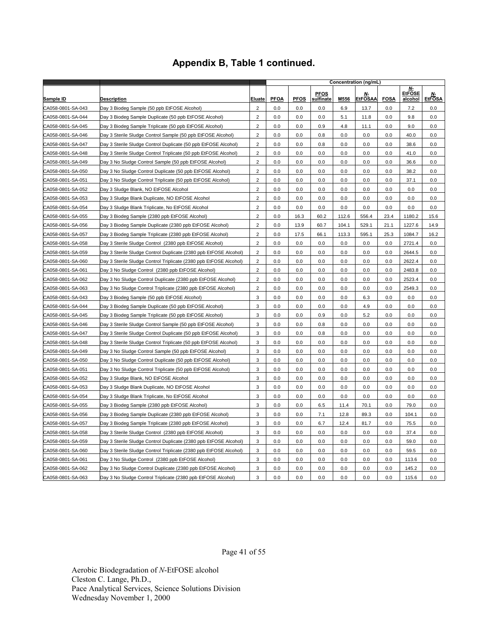|                   |                                                                   |                         | Concentration (ng/mL) |             |                          |       |                      |             |                                       |                     |
|-------------------|-------------------------------------------------------------------|-------------------------|-----------------------|-------------|--------------------------|-------|----------------------|-------------|---------------------------------------|---------------------|
| Sample ID         | Description                                                       | Eluate                  | <b>PFOA</b>           | <b>PFOS</b> | <b>PFOS</b><br>sulfinate | M556  | Ν-<br><b>EtFOSAA</b> | <b>FOSA</b> | N-<br><b>EtFOSE</b><br><u>alcohol</u> | Ν-<br><b>EtFOSA</b> |
| CA058-0801-SA-043 | Day 3 Biodeg Sample (50 ppb EtFOSE Alcohol)                       | $\overline{2}$          | 0.0                   | 0.0         | 0.0                      | 6.9   | 13.7                 | 0.0         | 7.2                                   | 0.0                 |
| CA058-0801-SA-044 | Day 3 Biodeg Sample Duplicate (50 ppb EtFOSE Alcohol)             | $\overline{2}$          | 0.0                   | 0.0         | 0.0                      | 5.1   | 11.8                 | 0.0         | 9.8                                   | 0.0                 |
| CA058-0801-SA-045 | Day 3 Biodeg Sample Triplicate (50 ppb EtFOSE Alcohol)            | $\overline{2}$          | 0.0                   | 0.0         | 0.9                      | 4.8   | 11.1                 | 0.0         | 9.0                                   | 0.0                 |
| CA058-0801-SA-046 | Day 3 Sterile Sludge Control Sample (50 ppb EtFOSE Alcohol)       | $\overline{2}$          | 0.0                   | 0.0         | 0.8                      | 0.0   | 0.0                  | 0.0         | 40.0                                  | 0.0                 |
| CA058-0801-SA-047 | Day 3 Sterile Sludge Control Duplicate (50 ppb EtFOSE Alcohol)    | $\overline{2}$          | 0.0                   | 0.0         | 0.8                      | 0.0   | 0.0                  | 0.0         | 38.6                                  | 0.0                 |
| CA058-0801-SA-048 | Day 3 Sterile Sludge Control Triplicate (50 ppb EtFOSE Alcohol)   | $\overline{\mathbf{c}}$ | 0.0                   | 0.0         | 0.0                      | 0.0   | 0.0                  | 0.0         | 41.0                                  | 0.0                 |
| CA058-0801-SA-049 | Day 3 No Sludge Control Sample (50 ppb EtFOSE Alcohol)            | $\overline{2}$          | 0.0                   | 0.0         | 0.0                      | 0.0   | 0.0                  | 0.0         | 36.6                                  | 0.0                 |
| CA058-0801-SA-050 | Day 3 No Sludge Control Duplicate (50 ppb EtFOSE Alcohol)         | $\overline{c}$          | 0.0                   | 0.0         | 0.0                      | 0.0   | 0.0                  | 0.0         | 38.2                                  | 0.0                 |
| CA058-0801-SA-051 | Day 3 No Sludge Control Triplicate (50 ppb EtFOSE Alcohol)        | $\overline{2}$          | 0.0                   | 0.0         | 0.0                      | 0.0   | 0.0                  | 0.0         | 37.1                                  | 0.0                 |
| CA058-0801-SA-052 | Day 3 Sludge Blank, NO EtFOSE Alcohol                             | $\overline{2}$          | 0.0                   | 0.0         | 0.0                      | 0.0   | 0.0                  | 0.0         | 0.0                                   | 0.0                 |
| CA058-0801-SA-053 | Day 3 Sludge Blank Duplicate, NO EtFOSE Alcohol                   | $\overline{c}$          | 0.0                   | 0.0         | 0.0                      | 0.0   | 0.0                  | 0.0         | 0.0                                   | 0.0                 |
| CA058-0801-SA-054 | Day 3 Sludge Blank Triplicate, No EtFOSE Alcohol                  | $\overline{c}$          | 0.0                   | 0.0         | 0.0                      | 0.0   | 0.0                  | 0.0         | 0.0                                   | 0.0                 |
| CA058-0801-SA-055 | Day 3 Biodeg Sample (2380 ppb EtFOSE Alcohol)                     | $\overline{2}$          | 0.0                   | 16.3        | 60.2                     | 112.6 | 556.4                | 23.4        | 1180.2                                | 15.6                |
| CA058-0801-SA-056 | Day 3 Biodeg Sample Duplicate (2380 ppb EtFOSE Alcohol)           | $\overline{2}$          | 0.0                   | 13.9        | 60.7                     | 104.1 | 529.1                | 21.1        | 1227.6                                | 14.9                |
| CA058-0801-SA-057 | Day 3 Biodeg Sample Triplicate (2380 ppb EtFOSE Alcohol)          | $\overline{2}$          | 0.0                   | 17.5        | 66.1                     | 113.3 | 595.1                | 25.3        | 1084.7                                | 16.2                |
| CA058-0801-SA-058 | Day 3 Sterile Sludge Control (2380 ppb EtFOSE Alcohol)            | $\overline{2}$          | 0.0                   | 0.0         | 0.0                      | 0.0   | 0.0                  | 0.0         | 2721.4                                | 0.0                 |
| CA058-0801-SA-059 | Day 3 Sterile Sludge Control Duplicate (2380 ppb EtFOSE Alcohol)  | $\overline{c}$          | 0.0                   | 0.0         | 0.0                      | 0.0   | 0.0                  | 0.0         | 2644.5                                | 0.0                 |
| CA058-0801-SA-060 | Day 3 Sterile Sludge Control Triplicate (2380 ppb EtFOSE Alcohol) | $\overline{2}$          | 0.0                   | 0.0         | 0.0                      | 0.0   | 0.0                  | 0.0         | 2622.4                                | 0.0                 |
| CA058-0801-SA-061 | Day 3 No Sludge Control (2380 ppb EtFOSE Alcohol)                 | $\overline{2}$          | 0.0                   | 0.0         | 0.0                      | 0.0   | 0.0                  | 0.0         | 2483.8                                | 0.0                 |
| CA058-0801-SA-062 | Day 3 No Sludge Control Duplicate (2380 ppb EtFOSE Alcohol)       | $\overline{2}$          | 0.0                   | 0.0         | 0.0                      | 0.0   | 0.0                  | 0.0         | 2523.4                                | 0.0                 |
| CA058-0801-SA-063 | Day 3 No Sludge Control Triplicate (2380 ppb EtFOSE Alcohol)      | $\boldsymbol{2}$        | 0.0                   | 0.0         | 0.0                      | 0.0   | 0.0                  | 0.0         | 2549.3                                | 0.0                 |
| CA058-0801-SA-043 | Day 3 Biodeg Sample (50 ppb EtFOSE Alcohol)                       | 3                       | 0.0                   | 0.0         | 0.0                      | 0.0   | 6.3                  | 0.0         | 0.0                                   | 0.0                 |
| CA058-0801-SA-044 | Day 3 Biodeg Sample Duplicate (50 ppb EtFOSE Alcohol)             | 3                       | 0.0                   | 0.0         | 0.0                      | 0.0   | 4.9                  | 0.0         | 0.0                                   | 0.0                 |
| CA058-0801-SA-045 | Day 3 Biodeg Sample Triplicate (50 ppb EtFOSE Alcohol)            | 3                       | 0.0                   | 0.0         | 0.9                      | 0.0   | 5.2                  | 0.0         | 0.0                                   | 0.0                 |
| CA058-0801-SA-046 | Day 3 Sterile Sludge Control Sample (50 ppb EtFOSE Alcohol)       | 3                       | 0.0                   | 0.0         | 0.8                      | 0.0   | 0.0                  | 0.0         | 0.0                                   | 0.0                 |
| CA058-0801-SA-047 | Day 3 Sterile Sludge Control Duplicate (50 ppb EtFOSE Alcohol)    | 3                       | 0.0                   | 0.0         | 0.8                      | 0.0   | 0.0                  | 0.0         | 0.0                                   | 0.0                 |
| CA058-0801-SA-048 | Day 3 Sterile Sludge Control Triplicate (50 ppb EtFOSE Alcohol)   | 3                       | 0.0                   | 0.0         | 0.0                      | 0.0   | 0.0                  | 0.0         | 0.0                                   | 0.0                 |
| CA058-0801-SA-049 | Day 3 No Sludge Control Sample (50 ppb EtFOSE Alcohol)            | 3                       | 0.0                   | 0.0         | 0.0                      | 0.0   | 0.0                  | 0.0         | 0.0                                   | 0.0                 |
| CA058-0801-SA-050 | Day 3 No Sludge Control Duplicate (50 ppb EtFOSE Alcohol)         | 3                       | 0.0                   | 0.0         | 0.0                      | 0.0   | $0.0\,$              | 0.0         | 0.0                                   | 0.0                 |
| CA058-0801-SA-051 | Day 3 No Sludge Control Triplicate (50 ppb EtFOSE Alcohol)        | 3                       | 0.0                   | 0.0         | 0.0                      | 0.0   | 0.0                  | 0.0         | 0.0                                   | 0.0                 |
| CA058-0801-SA-052 | Day 3 Sludge Blank, NO EtFOSE Alcohol                             | 3                       | 0.0                   | 0.0         | 0.0                      | 0.0   | 0.0                  | 0.0         | 0.0                                   | 0.0                 |
| CA058-0801-SA-053 | Day 3 Sludge Blank Duplicate, NO EtFOSE Alcohol                   | 3                       | 0.0                   | 0.0         | 0.0                      | 0.0   | 0.0                  | 0.0         | 0.0                                   | 0.0                 |
| CA058-0801-SA-054 | Day 3 Sludge Blank Triplicate, No EtFOSE Alcohol                  | 3                       | 0.0                   | 0.0         | 0.0                      | 0.0   | 0.0                  | 0.0         | 0.0                                   | 0.0                 |
| CA058-0801-SA-055 | Day 3 Biodeg Sample (2380 ppb EtFOSE Alcohol)                     | 3                       | 0.0                   | 0.0         | 6.5                      | 11.4  | 70.1                 | 0.0         | 79.0                                  | 0.0                 |
| CA058-0801-SA-056 | Day 3 Biodeg Sample Duplicate (2380 ppb EtFOSE Alcohol)           | 3                       | 0.0                   | 0.0         | 7.1                      | 12.8  | 89.3                 | 0.0         | 104.1                                 | 0.0                 |
| CA058-0801-SA-057 | Day 3 Biodeg Sample Triplicate (2380 ppb EtFOSE Alcohol)          | 3                       | 0.0                   | 0.0         | 6.7                      | 12.4  | 81.7                 | 0.0         | 75.5                                  | 0.0                 |
| CA058-0801-SA-058 | Day 3 Sterile Sludge Control (2380 ppb EtFOSE Alcohol)            | 3                       | 0.0                   | 0.0         | 0.0                      | 0.0   | 0.0                  | 0.0         | 37.4                                  | 0.0                 |
| CA058-0801-SA-059 | Day 3 Sterile Sludge Control Duplicate (2380 ppb EtFOSE Alcohol)  | 3                       | 0.0                   | 0.0         | 0.0                      | 0.0   | 0.0                  | 0.0         | 59.0                                  | 0.0                 |
| CA058-0801-SA-060 | Day 3 Sterile Sludge Control Triplicate (2380 ppb EtFOSE Alcohol) | 3                       | 0.0                   | 0.0         | 0.0                      | 0.0   | 0.0                  | 0.0         | 59.5                                  | 0.0                 |
| CA058-0801-SA-061 | Day 3 No Sludge Control (2380 ppb EtFOSE Alcohol)                 | 3                       | 0.0                   | 0.0         | 0.0                      | 0.0   | 0.0                  | 0.0         | 113.6                                 | 0.0                 |
| CA058-0801-SA-062 | Day 3 No Sludge Control Duplicate (2380 ppb EtFOSE Alcohol)       | 3                       | 0.0                   | 0.0         | 0.0                      | 0.0   | 0.0                  | 0.0         | 145.2                                 | 0.0                 |
| CA058-0801-SA-063 | Day 3 No Sludge Control Triplicate (2380 ppb EtFOSE Alcohol)      | 3                       | 0.0                   | 0.0         | 0.0                      | 0.0   | 0.0                  | 0.0         | 115.6                                 | 0.0                 |

Page 41 of 55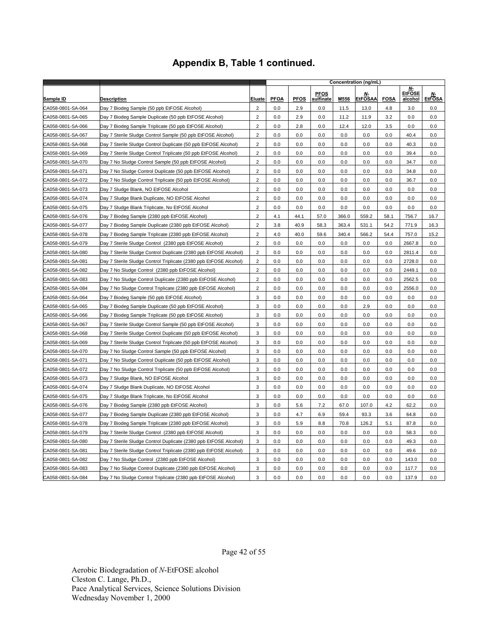|                   |                                                                   |                         |             |             |                          | Concentration (ng/mL) |                      |             |                                |                     |
|-------------------|-------------------------------------------------------------------|-------------------------|-------------|-------------|--------------------------|-----------------------|----------------------|-------------|--------------------------------|---------------------|
| Sample ID         | <b>Description</b>                                                | Eluate                  | <b>PFOA</b> | <b>PFOS</b> | <b>PFOS</b><br>sulfinate | M556                  | Ν-<br><b>EtFOSAA</b> | <b>FOSA</b> | Ν-<br><b>EtFOSE</b><br>alcohol | Ν-<br><b>EtFOSA</b> |
| CA058-0801-SA-064 | Day 7 Biodeg Sample (50 ppb EtFOSE Alcohol)                       | $\overline{2}$          | 0.0         | 2.9         | 0.0                      | 11.5                  | 13.0                 | 4.8         | 3.0                            | 0.0                 |
| CA058-0801-SA-065 | Day 7 Biodeg Sample Duplicate (50 ppb EtFOSE Alcohol)             | $\overline{c}$          | 0.0         | 2.9         | 0.0                      | 11.2                  | 11.9                 | 3.2         | 0.0                            | 0.0                 |
| CA058-0801-SA-066 | Day 7 Biodeg Sample Triplicate (50 ppb EtFOSE Alcohol)            | $\overline{2}$          | 0.0         | 2.8         | 0.0                      | 12.4                  | 12.0                 | 3.5         | 0.0                            | 0.0                 |
| CA058-0801-SA-067 | Day 7 Sterile Sludge Control Sample (50 ppb EtFOSE Alcohol)       | $\overline{c}$          | 0.0         | 0.0         | 0.0                      | 0.0                   | 0.0                  | 0.0         | 40.4                           | 0.0                 |
| CA058-0801-SA-068 | Day 7 Sterile Sludge Control Duplicate (50 ppb EtFOSE Alcohol)    | $\overline{2}$          | 0.0         | 0.0         | 0.0                      | 0.0                   | 0.0                  | 0.0         | 40.3                           | 0.0                 |
| CA058-0801-SA-069 | Day 7 Sterile Sludge Control Triplicate (50 ppb EtFOSE Alcohol)   | $\overline{2}$          | 0.0         | 0.0         | 0.0                      | 0.0                   | 0.0                  | 0.0         | 39.4                           | 0.0                 |
| CA058-0801-SA-070 | Day 7 No Sludge Control Sample (50 ppb EtFOSE Alcohol)            | $\overline{2}$          | 0.0         | 0.0         | 0.0                      | 0.0                   | 0.0                  | 0.0         | 34.7                           | 0.0                 |
| CA058-0801-SA-071 | Day 7 No Sludge Control Duplicate (50 ppb EtFOSE Alcohol)         | $\mathbf 2$             | 0.0         | 0.0         | 0.0                      | 0.0                   | 0.0                  | 0.0         | 34.8                           | 0.0                 |
| CA058-0801-SA-072 | Day 7 No Sludge Control Triplicate (50 ppb EtFOSE Alcohol)        | $\overline{2}$          | 0.0         | 0.0         | 0.0                      | 0.0                   | 0.0                  | 0.0         | 36.7                           | 0.0                 |
| CA058-0801-SA-073 | Day 7 Sludge Blank, NO EtFOSE Alcohol                             | $\overline{2}$          | 0.0         | 0.0         | 0.0                      | 0.0                   | 0.0                  | 0.0         | 0.0                            | 0.0                 |
| CA058-0801-SA-074 | Day 7 Sludge Blank Duplicate, NO EtFOSE Alcohol                   | $\overline{2}$          | 0.0         | 0.0         | 0.0                      | 0.0                   | 0.0                  | 0.0         | 0.0                            | 0.0                 |
| CA058-0801-SA-075 | Day 7 Sludge Blank Triplicate, No EtFOSE Alcohol                  | $\overline{2}$          | 0.0         | 0.0         | 0.0                      | 0.0                   | 0.0                  | 0.0         | 0.0                            | 0.0                 |
| CA058-0801-SA-076 | Day 7 Biodeg Sample (2380 ppb EtFOSE Alcohol)                     | $\overline{2}$          | 4.1         | 44.1        | 57.0                     | 366.0                 | 559.2                | 58.1        | 756.7                          | 16.7                |
| CA058-0801-SA-077 | Day 7 Biodeg Sample Duplicate (2380 ppb EtFOSE Alcohol)           | $\overline{2}$          | 3.8         | 40.9        | 58.3                     | 363.4                 | 531.1                | 54.2        | 771.9                          | 16.3                |
| CA058-0801-SA-078 | Day 7 Biodeg Sample Triplicate (2380 ppb EtFOSE Alcohol)          | $\mathbf 2$             | 4.0         | 40.0        | 59.6                     | 340.4                 | 566.2                | 54.4        | 757.0                          | 15.2                |
| CA058-0801-SA-079 | Day 7 Sterile Sludge Control (2380 ppb EtFOSE Alcohol)            | $\overline{2}$          | 0.0         | 0.0         | 0.0                      | 0.0                   | 0.0                  | 0.0         | 2667.8                         | 0.0                 |
| CA058-0801-SA-080 | Day 7 Sterile Sludge Control Duplicate (2380 ppb EtFOSE Alcohol)  | $\overline{2}$          | 0.0         | 0.0         | 0.0                      | 0.0                   | 0.0                  | 0.0         | 2811.4                         | 0.0                 |
| CA058-0801-SA-081 | Day 7 Sterile Sludge Control Triplicate (2380 ppb EtFOSE Alcohol) | $\overline{\mathbf{c}}$ | 0.0         | 0.0         | 0.0                      | 0.0                   | 0.0                  | 0.0         | 2728.0                         | 0.0                 |
| CA058-0801-SA-082 | Day 7 No Sludge Control (2380 ppb EtFOSE Alcohol)                 | $\overline{2}$          | 0.0         | 0.0         | 0.0                      | 0.0                   | 0.0                  | 0.0         | 2449.1                         | 0.0                 |
| CA058-0801-SA-083 | Day 7 No Sludge Control Duplicate (2380 ppb EtFOSE Alcohol)       | $\overline{c}$          | 0.0         | 0.0         | 0.0                      | 0.0                   | 0.0                  | 0.0         | 2562.5                         | 0.0                 |
| CA058-0801-SA-084 | Day 7 No Sludge Control Triplicate (2380 ppb EtFOSE Alcohol)      | $\overline{2}$          | 0.0         | 0.0         | 0.0                      | 0.0                   | 0.0                  | 0.0         | 2556.0                         | 0.0                 |
| CA058-0801-SA-064 | Day 7 Biodeg Sample (50 ppb EtFOSE Alcohol)                       | 3                       | 0.0         | 0.0         | 0.0                      | 0.0                   | 0.0                  | 0.0         | 0.0                            | 0.0                 |
| CA058-0801-SA-065 | Day 7 Biodeg Sample Duplicate (50 ppb EtFOSE Alcohol)             | 3                       | 0.0         | 0.0         | 0.0                      | 0.0                   | 2.9                  | 0.0         | 0.0                            | 0.0                 |
| CA058-0801-SA-066 | Day 7 Biodeg Sample Triplicate (50 ppb EtFOSE Alcohol)            | 3                       | 0.0         | 0.0         | 0.0                      | 0.0                   | 0.0                  | 0.0         | 0.0                            | 0.0                 |
| CA058-0801-SA-067 | Day 7 Sterile Sludge Control Sample (50 ppb EtFOSE Alcohol)       | 3                       | 0.0         | 0.0         | 0.0                      | 0.0                   | 0.0                  | 0.0         | 0.0                            | 0.0                 |
| CA058-0801-SA-068 | Day 7 Sterile Sludge Control Duplicate (50 ppb EtFOSE Alcohol)    | 3                       | 0.0         | 0.0         | 0.0                      | 0.0                   | 0.0                  | 0.0         | 0.0                            | 0.0                 |
| CA058-0801-SA-069 | Day 7 Sterile Sludge Control Triplicate (50 ppb EtFOSE Alcohol)   | 3                       | 0.0         | 0.0         | 0.0                      | 0.0                   | 0.0                  | 0.0         | 0.0                            | 0.0                 |
| CA058-0801-SA-070 | Day 7 No Sludge Control Sample (50 ppb EtFOSE Alcohol)            | 3                       | 0.0         | 0.0         | 0.0                      | 0.0                   | 0.0                  | 0.0         | 0.0                            | 0.0                 |
| CA058-0801-SA-071 | Day 7 No Sludge Control Duplicate (50 ppb EtFOSE Alcohol)         | 3                       | 0.0         | 0.0         | 0.0                      | 0.0                   | 0.0                  | 0.0         | 0.0                            | 0.0                 |
| CA058-0801-SA-072 | Day 7 No Sludge Control Triplicate (50 ppb EtFOSE Alcohol)        | 3                       | 0.0         | 0.0         | 0.0                      | 0.0                   | 0.0                  | 0.0         | 0.0                            | 0.0                 |
| CA058-0801-SA-073 | Day 7 Sludge Blank, NO EtFOSE Alcohol                             | 3                       | 0.0         | 0.0         | 0.0                      | 0.0                   | 0.0                  | 0.0         | 0.0                            | 0.0                 |
| CA058-0801-SA-074 | Day 7 Sludge Blank Duplicate, NO EtFOSE Alcohol                   | 3                       | 0.0         | 0.0         | 0.0                      | 0.0                   | 0.0                  | 0.0         | 0.0                            | 0.0                 |
| CA058-0801-SA-075 | Day 7 Sludge Blank Triplicate, No EtFOSE Alcohol                  | 3                       | 0.0         | 0.0         | 0.0                      | 0.0                   | 0.0                  | 0.0         | 0.0                            | 0.0                 |
| CA058-0801-SA-076 | Day 7 Biodeg Sample (2380 ppb EtFOSE Alcohol)                     | 3                       | 0.0         | 5.6         | 7.2                      | 67.0                  | 107.0                | 4.2         | 62.2                           | 0.0                 |
| CA058-0801-SA-077 | Day 7 Biodeg Sample Duplicate (2380 ppb EtFOSE Alcohol)           | 3                       | 0.0         | 4.7         | 6.9                      | 59.4                  | 93.3                 | 3.6         | 64.8                           | 0.0                 |
| CA058-0801-SA-078 | Day 7 Biodeg Sample Triplicate (2380 ppb EtFOSE Alcohol)          | 3                       | 0.0         | 5.9         | 8.8                      | 70.8                  | 126.2                | 5.1         | 87.8                           | 0.0                 |
| CA058-0801-SA-079 | Day 7 Sterile Sludge Control (2380 ppb EtFOSE Alcohol)            | 3                       | 0.0         | 0.0         | 0.0                      | 0.0                   | 0.0                  | 0.0         | 58.3                           | 0.0                 |
| CA058-0801-SA-080 | Day 7 Sterile Sludge Control Duplicate (2380 ppb EtFOSE Alcohol)  | 3                       | 0.0         | 0.0         | 0.0                      | 0.0                   | 0.0                  | 0.0         | 49.3                           | 0.0                 |
| CA058-0801-SA-081 | Day 7 Sterile Sludge Control Triplicate (2380 ppb EtFOSE Alcohol) | 3                       | 0.0         | 0.0         | 0.0                      | 0.0                   | 0.0                  | 0.0         | 49.6                           | 0.0                 |
| CA058-0801-SA-082 | Day 7 No Sludge Control (2380 ppb EtFOSE Alcohol)                 | 3                       | 0.0         | 0.0         | 0.0                      | 0.0                   | 0.0                  | 0.0         | 143.0                          | 0.0                 |
| CA058-0801-SA-083 | Day 7 No Sludge Control Duplicate (2380 ppb EtFOSE Alcohol)       | 3                       | 0.0         | 0.0         | 0.0                      | 0.0                   | 0.0                  | 0.0         | 117.7                          | 0.0                 |
| CA058-0801-SA-084 | Day 7 No Sludge Control Triplicate (2380 ppb EtFOSE Alcohol)      | 3                       | 0.0         | 0.0         | 0.0                      | 0.0                   | 0.0                  | 0.0         | 137.9                          | 0.0                 |

Page 42 of 55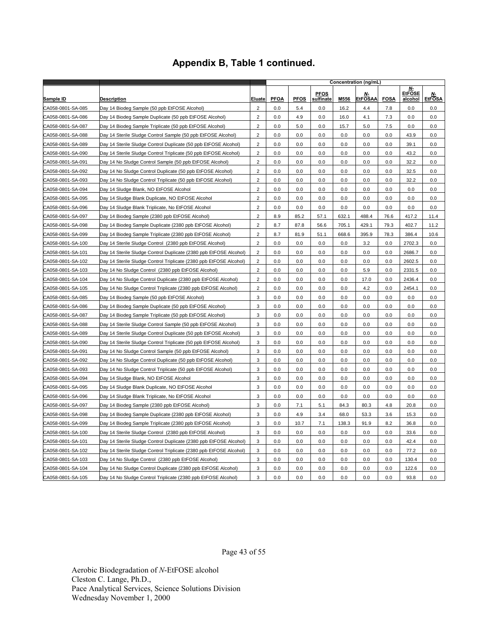|                   |                                                                    |                         |             |             |                          |       | Concentration (ng/mL)       |             |                                |                            |
|-------------------|--------------------------------------------------------------------|-------------------------|-------------|-------------|--------------------------|-------|-----------------------------|-------------|--------------------------------|----------------------------|
| <u>Sample ID</u>  | <b>Description</b>                                                 | <b>Eluate</b>           | <b>PFOA</b> | <b>PFOS</b> | <b>PFOS</b><br>sulfinate | M556  | <u>N.</u><br><b>EtFOSAA</b> | <b>FOSA</b> | N-<br><b>EtFOSE</b><br>alcohol | <u>N-</u><br><b>EtFOSA</b> |
| CA058-0801-SA-085 | Day 14 Biodeg Sample (50 ppb EtFOSE Alcohol)                       | $\overline{2}$          | 0.0         | 5.4         | 0.0                      | 16.2  | 4.4                         | 7.8         | 0.0                            | 0.0                        |
| CA058-0801-SA-086 | Day 14 Biodeg Sample Duplicate (50 ppb EtFOSE Alcohol)             | $\overline{2}$          | 0.0         | 4.9         | 0.0                      | 16.0  | 4.1                         | 7.3         | 0.0                            | 0.0                        |
| CA058-0801-SA-087 | Day 14 Biodeg Sample Triplicate (50 ppb EtFOSE Alcohol)            | 2                       | 0.0         | 5.0         | 0.0                      | 15.7  | 5.0                         | 7.5         | 0.0                            | 0.0                        |
| CA058-0801-SA-088 | Day 14 Sterile Sludge Control Sample (50 ppb EtFOSE Alcohol)       | $\overline{2}$          | 0.0         | 0.0         | 0.0                      | 0.0   | 0.0                         | 0.0         | 43.9                           | 0.0                        |
| CA058-0801-SA-089 | Day 14 Sterile Sludge Control Duplicate (50 ppb EtFOSE Alcohol)    | $\overline{c}$          | 0.0         | 0.0         | 0.0                      | 0.0   | 0.0                         | 0.0         | 39.1                           | 0.0                        |
| CA058-0801-SA-090 | Day 14 Sterile Sludge Control Triplicate (50 ppb EtFOSE Alcohol)   | $\mathbf 2$             | 0.0         | 0.0         | 0.0                      | 0.0   | 0.0                         | 0.0         | 43.2                           | 0.0                        |
| CA058-0801-SA-091 | Day 14 No Sludge Control Sample (50 ppb EtFOSE Alcohol)            | $\overline{2}$          | 0.0         | 0.0         | 0.0                      | 0.0   | 0.0                         | 0.0         | 32.2                           | 0.0                        |
| CA058-0801-SA-092 | Day 14 No Sludge Control Duplicate (50 ppb EtFOSE Alcohol)         | $\overline{c}$          | 0.0         | 0.0         | 0.0                      | 0.0   | 0.0                         | 0.0         | 32.5                           | 0.0                        |
| CA058-0801-SA-093 | Day 14 No Sludge Control Triplicate (50 ppb EtFOSE Alcohol)        | $\overline{\mathbf{c}}$ | 0.0         | 0.0         | 0.0                      | 0.0   | 0.0                         | 0.0         | 32.2                           | 0.0                        |
| CA058-0801-SA-094 | Day 14 Sludge Blank, NO EtFOSE Alcohol                             | $\overline{2}$          | 0.0         | 0.0         | 0.0                      | 0.0   | 0.0                         | 0.0         | 0.0                            | 0.0                        |
| CA058-0801-SA-095 | Day 14 Sludge Blank Duplicate, NO EtFOSE Alcohol                   | $\overline{c}$          | 0.0         | 0.0         | 0.0                      | 0.0   | 0.0                         | 0.0         | 0.0                            | 0.0                        |
| CA058-0801-SA-096 | Day 14 Sludge Blank Triplicate, No EtFOSE Alcohol                  | $\overline{2}$          | 0.0         | 0.0         | 0.0                      | 0.0   | 0.0                         | 0.0         | 0.0                            | 0.0                        |
| CA058-0801-SA-097 | Day 14 Biodeg Sample (2380 ppb EtFOSE Alcohol)                     | $\overline{2}$          | 8.9         | 85.2        | 57.1                     | 632.1 | 488.4                       | 76.6        | 417.2                          | 11.4                       |
| CA058-0801-SA-098 | Day 14 Biodeg Sample Duplicate (2380 ppb EtFOSE Alcohol)           | $\overline{c}$          | 8.7         | 87.8        | 56.6                     | 705.1 | 429.1                       | 79.3        | 402.7                          | 11.2                       |
| CA058-0801-SA-099 | Day 14 Biodeg Sample Triplicate (2380 ppb EtFOSE Alcohol)          | $\overline{\mathbf{c}}$ | 8.7         | 81.9        | 51.1                     | 668.6 | 395.9                       | 78.3        | 386.4                          | 10.6                       |
| CA058-0801-SA-100 | Day 14 Sterile Sludge Control (2380 ppb EtFOSE Alcohol)            | $\overline{2}$          | 0.0         | 0.0         | 0.0                      | 0.0   | 3.2                         | 0.0         | 2702.3                         | 0.0                        |
| CA058-0801-SA-101 | Day 14 Sterile Sludge Control Duplicate (2380 ppb EtFOSE Alcohol)  | $\overline{c}$          | 0.0         | 0.0         | 0.0                      | 0.0   | 0.0                         | 0.0         | 2686.7                         | 0.0                        |
| CA058-0801-SA-102 | Day 14 Sterile Sludge Control Triplicate (2380 ppb EtFOSE Alcohol) | $\boldsymbol{2}$        | 0.0         | 0.0         | 0.0                      | 0.0   | 0.0                         | 0.0         | 2602.5                         | 0.0                        |
| CA058-0801-SA-103 | Day 14 No Sludge Control (2380 ppb EtFOSE Alcohol)                 | $\overline{2}$          | 0.0         | 0.0         | 0.0                      | 0.0   | 5.9                         | 0.0         | 2331.5                         | 0.0                        |
| CA058-0801-SA-104 | Day 14 No Sludge Control Duplicate (2380 ppb EtFOSE Alcohol)       | $\overline{\mathbf{c}}$ | 0.0         | 0.0         | 0.0                      | 0.0   | 17.0                        | 0.0         | 2436.4                         | 0.0                        |
| CA058-0801-SA-105 | Day 14 No Sludge Control Triplicate (2380 ppb EtFOSE Alcohol)      | $\overline{2}$          | 0.0         | 0.0         | 0.0                      | 0.0   | 4.2                         | 0.0         | 2454.1                         | 0.0                        |
| CA058-0801-SA-085 | Day 14 Biodeg Sample (50 ppb EtFOSE Alcohol)                       | 3                       | 0.0         | 0.0         | 0.0                      | 0.0   | 0.0                         | 0.0         | 0.0                            | 0.0                        |
| CA058-0801-SA-086 | Day 14 Biodeg Sample Duplicate (50 ppb EtFOSE Alcohol)             | 3                       | 0.0         | 0.0         | 0.0                      | 0.0   | 0.0                         | 0.0         | 0.0                            | 0.0                        |
| CA058-0801-SA-087 | Day 14 Biodeg Sample Triplicate (50 ppb EtFOSE Alcohol)            | 3                       | 0.0         | 0.0         | 0.0                      | 0.0   | 0.0                         | 0.0         | 0.0                            | 0.0                        |
| CA058-0801-SA-088 | Day 14 Sterile Sludge Control Sample (50 ppb EtFOSE Alcohol)       | 3                       | 0.0         | 0.0         | 0.0                      | 0.0   | 0.0                         | 0.0         | 0.0                            | 0.0                        |
| CA058-0801-SA-089 | Day 14 Sterile Sludge Control Duplicate (50 ppb EtFOSE Alcohol)    | 3                       | 0.0         | 0.0         | 0.0                      | 0.0   | 0.0                         | 0.0         | 0.0                            | 0.0                        |
| CA058-0801-SA-090 | Day 14 Sterile Sludge Control Triplicate (50 ppb EtFOSE Alcohol)   | 3                       | 0.0         | 0.0         | 0.0                      | 0.0   | 0.0                         | 0.0         | 0.0                            | 0.0                        |
| CA058-0801-SA-091 | Day 14 No Sludge Control Sample (50 ppb EtFOSE Alcohol)            | 3                       | 0.0         | 0.0         | 0.0                      | 0.0   | 0.0                         | 0.0         | 0.0                            | 0.0                        |
| CA058-0801-SA-092 | Day 14 No Sludge Control Duplicate (50 ppb EtFOSE Alcohol)         | 3                       | 0.0         | 0.0         | 0.0                      | 0.0   | 0.0                         | 0.0         | 0.0                            | 0.0                        |
| CA058-0801-SA-093 | Day 14 No Sludge Control Triplicate (50 ppb EtFOSE Alcohol)        | 3                       | 0.0         | 0.0         | 0.0                      | 0.0   | 0.0                         | 0.0         | 0.0                            | 0.0                        |
| CA058-0801-SA-094 | Day 14 Sludge Blank, NO EtFOSE Alcohol                             | 3                       | 0.0         | 0.0         | 0.0                      | 0.0   | 0.0                         | 0.0         | 0.0                            | 0.0                        |
| CA058-0801-SA-095 | Day 14 Sludge Blank Duplicate, NO EtFOSE Alcohol                   | 3                       | 0.0         | 0.0         | 0.0                      | 0.0   | 0.0                         | 0.0         | 0.0                            | 0.0                        |
| CA058-0801-SA-096 | Day 14 Sludge Blank Triplicate, No EtFOSE Alcohol                  | 3                       | 0.0         | 0.0         | 0.0                      | 0.0   | 0.0                         | 0.0         | 0.0                            | 0.0                        |
| CA058-0801-SA-097 | Day 14 Biodeg Sample (2380 ppb EtFOSE Alcohol)                     | 3                       | 0.0         | 7.1         | 5.1                      | 84.3  | 80.3                        | 4.8         | 20.8                           | 0.0                        |
| CA058-0801-SA-098 | Day 14 Biodeg Sample Duplicate (2380 ppb EtFOSE Alcohol)           | 3                       | 0.0         | 4.9         | 3.4                      | 68.0  | 53.3                        | 3.6         | 15.3                           | 0.0                        |
| CA058-0801-SA-099 | Day 14 Biodeg Sample Triplicate (2380 ppb EtFOSE Alcohol)          | 3                       | 0.0         | 10.7        | 7.1                      | 138.3 | 91.9                        | 8.2         | 36.8                           | 0.0                        |
| CA058-0801-SA-100 | Day 14 Sterile Sludge Control (2380 ppb EtFOSE Alcohol)            | 3                       | 0.0         | 0.0         | 0.0                      | 0.0   | 0.0                         | 0.0         | 33.6                           | 0.0                        |
| CA058-0801-SA-101 | Day 14 Sterile Sludge Control Duplicate (2380 ppb EtFOSE Alcohol)  | 3                       | 0.0         | 0.0         | $0.0\,$                  | 0.0   | 0.0                         | $0.0\,$     | 42.4                           | 0.0                        |
| CA058-0801-SA-102 | Day 14 Sterile Sludge Control Triplicate (2380 ppb EtFOSE Alcohol) | 3                       | 0.0         | 0.0         | 0.0                      | 0.0   | 0.0                         | 0.0         | 77.2                           | 0.0                        |
| CA058-0801-SA-103 | Day 14 No Sludge Control (2380 ppb EtFOSE Alcohol)                 | 3                       | 0.0         | 0.0         | 0.0                      | 0.0   | 0.0                         | 0.0         | 130.4                          | 0.0                        |
| CA058-0801-SA-104 | Day 14 No Sludge Control Duplicate (2380 ppb EtFOSE Alcohol)       | 3                       | 0.0         | 0.0         | 0.0                      | 0.0   | 0.0                         | 0.0         | 122.6                          | 0.0                        |
| CA058-0801-SA-105 | Day 14 No Sludge Control Triplicate (2380 ppb EtFOSE Alcohol)      | 3                       | 0.0         | 0.0         | 0.0                      | 0.0   | 0.0                         | 0.0         | 93.8                           | 0.0                        |

Page 43 of 55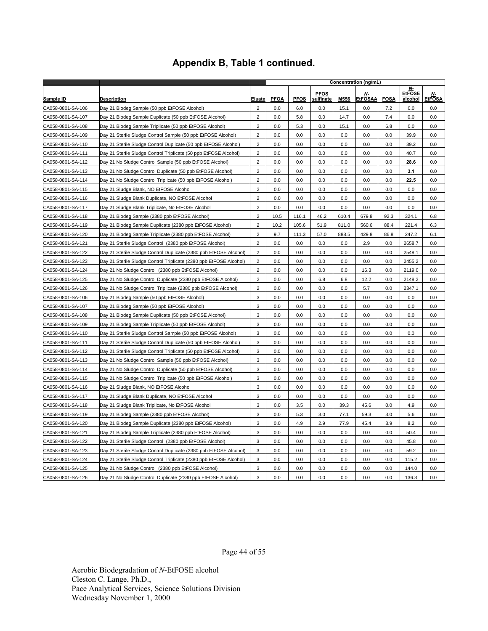|                   |                                                                    |                         | Concentration (ng/mL) |             |                          |       |                      |             |                                       |                     |
|-------------------|--------------------------------------------------------------------|-------------------------|-----------------------|-------------|--------------------------|-------|----------------------|-------------|---------------------------------------|---------------------|
| <u>Sample ID</u>  | <b>Description</b>                                                 | Eluate                  | <b>PFOA</b>           | <b>PFOS</b> | <b>PFOS</b><br>sulfinate | M556  | Ν-<br><b>EtFOSAA</b> | <b>FOSA</b> | N-<br><b>EtFOSE</b><br><u>alcohol</u> | Ν-<br><b>EtFOSA</b> |
| CA058-0801-SA-106 | Day 21 Biodeg Sample (50 ppb EtFOSE Alcohol)                       | $\overline{2}$          | 0.0                   | 6.0         | 0.0                      | 15.1  | 0.0                  | 7.2         | 0.0                                   | 0.0                 |
| CA058-0801-SA-107 | Day 21 Biodeg Sample Duplicate (50 ppb EtFOSE Alcohol)             | $\overline{2}$          | 0.0                   | 5.8         | 0.0                      | 14.7  | 0.0                  | 7.4         | 0.0                                   | 0.0                 |
| CA058-0801-SA-108 | Day 21 Biodeg Sample Triplicate (50 ppb EtFOSE Alcohol)            | 2                       | 0.0                   | 5.3         | 0.0                      | 15.1  | 0.0                  | 6.8         | 0.0                                   | 0.0                 |
| CA058-0801-SA-109 | Day 21 Sterile Sludge Control Sample (50 ppb EtFOSE Alcohol)       | $\overline{c}$          | 0.0                   | 0.0         | 0.0                      | 0.0   | 0.0                  | 0.0         | 39.9                                  | 0.0                 |
| CA058-0801-SA-110 | Day 21 Sterile Sludge Control Duplicate (50 ppb EtFOSE Alcohol)    | $\overline{2}$          | 0.0                   | 0.0         | 0.0                      | 0.0   | 0.0                  | 0.0         | 39.2                                  | 0.0                 |
| CA058-0801-SA-111 | Day 21 Sterile Sludge Control Triplicate (50 ppb EtFOSE Alcohol)   | 2                       | 0.0                   | 0.0         | 0.0                      | 0.0   | 0.0                  | 0.0         | 40.7                                  | 0.0                 |
| CA058-0801-SA-112 | Day 21 No Sludge Control Sample (50 ppb EtFOSE Alcohol)            | $\overline{2}$          | 0.0                   | 0.0         | 0.0                      | 0.0   | 0.0                  | 0.0         | 28.6                                  | 0.0                 |
| CA058-0801-SA-113 | Day 21 No Sludge Control Duplicate (50 ppb EtFOSE Alcohol)         | $\boldsymbol{2}$        | 0.0                   | 0.0         | 0.0                      | 0.0   | 0.0                  | 0.0         | 3.1                                   | 0.0                 |
| CA058-0801-SA-114 | Day 21 No Sludge Control Triplicate (50 ppb EtFOSE Alcohol)        | 2                       | 0.0                   | 0.0         | 0.0                      | 0.0   | 0.0                  | 0.0         | 22.5                                  | 0.0                 |
| CA058-0801-SA-115 | Day 21 Sludge Blank, NO EtFOSE Alcohol                             | $\overline{c}$          | 0.0                   | 0.0         | 0.0                      | 0.0   | 0.0                  | 0.0         | 0.0                                   | 0.0                 |
| CA058-0801-SA-116 | Day 21 Sludge Blank Duplicate, NO EtFOSE Alcohol                   | $\overline{c}$          | 0.0                   | 0.0         | 0.0                      | 0.0   | 0.0                  | 0.0         | 0.0                                   | 0.0                 |
| CA058-0801-SA-117 | Day 21 Sludge Blank Triplicate, No EtFOSE Alcohol                  | $\overline{2}$          | 0.0                   | 0.0         | 0.0                      | 0.0   | 0.0                  | 0.0         | 0.0                                   | 0.0                 |
| CA058-0801-SA-118 | Day 21 Biodeg Sample (2380 ppb EtFOSE Alcohol)                     | $\overline{2}$          | 10.5                  | 116.1       | 46.2                     | 610.4 | 679.8                | 92.3        | 324.1                                 | 6.8                 |
| CA058-0801-SA-119 | Day 21 Biodeg Sample Duplicate (2380 ppb EtFOSE Alcohol)           | $\overline{c}$          | 10.2                  | 105.6       | 51.9                     | 811.0 | 560.6                | 88.4        | 221.4                                 | 6.3                 |
| CA058-0801-SA-120 | Day 21 Biodeg Sample Triplicate (2380 ppb EtFOSE Alcohol)          | $\overline{c}$          | 9.7                   | 111.3       | 57.0                     | 888.5 | 429.8                | 86.8        | 247.2                                 | 6.1                 |
| CA058-0801-SA-121 | Day 21 Sterile Sludge Control (2380 ppb EtFOSE Alcohol)            | $\overline{2}$          | 0.0                   | 0.0         | 0.0                      | 0.0   | 2.9                  | 0.0         | 2658.7                                | 0.0                 |
| CA058-0801-SA-122 | Day 21 Sterile Sludge Control Duplicate (2380 ppb EtFOSE Alcohol)  | $\overline{\mathbf{c}}$ | 0.0                   | 0.0         | 0.0                      | 0.0   | 0.0                  | 0.0         | 2548.1                                | 0.0                 |
| CA058-0801-SA-123 | Day 21 Sterile Sludge Control Triplicate (2380 ppb EtFOSE Alcohol) | $\sqrt{2}$              | 0.0                   | 0.0         | 0.0                      | 0.0   | 0.0                  | 0.0         | 2455.2                                | 0.0                 |
| CA058-0801-SA-124 | Day 21 No Sludge Control (2380 ppb EtFOSE Alcohol)                 | $\overline{2}$          | 0.0                   | 0.0         | 0.0                      | 0.0   | 16.3                 | 0.0         | 2119.0                                | 0.0                 |
| CA058-0801-SA-125 | Day 21 No Sludge Control Duplicate (2380 ppb EtFOSE Alcohol)       | $\overline{2}$          | 0.0                   | 0.0         | 6.8                      | 6.8   | 12.2                 | 0.0         | 2148.2                                | 0.0                 |
| CA058-0801-SA-126 | Day 21 No Sludge Control Triplicate (2380 ppb EtFOSE Alcohol)      | $\boldsymbol{2}$        | 0.0                   | 0.0         | 0.0                      | 0.0   | 5.7                  | 0.0         | 2347.1                                | 0.0                 |
| CA058-0801-SA-106 | Day 21 Biodeg Sample (50 ppb EtFOSE Alcohol)                       | 3                       | 0.0                   | 0.0         | 0.0                      | 0.0   | 0.0                  | 0.0         | 0.0                                   | 0.0                 |
| CA058-0801-SA-107 | Day 21 Biodeg Sample (50 ppb EtFOSE Alcohol)                       | 3                       | 0.0                   | 0.0         | 0.0                      | 0.0   | 0.0                  | 0.0         | 0.0                                   | 0.0                 |
| CA058-0801-SA-108 | Day 21 Biodeg Sample Duplicate (50 ppb EtFOSE Alcohol)             | 3                       | 0.0                   | 0.0         | 0.0                      | 0.0   | 0.0                  | 0.0         | 0.0                                   | 0.0                 |
| CA058-0801-SA-109 | Day 21 Biodeg Sample Triplicate (50 ppb EtFOSE Alcohol)            | 3                       | 0.0                   | 0.0         | 0.0                      | 0.0   | 0.0                  | 0.0         | 0.0                                   | 0.0                 |
| CA058-0801-SA-110 | Day 21 Sterile Sludge Control Sample (50 ppb EtFOSE Alcohol)       | 3                       | 0.0                   | 0.0         | 0.0                      | 0.0   | 0.0                  | 0.0         | 0.0                                   | 0.0                 |
| CA058-0801-SA-111 | Day 21 Sterile Sludge Control Duplicate (50 ppb EtFOSE Alcohol)    | 3                       | 0.0                   | 0.0         | 0.0                      | 0.0   | 0.0                  | 0.0         | 0.0                                   | 0.0                 |
| CA058-0801-SA-112 | Day 21 Sterile Sludge Control Triplicate (50 ppb EtFOSE Alcohol)   | 3                       | 0.0                   | 0.0         | 0.0                      | 0.0   | 0.0                  | 0.0         | 0.0                                   | 0.0                 |
| CA058-0801-SA-113 | Day 21 No Sludge Control Sample (50 ppb EtFOSE Alcohol)            | 3                       | 0.0                   | 0.0         | $0.0\,$                  | 0.0   | 0.0                  | 0.0         | 0.0                                   | 0.0                 |
| CA058-0801-SA-114 | Day 21 No Sludge Control Duplicate (50 ppb EtFOSE Alcohol)         | 3                       | 0.0                   | 0.0         | 0.0                      | 0.0   | 0.0                  | 0.0         | 0.0                                   | 0.0                 |
| CA058-0801-SA-115 | Day 21 No Sludge Control Triplicate (50 ppb EtFOSE Alcohol)        | 3                       | 0.0                   | 0.0         | 0.0                      | 0.0   | 0.0                  | 0.0         | 0.0                                   | 0.0                 |
| CA058-0801-SA-116 | Day 21 Sludge Blank, NO EtFOSE Alcohol                             | 3                       | 0.0                   | 0.0         | 0.0                      | 0.0   | 0.0                  | 0.0         | 0.0                                   | 0.0                 |
| CA058-0801-SA-117 | Day 21 Sludge Blank Duplicate, NO EtFOSE Alcohol                   | 3                       | 0.0                   | 0.0         | 0.0                      | 0.0   | 0.0                  | 0.0         | 0.0                                   | 0.0                 |
| CA058-0801-SA-118 | Day 21 Sludge Blank Triplicate, No EtFOSE Alcohol                  | 3                       | 0.0                   | 3.5         | 0.0                      | 39.3  | 45.6                 | 0.0         | 4.9                                   | 0.0                 |
| CA058-0801-SA-119 | Day 21 Biodeg Sample (2380 ppb EtFOSE Alcohol)                     | 3                       | 0.0                   | 5.3         | 3.0                      | 77.1  | 59.3                 | 3.0         | 5.6                                   | 0.0                 |
| CA058-0801-SA-120 | Day 21 Biodeg Sample Duplicate (2380 ppb EtFOSE Alcohol)           | 3                       | 0.0                   | 4.9         | 2.9                      | 77.9  | 45.4                 | 3.9         | 8.2                                   | 0.0                 |
| CA058-0801-SA-121 | Day 21 Biodeg Sample Triplicate (2380 ppb EtFOSE Alcohol)          | 3                       | 0.0                   | 0.0         | 0.0                      | 0.0   | 0.0                  | 0.0         | 50.4                                  | 0.0                 |
| CA058-0801-SA-122 | Day 21 Sterile Sludge Control (2380 ppb EtFOSE Alcohol)            | 3                       | 0.0                   | 0.0         | 0.0                      | 0.0   | 0.0                  | 0.0         | 45.8                                  | 0.0                 |
| CA058-0801-SA-123 | Day 21 Sterile Sludge Control Duplicate (2380 ppb EtFOSE Alcohol)  | 3                       | 0.0                   | 0.0         | 0.0                      | 0.0   | 0.0                  | 0.0         | 59.2                                  | 0.0                 |
| CA058-0801-SA-124 | Day 21 Sterile Sludge Control Triplicate (2380 ppb EtFOSE Alcohol) | 3                       | 0.0                   | 0.0         | 0.0                      | 0.0   | 0.0                  | 0.0         | 115.2                                 | 0.0                 |
| CA058-0801-SA-125 | Day 21 No Sludge Control (2380 ppb EtFOSE Alcohol)                 | 3                       | 0.0                   | 0.0         | 0.0                      | 0.0   | 0.0                  | 0.0         | 144.0                                 | 0.0                 |
| CA058-0801-SA-126 | Day 21 No Sludge Control Duplicate (2380 ppb EtFOSE Alcohol)       | 3                       | 0.0                   | 0.0         | 0.0                      | 0.0   | 0.0                  | 0.0         | 136.3                                 | 0.0                 |

Page 44 of 55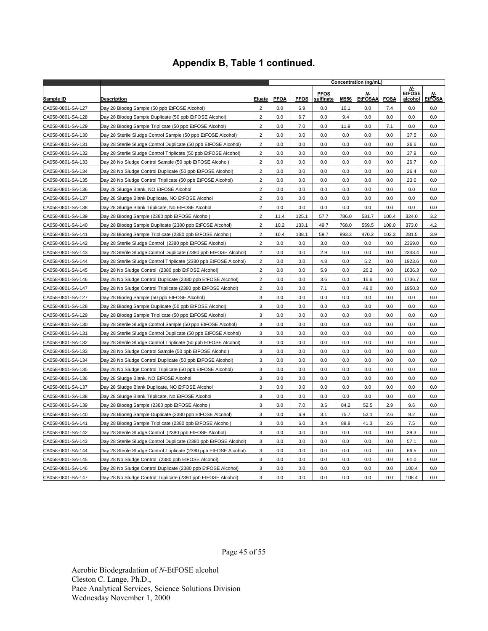|                   |                                                                    |                         |             |             |                          |       | Concentration (ng/mL) |             |                                |                     |
|-------------------|--------------------------------------------------------------------|-------------------------|-------------|-------------|--------------------------|-------|-----------------------|-------------|--------------------------------|---------------------|
| Sample ID         | Description                                                        | Eluate                  | <b>PFOA</b> | <b>PFOS</b> | <b>PFOS</b><br>sulfinate | M556  | Ν-<br><b>EtFOSAA</b>  | <b>FOSA</b> | N-<br><b>EtFOSE</b><br>alcohol | Ν-<br><b>EtFOSA</b> |
| CA058-0801-SA-127 | Day 28 Biodeg Sample (50 ppb EtFOSE Alcohol)                       | $\overline{2}$          | 0.0         | 6.9         | 0.0                      | 10.1  | 0.0                   | 7.4         | 0.0                            | 0.0                 |
| CA058-0801-SA-128 | Day 28 Biodeg Sample Duplicate (50 ppb EtFOSE Alcohol)             | $\overline{c}$          | 0.0         | 6.7         | 0.0                      | 9.4   | 0.0                   | 8.0         | 0.0                            | 0.0                 |
| CA058-0801-SA-129 | Day 28 Biodeg Sample Triplicate (50 ppb EtFOSE Alcohol)            | $\overline{2}$          | 0.0         | 7.0         | 0.0                      | 11.9  | 0.0                   | 7.1         | 0.0                            | 0.0                 |
| CA058-0801-SA-130 | Day 28 Sterile Sludge Control Sample (50 ppb EtFOSE Alcohol)       | $\overline{\mathbf{c}}$ | 0.0         | 0.0         | 0.0                      | 0.0   | 0.0                   | 0.0         | 37.5                           | 0.0                 |
| CA058-0801-SA-131 | Day 28 Sterile Sludge Control Duplicate (50 ppb EtFOSE Alcohol)    | $\overline{2}$          | 0.0         | 0.0         | 0.0                      | 0.0   | 0.0                   | 0.0         | 36.6                           | 0.0                 |
| CA058-0801-SA-132 | Day 28 Sterile Sludge Control Triplicate (50 ppb EtFOSE Alcohol)   | $\overline{\mathbf{c}}$ | 0.0         | 0.0         | 0.0                      | 0.0   | 0.0                   | 0.0         | 37.9                           | 0.0                 |
| CA058-0801-SA-133 | Day 28 No Sludge Control Sample (50 ppb EtFOSE Alcohol)            | $\overline{2}$          | 0.0         | 0.0         | 0.0                      | 0.0   | 0.0                   | 0.0         | 26.7                           | 0.0                 |
| CA058-0801-SA-134 | Day 28 No Sludge Control Duplicate (50 ppb EtFOSE Alcohol)         | $\overline{2}$          | 0.0         | 0.0         | 0.0                      | 0.0   | 0.0                   | 0.0         | 26.4                           | 0.0                 |
| CA058-0801-SA-135 | Day 28 No Sludge Control Triplicate (50 ppb EtFOSE Alcohol)        | $\overline{2}$          | 0.0         | 0.0         | 0.0                      | 0.0   | 0.0                   | 0.0         | 23.0                           | 0.0                 |
| CA058-0801-SA-136 | Day 28 Sludge Blank, NO EtFOSE Alcohol                             | $\overline{\mathbf{c}}$ | 0.0         | 0.0         | 0.0                      | 0.0   | 0.0                   | 0.0         | 0.0                            | 0.0                 |
| CA058-0801-SA-137 | Day 28 Sludge Blank Duplicate, NO EtFOSE Alcohol                   | $\overline{2}$          | 0.0         | 0.0         | 0.0                      | 0.0   | 0.0                   | 0.0         | 0.0                            | 0.0                 |
| CA058-0801-SA-138 | Day 28 Sludge Blank Triplicate, No EtFOSE Alcohol                  | $\overline{2}$          | 0.0         | 0.0         | 0.0                      | 0.0   | 0.0                   | 0.0         | 0.0                            | 0.0                 |
| CA058-0801-SA-139 | Day 28 Biodeg Sample (2380 ppb EtFOSE Alcohol)                     | $\overline{2}$          | 11.4        | 125.1       | 57.7                     | 786.0 | 581.7                 | 100.4       | 324.0                          | 3.2                 |
| CA058-0801-SA-140 | Day 28 Biodeg Sample Duplicate (2380 ppb EtFOSE Alcohol)           | $\overline{2}$          | 10.2        | 133.1       | 49.7                     | 768.0 | 559.5                 | 108.0       | 373.0                          | 4.2                 |
| CA058-0801-SA-141 | Day 28 Biodeg Sample Triplicate (2380 ppb EtFOSE Alcohol)          | $\overline{2}$          | 10.4        | 138.1       | 59.7                     | 893.3 | 470.2                 | 102.3       | 281.5                          | 3.9                 |
| CA058-0801-SA-142 | Day 28 Sterile Sludge Control (2380 ppb EtFOSE Alcohol)            | $\overline{2}$          | 0.0         | 0.0         | 3.0                      | 0.0   | 0.0                   | 0.0         | 2369.0                         | 0.0                 |
| CA058-0801-SA-143 | Day 28 Sterile Sludge Control Duplicate (2380 ppb EtFOSE Alcohol)  | $\overline{2}$          | 0.0         | 0.0         | 2.9                      | 0.0   | 0.0                   | 0.0         | 2343.4                         | 0.0                 |
| CA058-0801-SA-144 | Day 28 Sterile Sludge Control Triplicate (2380 ppb EtFOSE Alcohol) | $\overline{\mathbf{c}}$ | 0.0         | 0.0         | 4.8                      | 0.0   | 5.2                   | 0.0         | 1923.6                         | 0.0                 |
| CA058-0801-SA-145 | Day 28 No Sludge Control (2380 ppb EtFOSE Alcohol)                 | $\overline{2}$          | 0.0         | 0.0         | 5.9                      | 0.0   | 26.2                  | 0.0         | 1636.3                         | 0.0                 |
| CA058-0801-SA-146 | Day 28 No Sludge Control Duplicate (2380 ppb EtFOSE Alcohol)       | $\overline{c}$          | 0.0         | 0.0         | 3.6                      | 0.0   | 16.6                  | 0.0         | 1736.7                         | 0.0                 |
| CA058-0801-SA-147 | Day 28 No Sludge Control Triplicate (2380 ppb EtFOSE Alcohol)      | $\overline{\mathbf{c}}$ | 0.0         | 0.0         | 7.1                      | 0.0   | 49.0                  | 0.0         | 1950.3                         | 0.0                 |
| CA058-0801-SA-127 | Day 28 Biodeg Sample (50 ppb EtFOSE Alcohol)                       | 3                       | 0.0         | 0.0         | 0.0                      | 0.0   | 0.0                   | 0.0         | 0.0                            | 0.0                 |
| CA058-0801-SA-128 | Day 28 Biodeg Sample Duplicate (50 ppb EtFOSE Alcohol)             | 3                       | 0.0         | 0.0         | 0.0                      | 0.0   | 0.0                   | 0.0         | 0.0                            | 0.0                 |
| CA058-0801-SA-129 | Day 28 Biodeg Sample Triplicate (50 ppb EtFOSE Alcohol)            | 3                       | 0.0         | 0.0         | 0.0                      | 0.0   | 0.0                   | 0.0         | 0.0                            | 0.0                 |
| CA058-0801-SA-130 | Day 28 Sterile Sludge Control Sample (50 ppb EtFOSE Alcohol)       | 3                       | 0.0         | 0.0         | 0.0                      | 0.0   | 0.0                   | 0.0         | 0.0                            | 0.0                 |
| CA058-0801-SA-131 | Day 28 Sterile Sludge Control Duplicate (50 ppb EtFOSE Alcohol)    | 3                       | 0.0         | 0.0         | 0.0                      | 0.0   | 0.0                   | 0.0         | 0.0                            | 0.0                 |
| CA058-0801-SA-132 | Day 28 Sterile Sludge Control Triplicate (50 ppb EtFOSE Alcohol)   | 3                       | 0.0         | 0.0         | 0.0                      | 0.0   | 0.0                   | 0.0         | 0.0                            | 0.0                 |
| CA058-0801-SA-133 | Day 28 No Sludge Control Sample (50 ppb EtFOSE Alcohol)            | 3                       | 0.0         | 0.0         | 0.0                      | 0.0   | 0.0                   | 0.0         | 0.0                            | 0.0                 |
| CA058-0801-SA-134 | Day 28 No Sludge Control Duplicate (50 ppb EtFOSE Alcohol)         | 3                       | 0.0         | 0.0         | 0.0                      | 0.0   | 0.0                   | 0.0         | 0.0                            | 0.0                 |
| CA058-0801-SA-135 | Day 28 No Sludge Control Triplicate (50 ppb EtFOSE Alcohol)        | 3                       | 0.0         | 0.0         | 0.0                      | 0.0   | 0.0                   | 0.0         | 0.0                            | 0.0                 |
| CA058-0801-SA-136 | Day 28 Sludge Blank, NO EtFOSE Alcohol                             | 3                       | 0.0         | 0.0         | 0.0                      | 0.0   | 0.0                   | 0.0         | 0.0                            | 0.0                 |
| CA058-0801-SA-137 | Day 28 Sludge Blank Duplicate, NO EtFOSE Alcohol                   | 3                       | 0.0         | 0.0         | 0.0                      | 0.0   | 0.0                   | 0.0         | 0.0                            | 0.0                 |
| CA058-0801-SA-138 | Day 28 Sludge Blank Triplicate, No EtFOSE Alcohol                  | 3                       | 0.0         | 0.0         | 0.0                      | 0.0   | 0.0                   | 0.0         | 0.0                            | 0.0                 |
| CA058-0801-SA-139 | Day 28 Biodeg Sample (2380 ppb EtFOSE Alcohol)                     | 3                       | 0.0         | 7.0         | 3.6                      | 84.2  | 52.5                  | 2.9         | 9.6                            | 0.0                 |
| CA058-0801-SA-140 | Day 28 Biodeg Sample Duplicate (2380 ppb EtFOSE Alcohol)           | 3                       | 0.0         | 6.9         | 3.1                      | 75.7  | 52.1                  | 2.6         | 9.2                            | 0.0                 |
| CA058-0801-SA-141 | Day 28 Biodeg Sample Triplicate (2380 ppb EtFOSE Alcohol)          | 3                       | 0.0         | 6.0         | 3.4                      | 89.8  | 41.3                  | 2.6         | 7.5                            | 0.0                 |
| CA058-0801-SA-142 | Day 28 Sterile Sludge Control (2380 ppb EtFOSE Alcohol)            | 3                       | 0.0         | 0.0         | 0.0                      | 0.0   | 0.0                   | 0.0         | 39.3                           | 0.0                 |
| CA058-0801-SA-143 | Day 28 Sterile Sludge Control Duplicate (2380 ppb EtFOSE Alcohol)  | 3                       | 0.0         | 0.0         | 0.0                      | 0.0   | 0.0                   | 0.0         | 57.1                           | 0.0                 |
| CA058-0801-SA-144 | Day 28 Sterile Sludge Control Triplicate (2380 ppb EtFOSE Alcohol) | 3                       | 0.0         | 0.0         | 0.0                      | 0.0   | 0.0                   | 0.0         | 66.5                           | 0.0                 |
| CA058-0801-SA-145 | Day 28 No Sludge Control (2380 ppb EtFOSE Alcohol)                 | 3                       | 0.0         | 0.0         | 0.0                      | 0.0   | 0.0                   | 0.0         | 61.0                           | 0.0                 |
| CA058-0801-SA-146 | Day 28 No Sludge Control Duplicate (2380 ppb EtFOSE Alcohol)       | 3                       | 0.0         | 0.0         | 0.0                      | 0.0   | 0.0                   | 0.0         | 100.4                          | 0.0                 |
| CA058-0801-SA-147 | Day 28 No Sludge Control Triplicate (2380 ppb EtFOSE Alcohol)      | 3                       | 0.0         | 0.0         | 0.0                      | 0.0   | 0.0                   | 0.0         | 108.4                          | 0.0                 |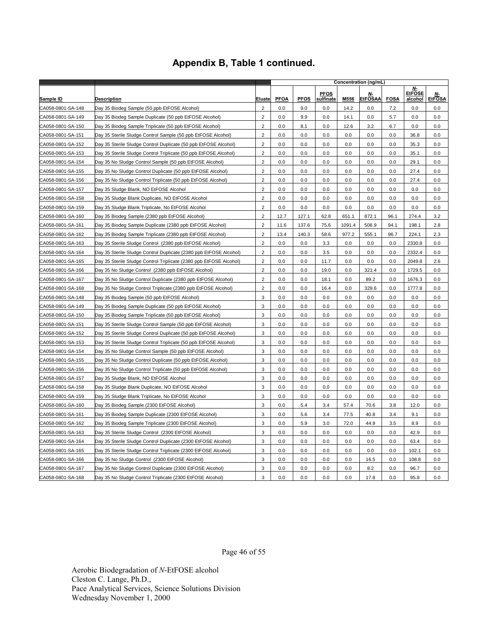|                   |                                                                    | Concentration (ng/mL) |             |             |                          |        |                            |             |                                |                     |
|-------------------|--------------------------------------------------------------------|-----------------------|-------------|-------------|--------------------------|--------|----------------------------|-------------|--------------------------------|---------------------|
| Sample ID         | <b>Description</b>                                                 | Eluate                | <b>PFOA</b> | <b>PFOS</b> | <b>PFOS</b><br>sulfinate | M556   | <u>n</u><br><b>EtFOSAA</b> | <b>FOSA</b> | N-<br><b>EtFOSE</b><br>alcohol | Ν-<br><b>EtFOSA</b> |
| CA058-0801-SA-148 | Day 35 Biodeg Sample (50 ppb EtFOSE Alcohol)                       | $\overline{2}$        | 0.0         | 9.0         | 0.0                      | 14.2   | 0.0                        | 7.2         | 0.0                            | 0.0                 |
| CA058-0801-SA-149 | Day 35 Biodeg Sample Duplicate (50 ppb EtFOSE Alcohol)             | $\overline{2}$        | 0.0         | 9.9         | 0.0                      | 14.1   | 0.0                        | 5.7         | 0.0                            | 0.0                 |
| CA058-0801-SA-150 | Day 35 Biodeg Sample Triplicate (50 ppb EtFOSE Alcohol)            | $\overline{2}$        | 0.0         | 8.1         | 0.0                      | 12.6   | 3.2                        | 6.7         | 0.0                            | 0.0                 |
| CA058-0801-SA-151 | Day 35 Sterile Sludge Control Sample (50 ppb EtFOSE Alcohol)       | $\sqrt{2}$            | 0.0         | 0.0         | 0.0                      | 0.0    | 0.0                        | 0.0         | 36.8                           | 0.0                 |
| CA058-0801-SA-152 | Day 35 Sterile Sludge Control Duplicate (50 ppb EtFOSE Alcohol)    | $\overline{2}$        | 0.0         | 0.0         | 0.0                      | 0.0    | 0.0                        | 0.0         | 35.3                           | 0.0                 |
| CA058-0801-SA-153 | Day 35 Sterile Sludge Control Triplicate (50 ppb EtFOSE Alcohol)   | $\overline{c}$        | 0.0         | 0.0         | 0.0                      | 0.0    | 0.0                        | 0.0         | 35.1                           | 0.0                 |
| CA058-0801-SA-154 | Day 35 No Sludge Control Sample (50 ppb EtFOSE Alcohol)            | $\overline{2}$        | 0.0         | 0.0         | 0.0                      | 0.0    | 0.0                        | 0.0         | 29.1                           | 0.0                 |
| CA058-0801-SA-155 | Day 35 No Sludge Control Duplicate (50 ppb EtFOSE Alcohol)         | $\sqrt{2}$            | 0.0         | 0.0         | 0.0                      | 0.0    | 0.0                        | 0.0         | 27.4                           | 0.0                 |
| CA058-0801-SA-156 | Day 35 No Sludge Control Triplicate (50 ppb EtFOSE Alcohol)        | $\overline{2}$        | 0.0         | 0.0         | 0.0                      | 0.0    | 0.0                        | 0.0         | 27.4                           | 0.0                 |
| CA058-0801-SA-157 | Day 35 Sludge Blank, NO EtFOSE Alcohol                             | $\overline{2}$        | 0.0         | 0.0         | 0.0                      | 0.0    | 0.0                        | 0.0         | 0.0                            | 0.0                 |
| CA058-0801-SA-158 | Day 35 Sludge Blank Duplicate, NO EtFOSE Alcohol                   | $\overline{2}$        | 0.0         | 0.0         | 0.0                      | 0.0    | 0.0                        | 0.0         | 0.0                            | 0.0                 |
| CA058-0801-SA-159 | Day 35 Sludge Blank Triplicate, No EtFOSE Alcohol                  | $\overline{2}$        | 0.0         | 0.0         | 0.0                      | 0.0    | 0.0                        | 0.0         | 0.0                            | 0.0                 |
| CA058-0801-SA-160 | Day 35 Biodeg Sample (2380 ppb EtFOSE Alcohol)                     | $\overline{2}$        | 12.7        | 127.1       | 62.8                     | 651.1  | 872.1                      | 96.1        | 274.4                          | 3.2                 |
| CA058-0801-SA-161 | Day 35 Biodeg Sample Duplicate (2380 ppb EtFOSE Alcohol)           | $\overline{2}$        | 11.6        | 137.6       | 75.6                     | 1091.4 | 506.9                      | 94.1        | 198.1                          | 2.8                 |
| CA058-0801-SA-162 | Day 35 Biodeg Sample Triplicate (2380 ppb EtFOSE Alcohol)          | $\overline{2}$        | 13.4        | 140.3       | 58.6                     | 977.2  | 555.1                      | 96.7        | 224.1                          | 2.3                 |
| CA058-0801-SA-163 | Day 35 Sterile Sludge Control (2380 ppb EtFOSE Alcohol)            | $\overline{2}$        | 0.0         | 0.0         | 3.3                      | 0.0    | 0.0                        | 0.0         | 2330.8                         | 0.0                 |
| CA058-0801-SA-164 | Day 35 Sterile Sludge Control Duplicate (2380 ppb EtFOSE Alcohol)  | $\overline{2}$        | 0.0         | 0.0         | 3.5                      | 0.0    | 0.0                        | 0.0         | 2332.4                         | 0.0                 |
| CA058-0801-SA-165 | Day 35 Sterile Sludge Control Triplicate (2380 ppb EtFOSE Alcohol) | $\overline{2}$        | 0.0         | 0.0         | 11.7                     | 0.0    | 0.0                        | 0.0         | 2049.8                         | 2.6                 |
| CA058-0801-SA-166 | Day 35 No Sludge Control (2380 ppb EtFOSE Alcohol)                 | $\overline{2}$        | 0.0         | 0.0         | 19.0                     | 0.0    | 321.4                      | 0.0         | 1729.5                         | 0.0                 |
| CA058-0801-SA-167 | Day 35 No Sludge Control Duplicate (2380 ppb EtFOSE Alcohol)       | $\overline{2}$        | 0.0         | 0.0         | 18.1                     | 0.0    | 89.2                       | 0.0         | 1676.3                         | 0.0                 |
| CA058-0801-SA-168 | Day 35 No Sludge Control Triplicate (2380 ppb EtFOSE Alcohol)      | $\overline{2}$        | 0.0         | 0.0         | 16.4                     | 0.0    | 329.6                      | 0.0         | 1777.8                         | 0.0                 |
| CA058-0801-SA-148 | Day 35 Biodeg Sample (50 ppb EtFOSE Alcohol)                       | 3                     | 0.0         | 0.0         | 0.0                      | 0.0    | 0.0                        | 0.0         | 0.0                            | 0.0                 |
| CA058-0801-SA-149 | Day 35 Biodeg Sample Duplicate (50 ppb EtFOSE Alcohol)             | 3                     | 0.0         | 0.0         | 0.0                      | 0.0    | 0.0                        | 0.0         | 0.0                            | 0.0                 |
| CA058-0801-SA-150 | Day 35 Biodeg Sample Triplicate (50 ppb EtFOSE Alcohol)            | 3                     | 0.0         | 0.0         | 0.0                      | 0.0    | 0.0                        | 0.0         | 0.0                            | 0.0                 |
| CA058-0801-SA-151 | Day 35 Sterile Sludge Control Sample (50 ppb EtFOSE Alcohol)       | 3                     | 0.0         | 0.0         | 0.0                      | 0.0    | 0.0                        | 0.0         | 0.0                            | 0.0                 |
| CA058-0801-SA-152 | Day 35 Sterile Sludge Control Duplicate (50 ppb EtFOSE Alcohol)    | 3                     | 0.0         | 0.0         | 0.0                      | 0.0    | 0.0                        | 0.0         | 0.0                            | 0.0                 |
| CA058-0801-SA-153 | Day 35 Sterile Sludge Control Triplicate (50 ppb EtFOSE Alcohol)   | 3                     | 0.0         | 0.0         | 0.0                      | 0.0    | 0.0                        | 0.0         | 0.0                            | 0.0                 |
| CA058-0801-SA-154 | Day 35 No Sludge Control Sample (50 ppb EtFOSE Alcohol)            | 3                     | 0.0         | 0.0         | 0.0                      | 0.0    | 0.0                        | 0.0         | 0.0                            | 0.0                 |
| CA058-0801-SA-155 | Day 35 No Sludge Control Duplicate (50 ppb EtFOSE Alcohol)         | 3                     | 0.0         | 0.0         | 0.0                      | 0.0    | 0.0                        | 0.0         | 0.0                            | 0.0                 |
| CA058-0801-SA-156 | Day 35 No Sludge Control Triplicate (50 ppb EtFOSE Alcohol)        | 3                     | 0.0         | 0.0         | 0.0                      | 0.0    | 0.0                        | 0.0         | 0.0                            | 0.0                 |
| CA058-0801-SA-157 | Day 35 Sludge Blank, NO EtFOSE Alcohol                             | 3                     | 0.0         | 0.0         | 0.0                      | 0.0    | 0.0                        | 0.0         | 0.0                            | 0.0                 |
| CA058-0801-SA-158 | Day 35 Sludge Blank Duplicate, NO EtFOSE Alcohol                   | 3                     | 0.0         | 0.0         | 0.0                      | 0.0    | 0.0                        | 0.0         | 0.0                            | 0.0                 |
| CA058-0801-SA-159 | Day 35 Sludge Blank Triplicate, No EtFOSE Alcohol                  | 3                     | 0.0         | 0.0         | 0.0                      | 0.0    | 0.0                        | 0.0         | 0.0                            | 0.0                 |
| CA058-0801-SA-160 | Day 35 Biodeg Sample (2300 EtFOSE Alcohol)                         | 3                     | 0.0         | 5.4         | 3.4                      | 57.4   | 70.6                       | 3.8         | 12.0                           | 0.0                 |
| CA058-0801-SA-161 | Day 35 Biodeg Sample Duplicate (2300 EtFOSE Alcohol)               | 3                     | 0.0         | 5.6         | 3.4                      | 77.5   | 40.8                       | 3.4         | 9.1                            | 0.0                 |
| CA058-0801-SA-162 | Day 35 Biodeg Sample Triplicate (2300 EtFOSE Alcohol)              | 3                     | 0.0         | 5.9         | 3.0                      | 72.0   | 44.9                       | 3.5         | 8.9                            | 0.0                 |
| CA058-0801-SA-163 | Day 35 Sterile Sludge Control (2300 EtFOSE Alcohol)                | 3                     | 0.0         | 0.0         | 0.0                      | 0.0    | 0.0                        | 0.0         | 42.9                           | 0.0                 |
| CA058-0801-SA-164 | Day 35 Sterile Sludge Control Duplicate (2300 EtFOSE Alcohol)      | 3                     | 0.0         | 0.0         | 0.0                      | 0.0    | 0.0                        | 0.0         | 63.4                           | 0.0                 |
| CA058-0801-SA-165 | Day 35 Sterile Sludge Control Triplicate (2300 EtFOSE Alcohol)     | 3                     | 0.0         | 0.0         | 0.0                      | 0.0    | 0.0                        | 0.0         | 102.1                          | 0.0                 |
| CA058-0801-SA-166 | Day 35 No Sludge Control (2300 EtFOSE Alcohol)                     | 3                     | 0.0         | 0.0         | 0.0                      | 0.0    | 16.5                       | 0.0         | 108.8                          | 0.0                 |
| CA058-0801-SA-167 | Day 35 No Sludge Control Duplicate (2300 EtFOSE Alcohol)           | 3                     | 0.0         | 0.0         | 0.0                      | 0.0    | 8.2                        | 0.0         | 96.7                           | 0.0                 |
| CA058-0801-SA-168 | Day 35 No Sludge Control Triplicate (2300 EtFOSE Alcohol)          | 3                     | 0.0         | 0.0         | 0.0                      | 0.0    | 17.8                       | 0.0         | 95.8                           | 0.0                 |

Page 46 of 55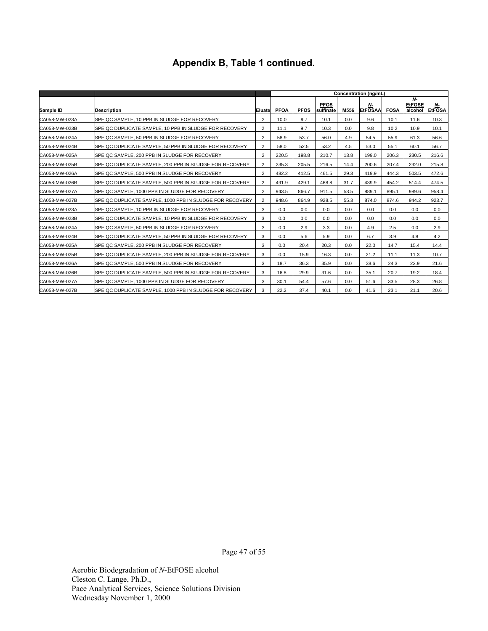|               |                                                          |                |             |             |                          |      | Concentration (ng/mL)      |             |                                |                     |
|---------------|----------------------------------------------------------|----------------|-------------|-------------|--------------------------|------|----------------------------|-------------|--------------------------------|---------------------|
| Sample ID     | <b>Description</b>                                       | Eluatel        | <b>PFOA</b> | <b>PFOS</b> | <b>PFOS</b><br>sulfinate | M556 | <u>N</u><br><b>EtFOSAA</b> | <b>FOSA</b> | Ν-<br><b>EtFOSE</b><br>alcohol | Ν-<br><b>EtFOSA</b> |
| CA058-MW-023A | SPE QC SAMPLE, 10 PPB IN SLUDGE FOR RECOVERY             | 2              | 10.0        | 9.7         | 10.1                     | 0.0  | 9.6                        | 10.1        | 11.6                           | 10.3                |
| CA058-MW-023B | SPE QC DUPLICATE SAMPLE. 10 PPB IN SLUDGE FOR RECOVERY   | $\overline{2}$ | 11.1        | 9.7         | 10.3                     | 0.0  | 9.8                        | 10.2        | 10.9                           | 10.1                |
| CA058-MW-024A | SPE QC SAMPLE, 50 PPB IN SLUDGE FOR RECOVERY             | $\overline{2}$ | 58.9        | 53.7        | 56.0                     | 4.9  | 54.5                       | 55.9        | 61.3                           | 56.6                |
| CA058-MW-024B | SPE QC DUPLICATE SAMPLE, 50 PPB IN SLUDGE FOR RECOVERY   | 2              | 58.0        | 52.5        | 53.2                     | 4.5  | 53.0                       | 55.1        | 60.1                           | 56.7                |
| CA058-MW-025A | SPE QC SAMPLE, 200 PPB IN SLUDGE FOR RECOVERY            | $\overline{2}$ | 220.5       | 198.8       | 210.7                    | 13.8 | 199.0                      | 206.3       | 230.5                          | 216.6               |
| CA058-MW-025B | SPE QC DUPLICATE SAMPLE, 200 PPB IN SLUDGE FOR RECOVERY  | $\overline{2}$ | 235.3       | 205.5       | 216.5                    | 14.4 | 200.6                      | 207.4       | 232.0                          | 215.8               |
| CA058-MW-026A | SPE QC SAMPLE, 500 PPB IN SLUDGE FOR RECOVERY            | 2              | 482.2       | 412.5       | 461.5                    | 29.3 | 419.9                      | 444.3       | 503.5                          | 472.6               |
| CA058-MW-026B | SPE QC DUPLICATE SAMPLE, 500 PPB IN SLUDGE FOR RECOVERY  | 2              | 491.9       | 429.1       | 468.8                    | 31.7 | 439.9                      | 454.2       | 514.4                          | 474.5               |
| CA058-MW-027A | SPE QC SAMPLE, 1000 PPB IN SLUDGE FOR RECOVERY           | $\overline{2}$ | 943.5       | 866.7       | 911.5                    | 53.5 | 889.1                      | 895.1       | 989.6                          | 958.4               |
| CA058-MW-027B | SPE QC DUPLICATE SAMPLE, 1000 PPB IN SLUDGE FOR RECOVERY | 2              | 948.6       | 864.9       | 928.5                    | 55.3 | 874.0                      | 874.6       | 944.2                          | 923.7               |
| CA058-MW-023A | SPE QC SAMPLE, 10 PPB IN SLUDGE FOR RECOVERY             | 3              | 0.0         | 0.0         | 0.0                      | 0.0  | 0.0                        | 0.0         | 0.0                            | 0.0                 |
| CA058-MW-023B | SPE QC DUPLICATE SAMPLE, 10 PPB IN SLUDGE FOR RECOVERY   | 3              | 0.0         | 0.0         | 0.0                      | 0.0  | 0.0                        | 0.0         | 0.0                            | 0.0                 |
| CA058-MW-024A | SPE QC SAMPLE, 50 PPB IN SLUDGE FOR RECOVERY             | 3              | 0.0         | 2.9         | 3.3                      | 0.0  | 4.9                        | 2.5         | 0.0                            | 2.9                 |
| CA058-MW-024B | SPE QC DUPLICATE SAMPLE. 50 PPB IN SLUDGE FOR RECOVERY   | 3              | 0.0         | 5.6         | 5.9                      | 0.0  | 6.7                        | 3.9         | 4.8                            | 4.2                 |
| CA058-MW-025A | SPE QC SAMPLE, 200 PPB IN SLUDGE FOR RECOVERY            | 3              | 0.0         | 20.4        | 20.3                     | 0.0  | 22.0                       | 14.7        | 15.4                           | 14.4                |
| CA058-MW-025B | SPE QC DUPLICATE SAMPLE, 200 PPB IN SLUDGE FOR RECOVERY  | 3              | 0.0         | 15.9        | 16.3                     | 0.0  | 21.2                       | 11.1        | 11.3                           | 10.7                |
| CA058-MW-026A | SPE QC SAMPLE, 500 PPB IN SLUDGE FOR RECOVERY            | 3              | 18.7        | 36.3        | 35.9                     | 0.0  | 38.6                       | 24.3        | 22.9                           | 21.6                |
| CA058-MW-026B | SPE QC DUPLICATE SAMPLE, 500 PPB IN SLUDGE FOR RECOVERY  | 3              | 16.8        | 29.9        | 31.6                     | 0.0  | 35.1                       | 20.7        | 19.2                           | 18.4                |
| CA058-MW-027A | SPE QC SAMPLE, 1000 PPB IN SLUDGE FOR RECOVERY           | 3              | 30.1        | 54.4        | 57.6                     | 0.0  | 51.6                       | 33.5        | 28.3                           | 26.8                |
| CA058-MW-027B | SPE QC DUPLICATE SAMPLE, 1000 PPB IN SLUDGE FOR RECOVERY | 3              | 22.2        | 37.4        | 40.1                     | 0.0  | 41.6                       | 23.1        | 21.1                           | 20.6                |

Page 47 of 55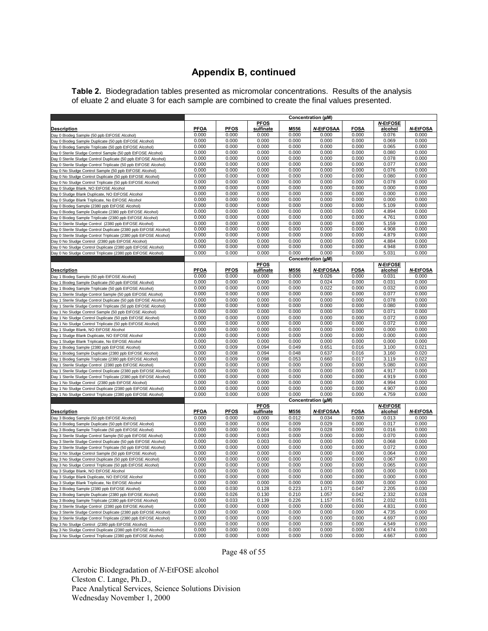## **Appendix B, continued**

**Table 2.** Biodegradation tables presented as micromolar concentrations. Results of the analysis of eluate 2 and eluate 3 for each sample are combined to create the final values presented.

|                                                                                                      | Concentration (µM) |             |                    |               |                             |                      |                  |                 |
|------------------------------------------------------------------------------------------------------|--------------------|-------------|--------------------|---------------|-----------------------------|----------------------|------------------|-----------------|
|                                                                                                      | <b>PFOA</b>        | <b>PFOS</b> | <b>PFOS</b>        |               |                             |                      | <b>N-EtFOSE</b>  | <b>N-EtFOSA</b> |
| Description                                                                                          | 0.000              | 0.000       | sulfinate<br>0.000 | M556<br>0.000 | <b>N-EtFOSAA</b><br>0.000   | <b>FOSA</b><br>0.000 | alcohol<br>0.076 | 0.000           |
| Day 0 Biodeg Sample (50 ppb EtFOSE Alcohol)<br>Day 0 Biodeg Sample Duplicate (50 ppb EtFOSE Alcohol) | 0.000              | 0.000       | 0.000              | 0.000         | 0.000                       | 0.000                | 0.069            | 0.000           |
| Day 0 Biodeg Sample Triplicate (50 ppb EtFOSE Alcohol)                                               | 0.000              | 0.000       | 0.000              | 0.000         | 0.000                       | 0.000                | 0.065            | 0.000           |
| Day 0 Sterile Sludge Control Sample (50 ppb EtFOSE Alcohol)                                          | 0.000              | 0.000       | 0.000              | 0.000         | 0.000                       | 0.000                | 0.080            | 0.000           |
| Day 0 Sterile Sludge Control Duplicate (50 ppb EtFOSE Alcohol)                                       | 0.000              | 0.000       | 0.000              | 0.000         | 0.000                       | 0.000                | 0.078            | 0.000           |
| Day 0 Sterile Sludge Control Triplicate (50 ppb EtFOSE Alcohol)                                      | 0.000              | 0.000       | 0.000              | 0.000         | 0.000                       | 0.000                | 0.077            | 0.000           |
| Day 0 No Sludge Control Sample (50 ppb EtFOSE Alcohol)                                               | 0.000              | 0.000       | 0.000              | 0.000         | 0.000                       | 0.000                | 0.076            | 0.000           |
| Day 0 No Sludge Control Duplicate (50 ppb EtFOSE Alcohol)                                            | 0.000              | 0.000       | 0.000              | 0.000         | 0.000                       | 0.000                | 0.080            | 0.000           |
| Day 0 No Sludge Control Triplicate (50 ppb EtFOSE Alcohol)                                           | 0.000              | 0.000       | 0.000              | 0.000         | 0.000                       | 0.000                | 0.078            | 0.000           |
| Day 0 Sludge Blank, NO EtFOSE Alcohol                                                                | 0.000              | 0.000       | 0.000              | 0.000         | 0.000                       | 0.000                | 0.000            | 0.000           |
| Day 0 Sludge Blank Duplicate, NO EtFOSE Alcohol                                                      | 0.000              | 0.000       | 0.000              | 0.000         | 0.000                       | 0.000                | 0.000            | 0.000           |
| Day 0 Sludge Blank Triplicate, No EtFOSE Alcohol                                                     | 0.000              | 0.000       | 0.000              | 0.000         | 0.000                       | 0.000                | 0.000            | 0.000           |
| Day 0 Biodeg Sample (2380 ppb EtFOSE Alcohol)                                                        | 0.000              | 0.000       | 0.000              | 0.000         | 0.000                       | 0.000                | 5.109            | 0.000           |
| Day 0 Biodeg Sample Duplicate (2380 ppb EtFOSE Alcohol)                                              | 0.000              | 0.000       | 0.000              | 0.000         | 0.000                       | 0.000                | 4.894            | 0.000           |
| Day 0 Biodeg Sample Triplicate (2380 ppb EtFOSE Alcohol)                                             | 0.000              | 0.000       | 0.000              | 0.000         | 0.000                       | 0.000                | 4.761            | 0.000           |
| Day 0 Sterile Sludge Control (2380 ppb EtFOSE Alcohol)                                               | 0.000              | 0.000       | 0.000              | 0.000         | 0.000                       | 0.000                | 5.159            | 0.000           |
| Day 0 Sterile Sludge Control Duplicate (2380 ppb EtFOSE Alcohol)                                     | 0.000              | 0.000       | 0.000              | 0.000         | 0.000                       | 0.000                | 4.908            | 0.000           |
| Day 0 Sterile Sludge Control Triplicate (2380 ppb EtFOSE Alcohol)                                    | 0.000              | 0.000       | 0.000              | 0.000         | 0.000                       | 0.000                | 4.879            | 0.000           |
| Day 0 No Sludge Control (2380 ppb EtFOSE Alcohol)                                                    | 0.000              | 0.000       | 0.000              | 0.000         | 0.000                       | 0.000                | 4.884            | 0.000           |
| Day 0 No Sludge Control Duplicate (2380 ppb EtFOSE Alcohol)                                          | 0.000              | 0.000       | 0.000              | 0.000         | 0.000                       | 0.000                | 4.948            | 0.000           |
| Day 0 No Sludge Control Triplicate (2380 ppb EtFOSE Alcohol)                                         | 0.000              | 0.000       | 0.000              | 0.000         | 0.000                       | 0.000                | 5.031            | 0.000           |
|                                                                                                      |                    |             |                    |               | Concentration (µM)          |                      |                  |                 |
|                                                                                                      |                    |             | <b>PFOS</b>        |               |                             |                      | <b>N-EtFOSE</b>  |                 |
| <b>Description</b>                                                                                   | <b>PFOA</b>        | <b>PFOS</b> | sulfinate          | M556          | <b>N</b> EtFOSAA            | <b>FOSA</b>          | alcohol          | <b>N-EtFOSA</b> |
| Day 1 Biodeg Sample (50 ppb EtFOSE Alcohol)                                                          | 0.000              | 0.000       | 0.000              | 0.000         | 0.026                       | 0.000                | 0.031            | 0.000           |
| Day 1 Biodeg Sample Duplicate (50 ppb EtFOSE Alcohol)                                                | 0.000              | 0.000       | 0.000              | 0.000         | 0.024                       | 0.000                | 0.031            | 0.000           |
| Day 1 Biodeg Sample Triplicate (50 ppb EtFOSE Alcohol)                                               | 0.000              | 0.000       | 0.000              | 0.000         | 0.022                       | 0.000                | 0.032            | 0.000           |
| Day 1 Sterile Sludge Control Sample (50 ppb EtFOSE Alcohol)                                          | 0.000              | 0.000       | 0.000              | 0.000         | 0.000                       | 0.000                | 0.077            | 0.000           |
| Day 1 Sterile Sludge Control Duplicate (50 ppb EtFOSE Alcohol)                                       | 0.000              | 0.000       | 0.000              | 0.000         | 0.000                       | 0.000                | 0.078            | 0.000           |
| Day 1 Sterile Sludge Control Triplicate (50 ppb EtFOSE Alcohol)                                      | 0.000              | 0.000       | 0.000              | 0.000         | 0.000                       | 0.000                | 0.080            | 0.000           |
| Day 1 No Sludge Control Sample (50 ppb EtFOSE Alcohol)                                               | 0.000              | 0.000       | 0.000              | 0.000         | 0.000                       | 0.000                | 0.071            | 0.000           |
| Day 1 No Sludge Control Duplicate (50 ppb EtFOSE Alcohol)                                            | 0.000              | 0.000       | 0.000              | 0.000         | 0.000                       | 0.000                | 0.072            | 0.000           |
| Day 1 No Sludge Control Triplicate (50 ppb EtFOSE Alcohol)                                           | 0.000              | 0.000       | 0.000              | 0.000         | 0.000                       | 0.000                | 0.072            | 0.000           |
| Day 1 Sludge Blank, NO EtFOSE Alcohol                                                                | 0.000              | 0.000       | 0.000              | 0.000         | 0.000                       | 0.000                | 0.000            | 0.000           |
| Day 1 Sludge Blank Duplicate, NO EtFOSE Alcohol                                                      | 0.000              | 0.000       | 0.000              | 0.000         | 0.000                       | 0.000                | 0.000            | 0.000           |
| Day 1 Sludge Blank Triplicate, No EtFOSE Alcohol                                                     | 0.000              | 0.000       | 0.000              | 0.000         | 0.000                       | 0.000                | 0.000            | 0.000           |
| Day 1 Biodeg Sample (2380 ppb EtFOSE Alcohol)                                                        | 0.000              | 0.009       | 0.094              | 0.049         | 0.651                       | 0.016                | 3.100            | 0.021           |
| Day 1 Biodeg Sample Duplicate (2380 ppb EtFOSE Alcohol)                                              | 0.000              | 0.008       | 0.094              | 0.048         | 0.637                       | 0.016                | 3.160            | 0.020           |
| Day 1 Biodeg Sample Triplicate (2380 ppb EtFOSE Alcohol)                                             | 0.000              | 0.009       | 0.098              | 0.053         | 0.660                       | 0.017                | 3.119            | 0.022           |
| Day 1 Sterile Sludge Control (2380 ppb EtFOSE Alcohol)                                               | 0.000              | 0.000       | 0.000              | 0.000         | 0.000                       | 0.000                | 5.080            | 0.000           |
| Day 1 Sterile Sludge Control Duplicate (2380 ppb EtFOSE Alcohol)                                     | 0.000              | 0.000       | 0.000              | 0.000         | 0.000                       | 0.000                | 4.917            | 0.000           |
| Day 1 Sterile Sludge Control Triplicate (2380 ppb EtFOSE Alcohol)                                    | 0.000              | 0.000       | 0.000              | 0.000         | 0.000                       | 0.000                | 4.919            | 0.000           |
| Day 1 No Sludge Control (2380 ppb EtFOSE Alcohol)                                                    | 0.000              | 0.000       | 0.000              | 0.000         | 0.000                       | 0.000                | 4.994            | 0.000           |
| Day 1 No Sludge Control Duplicate (2380 ppb EtFOSE Alcohol)                                          | 0.000              | 0.000       | 0.000<br>0.000     | 0.000         | 0.000                       | 0.000<br>0.000       | 4.907<br>4.759   | 0.000           |
| Day 1 No Sludge Control Triplicate (2380 ppb EtFOSE Alcohol)                                         | 0.000              | 0.000       |                    | 0.000         | 0.000<br>Concentration (µM) |                      |                  | 0.000           |
|                                                                                                      |                    |             | <b>PFOS</b>        |               |                             |                      | <b>N-EtFOSE</b>  |                 |
| <b>Description</b>                                                                                   | <b>PFOA</b>        | <b>PFOS</b> | sulfinate          | M556          | <b>N-EtFOSAA</b>            | <b>FOSA</b>          | alcohol          | <b>N-EtFOSA</b> |
| Day 3 Biodeg Sample (50 ppb EtFOSE Alcohol)                                                          | 0.000              | 0.000       | 0.000              | 0.012         | 0.034                       | 0.000                | 0.013            | 0.000           |
| Day 3 Biodeg Sample Duplicate (50 ppb EtFOSE Alcohol)                                                | 0.000              | 0.000       | 0.000              | 0.009         | 0.029                       | 0.000                | 0.017            | 0.000           |
| Day 3 Biodeg Sample Triplicate (50 ppb EtFOSE Alcohol)                                               | 0.000              | 0.000       | 0.004              | 0.009         | 0.028                       | 0.000                | 0.016            | 0.000           |
| Day 3 Sterile Sludge Control Sample (50 ppb EtFOSE Alcohol)                                          | 0.000              | 0.000       | 0.003              | 0.000         | 0.000                       | 0.000                | 0.070            | 0.000           |
| Day 3 Sterile Sludge Control Duplicate (50 ppb EtFOSE Alcohol)                                       | 0.000              | 0.000       | 0.003              | 0.000         | 0.000                       | 0.000                | 0.068            | 0.000           |
| Day 3 Sterile Sludge Control Triplicate (50 ppb EtFOSE Alcohol)                                      | 0.000              | 0.000       | 0.000              | 0.000         | 0.000                       | 0.000                | 0.072            | 0.000           |
| Day 3 No Sludge Control Sample (50 ppb EtFOSE Alcohol)                                               | 0.000              | 0.000       | 0.000              | 0.000         | 0.000                       | 0.000                | 0.064            | 0.000           |
| Day 3 No Sludge Control Duplicate (50 ppb EtFOSE Alcohol)                                            | 0.000              | 0.000       | 0.000              | 0.000         | 0.000                       | 0.000                | 0.067            | 0.000           |
| Day 3 No Sludge Control Triplicate (50 ppb EtFOSE Alcohol)                                           | 0.000              | 0.000       | 0.000              | 0.000         | 0.000                       | 0.000                | 0.065            | 0.000           |
| Day 3 Sludge Blank, NO EtFOSE Alcohol                                                                | 0.000              | 0.000       | 0.000              | 0.000         | 0.000                       | 0.000                | 0.000            | 0.000           |
| Day 3 Sludge Blank Duplicate, NO EtFOSE Alcohol                                                      | 0.000              | 0.000       | 0.000              | 0.000         | 0.000                       | 0.000                | 0.000            | 0.000           |
| Day 3 Sludge Blank Triplicate, No EtFOSE Alcohol                                                     | 0.000              | 0.000       | 0.000              | 0.000         | 0.000                       | 0.000                | 0.000            | 0.000           |
| Day 3 Biodeg Sample (2380 ppb EtFOSE Alcohol)                                                        | 0.000              | 0.030       | 0.128              | 0.223         | 1.071                       | 0.047                | 2.205            | 0.030           |
| Day 3 Biodeg Sample Duplicate (2380 ppb EtFOSE Alcohol)                                              | 0.000              | 0.026       | 0.130              | 0.210         | 1.057                       | 0.042                | 2.332            | 0.028           |
| Day 3 Biodeg Sample Triplicate (2380 ppb EtFOSE Alcohol)                                             | 0.000              | 0.033       | 0.139              | 0.226         | 1.157                       | 0.051                | 2.032            | 0.031           |
| Day 3 Sterile Sludge Control (2380 ppb EtFOSE Alcohol)                                               | 0.000              | 0.000       | 0.000              | 0.000         | 0.000                       | 0.000                | 4.831            | 0.000           |
| Day 3 Sterile Sludge Control Duplicate (2380 ppb EtFOSE Alcohol)                                     | 0.000              | 0.000       | 0.000              | 0.000         | 0.000                       | 0.000                | 4.735            | 0.000           |
| Day 3 Sterile Sludge Control Triplicate (2380 ppb EtFOSE Alcohol)                                    | 0.000              | 0.000       | 0.000              | 0.000         | 0.000                       | 0.000                | 4.697            | 0.000           |
| Day 3 No Sludge Control (2380 ppb EtFOSE Alcohol)                                                    | 0.000              | 0.000       | 0.000              | 0.000         | 0.000                       | 0.000                | 4.549            | 0.000           |
| Day 3 No Sludge Control Duplicate (2380 ppb EtFOSE Alcohol)                                          | 0.000              | 0.000       | 0.000              | 0.000         | 0.000                       | 0.000                | 4.674            | 0.000           |
| Day 3 No Sludge Control Triplicate (2380 ppb EtFOSE Alcohol)                                         | 0.000              | 0.000       | 0.000              | 0.000         | 0.000                       | 0.000                | 4.667            | 0.000           |

Page 48 of 55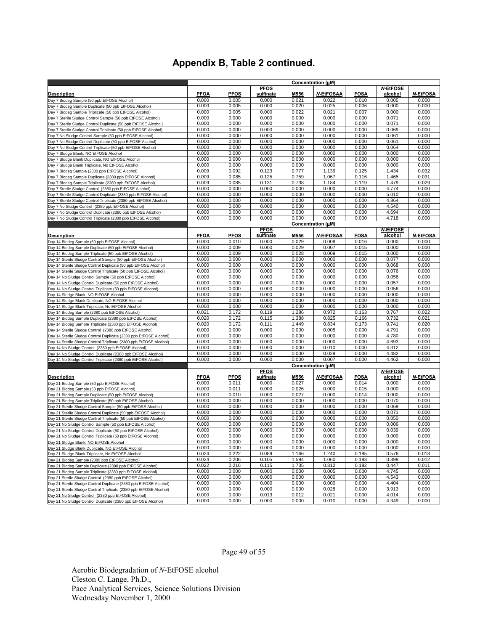|                                                                    | Concentration (µM) |                |                |                |                    |                |                 |                 |
|--------------------------------------------------------------------|--------------------|----------------|----------------|----------------|--------------------|----------------|-----------------|-----------------|
|                                                                    |                    |                | <b>PFOS</b>    |                |                    |                | <b>N-EtFOSE</b> |                 |
| <u>Description</u>                                                 | <b>PFOA</b>        | <b>PFOS</b>    | sulfinate      | M556           | <b>N EtFOSAA</b>   | <b>FOSA</b>    | alcohol         | <b>N-EtFOSA</b> |
| Day 7 Biodeg Sample (50 ppb EtFOSE Alcohol)                        | 0.000              | 0.005          | 0.000          | 0.021          | 0.022              | 0.010          | 0.005           | 0.000           |
| Day 7 Biodeg Sample Duplicate (50 ppb EtFOSE Alcohol)              | 0.000              | 0.005          | 0.000          | 0.020          | 0.025              | 0.006          | 0.000           | 0.000           |
| Day 7 Biodeg Sample Triplicate (50 ppb EtFOSE Alcohol)             | 0.000              | 0.005          | 0.000          | 0.022          | 0.021              | 0.007          | 0.000           | 0.000           |
| Day 7 Sterile Sludge Control Sample (50 ppb EtFOSE Alcohol)        | 0.000              | 0.000          | 0.000          | 0.000          | 0.000              | 0.000          | 0.071           | 0.000           |
| Day 7 Sterile Sludge Control Duplicate (50 ppb EtFOSE Alcohol)     | 0.000              | 0.000          | 0.000          | 0.000          | 0.000              | 0.000          | 0.071           | 0.000           |
| Day 7 Sterile Sludge Control Triplicate (50 ppb EtFOSE Alcohol)    | 0.000              | 0.000          | 0.000          | 0.000          | 0.000              | 0.000          | 0.069           | 0.000           |
| Day 7 No Sludge Control Sample (50 ppb EtFOSE Alcohol)             | 0.000              | 0.000          | 0.000          | 0.000          | 0.000              | 0.000          | 0.061           | 0.000           |
| Day 7 No Sludge Control Duplicate (50 ppb EtFOSE Alcohol)          | 0.000              | 0.000          | 0.000          | 0.000          | 0.000              | 0.000          | 0.061           | 0.000           |
| Day 7 No Sludge Control Triplicate (50 ppb EtFOSE Alcohol)         | 0.000              | 0.000          | 0.000          | 0.000          | 0.000              | 0.000          | 0.064           | 0.000           |
| Day 7 Sludge Blank, NO EtFOSE Alcohol                              | 0.000              | 0.000          | 0.000          | 0.000          | 0.000              | 0.000          | 0.000           | 0.000           |
| Day 7 Sludge Blank Duplicate, NO EtFOSE Alcohol                    | 0.000              | 0.000          | 0.000          | 0.000          | 0.000              | 0.000          | 0.000           | 0.000           |
| Day 7 Sludge Blank Triplicate, No EtFOSE Alcohol                   | 0.000              | 0.000          | 0.000          | 0.000          | 0.000              | 0.000          | 0.000           | 0.000           |
| Day 7 Biodeg Sample (2380 ppb EtFOSE Alcohol)                      | 0.009              | 0.092          | 0.123          | 0.777          | 1.139              | 0.125          | 1.434           | 0.032           |
| Day 7 Biodeg Sample Duplicate (2380 ppb EtFOSE Alcohol)            | 0.009              | 0.085          | 0.125          | 0.759          | 1.067              | 0.116          | 1.465           | 0.031           |
| Day 7 Biodeg Sample Triplicate (2380 ppb EtFOSE Alcohol)           | 0.009              | 0.085          | 0.131          | 0.738          | 1.184              | 0.119          | 1.479           | 0.029           |
| Day 7 Sterile Sludge Control (2380 ppb EtFOSE Alcohol)             | 0.000              | 0.000          | 0.000          | 0.000          | 0.000              | 0.000          | 4.774           | 0.000           |
| Day 7 Sterile Sludge Control Duplicate (2380 ppb EtFOSE Alcohol)   | 0.000              | 0.000          | 0.000          | 0.000          | 0.000              | 0.000          | 5.010           | 0.000           |
| Day 7 Sterile Sludge Control Triplicate (2380 ppb EtFOSE Alcohol)  | 0.000              | 0.000          | 0.000          | 0.000          | 0.000              | 0.000          | 4.864           | 0.000           |
| Day 7 No Sludge Control (2380 ppb EtFOSE Alcohol)                  | 0.000              | 0.000          | 0.000          | 0.000          | 0.000              | 0.000          | 4.540           | 0.000           |
| Day 7 No Sludge Control Duplicate (2380 ppb EtFOSE Alcohol)        | 0.000              | 0.000          | 0.000          | 0.000          | 0.000              | 0.000          | 4.694           | 0.000           |
| Day 7 No Sludge Control Triplicate (2380 ppb EtFOSE Alcohol)       | 0.000              | 0.000          | 0.000          | 0.000          | 0.000              | 0.000          | 4.718           | 0.000           |
|                                                                    |                    |                |                |                | Concentration (µM) |                |                 |                 |
|                                                                    |                    |                | <b>PFOS</b>    |                |                    |                | <b>N-EtFOSE</b> |                 |
| Description                                                        | <b>PFOA</b>        | <b>PFOS</b>    | sulfinate      | M556           | <b>N-EtFOSAA</b>   | <b>FOSA</b>    | alcohol         | <b>N-EtFOSA</b> |
| Day 14 Biodeg Sample (50 ppb EtFOSE Alcohol)                       | 0.000              | 0.010          | 0.000          | 0.029          | 0.008              | 0.016          | 0.000           | 0.000           |
| Day 14 Biodeg Sample Duplicate (50 ppb EtFOSE Alcohol)             | 0.000              | 0.009          | 0.000          | 0.029          | 0.007              | 0.015          | 0.000           | 0.000           |
| Day 14 Biodeg Sample Triplicate (50 ppb EtFOSE Alcohol)            | 0.000              | 0.009          | 0.000          | 0.028          | 0.009              | 0.015          | 0.000           | 0.000           |
| Day 14 Sterile Sludge Control Sample (50 ppb EtFOSE Alcohol)       | 0.000              | 0.000          | 0.000          | 0.000          | 0.000              | 0.000          | 0.077           | 0.000           |
| Day 14 Sterile Sludge Control Duplicate (50 ppb EtFOSE Alcohol)    | 0.000              | 0.000          | 0.000          | 0.000          | 0.000              | 0.000          | 0.068           | 0.000           |
| Day 14 Sterile Sludge Control Triplicate (50 ppb EtFOSE Alcohol)   | 0.000              | 0.000          | 0.000          | 0.000          | 0.000              | 0.000          | 0.076           | 0.000           |
| Day 14 No Sludge Control Sample (50 ppb EtFOSE Alcohol)            | 0.000              | 0.000          | 0.000          | 0.000          | 0.000              | 0.000          | 0.056           | 0.000           |
| Day 14 No Sludge Control Duplicate (50 ppb EtFOSE Alcohol)         | 0.000              | 0.000          | 0.000          | 0.000          | 0.000              | 0.000          | 0.057           | 0.000           |
| Day 14 No Sludge Control Triplicate (50 ppb EtFOSE Alcohol)        | 0.000              | 0.000          | 0.000          | 0.000          | 0.000              | 0.000          | 0.056           | 0.000           |
| Day 14 Sludge Blank, NO EtFOSE Alcohol                             | 0.000              | 0.000          | 0.000          | 0.000          | 0.000              | 0.000          | 0.000           | 0.000           |
| Day 14 Sludge Blank Duplicate, NO EtFOSE Alcohol                   | 0.000              | 0.000          | 0.000          | 0.000          | 0.000              | 0.000          | 0.000           | 0.000           |
| Day 14 Sludge Blank Triplicate, No EtFOSE Alcohol                  | 0.000              | 0.000          | 0.000          | 0.000          | 0.000              | 0.000          | 0.000           | 0.000           |
| Day 14 Biodeg Sample (2380 ppb EtFOSE Alcohol)                     | 0.021              | 0.172          | 0.119          | 1.286          | 0.972              | 0.163          | 0.767           | 0.022           |
| Day 14 Biodeg Sample Duplicate (2380 ppb EtFOSE Alcohol)           | 0.020              | 0.172          | 0.115          | 1.388          | 0.825              | 0.166          | 0.732           | 0.021           |
| Day 14 Biodeg Sample Triplicate (2380 ppb EtFOSE Alcohol)          | 0.020              | 0.172          | 0.111          | 1.449          | 0.834              | 0.173          | 0.741           | 0.020           |
| Day 14 Sterile Sludge Control (2380 ppb EtFOSE Alcohol)            | 0.000              | 0.000          | 0.000          | 0.000          | 0.005              | 0.000          | 4.791           | 0.000           |
| Day 14 Sterile Sludge Control Duplicate (2380 ppb EtFOSE Alcohol)  | 0.000              | 0.000          | 0.000          | 0.000          | 0.000              | 0.000          | 4.780           | 0.000           |
| Day 14 Sterile Sludge Control Triplicate (2380 ppb EtFOSE Alcohol) | 0.000              | 0.000          | 0.000          | 0.000          | 0.000              | 0.000          | 4.693           | 0.000           |
| Day 14 No Sludge Control (2380 ppb EtFOSE Alcohol)                 | 0.000              | 0.000          | 0.000          | 0.000          | 0.010              | 0.000          | 4.312           | 0.000           |
| Day 14 No Sludge Control Duplicate (2380 ppb EtFOSE Alcohol)       | 0.000              | 0.000          | 0.000          | 0.000          | 0.029              | 0.000          | 4.482           | 0.000           |
| Day 14 No Sludge Control Triplicate (2380 ppb EtFOSE Alcohol)      | 0.000              | 0.000          | 0.000          | 0.000          | 0.007              | 0.000          | 4.462           | 0.000           |
|                                                                    |                    |                |                |                | Concentration (µM) |                |                 |                 |
|                                                                    |                    |                | <b>PFOS</b>    |                |                    |                | <b>N-EtFOSE</b> |                 |
| <u>Description</u>                                                 | <b>PFOA</b>        | <b>PFOS</b>    | sulfinate      | M556           | <b>N-EtFOSAA</b>   | <b>FOSA</b>    | alcohol         | <b>N-EtFOSA</b> |
| Day 21 Biodeg Sample (50 ppb EtFOSE Alcohol)                       | 0.000              | 0.011          | 0.000          | 0.027          | 0.000              | 0.014          | 0.000           | 0.000           |
| Day 21 Biodeg Sample (50 ppb EtFOSE Alcohol)                       | 0.000              | 0.011          | 0.000          | 0.026          | 0.000              | 0.015          | 0.000           | 0.000           |
| Day 21 Biodeg Sample Duplicate (50 ppb EtFOSE Alcohol)             | 0.000              | 0.010          | 0.000          | 0.027          | 0.000              | 0.014          | 0.000           | 0.000           |
| Day 21 Biodeg Sample Triplicate (50 ppb EtFOSE Alcohol)            | 0.000              | 0.000          | 0.000          | 0.000          | 0.000              | 0.000          | 0.070           | 0.000           |
| Day 21 Sterile Sludge Control Sample (50 ppb EtFOSE Alcohol)       | 0.000              | 0.000          | 0.000          | 0.000          | 0.000              | 0.000          | 0.069           | 0.000           |
| Day 21 Sterile Sludge Control Duplicate (50 ppb EtFOSE Alcohol)    | 0.000              | 0.000          | 0.000          | 0.000          | 0.000              | 0.000          | 0.071           | 0.000           |
| Day 21 Sterile Sludge Control Triplicate (50 ppb EtFOSE Alcohol)   | 0.000              | 0.000          | 0.000          | 0.000          | 0.000              | 0.000          | 0.050           | 0.000           |
| Day 21 No Sludge Control Sample (50 ppb EtFOSE Alcohol)            | 0.000              | 0.000          | 0.000          | 0.000          | 0.000              | 0.000          | 0.006           | 0.000           |
| Day 21 No Sludge Control Duplicate (50 ppb EtFOSE Alcohol)         | 0.000              | 0.000          | 0.000          | 0.000          | 0.000              | 0.000          | 0.039           | 0.000           |
| Day 21 No Sludge Control Triplicate (50 ppb EtFOSE Alcohol)        | 0.000              | 0.000          | 0.000          | 0.000          | 0.000              | 0.000          | 0.000           | 0.000           |
| Day 21 Sludge Blank, NO EtFOSE Alcohol                             | 0.000              | 0.000          | 0.000          | 0.000          | 0.000              | 0.000          | 0.000           | 0.000           |
| Day 21 Sludge Blank Duplicate, NO EtFOSE Alcohol                   | 0.000              | 0.000          | 0.000          | 0.000          | 0.000              | 0.000          | 0.000           | 0.000           |
| Day 21 Sludge Blank Triplicate, No EtFOSE Alcohol                  | 0.024              | 0.222          | 0.089          | 1.166          | 1.240              | 0.185          | 0.576           | 0.013           |
| Day 21 Biodeg Sample (2380 ppb EtFOSE Alcohol)                     | 0.024              | 0.206          | 0.105          | 1.594          | 1.060              | 0.183          | 0.398           | 0.012           |
| Day 21 Biodeg Sample Duplicate (2380 ppb EtFOSE Alcohol)           | 0.022              | 0.216          | 0.115          | 1.735          | 0.812              | 0.182          | 0.447           | 0.011           |
|                                                                    | 0.000              | 0.000          | 0.000          | 0.000          | 0.005              | 0.000          | 4.745           | 0.000           |
| Day 21 Biodeg Sample Triplicate (2380 ppb EtFOSE Alcohol)          | 0.000              | 0.000          | 0.000          | 0.000          | 0.000              |                | 4.543           | 0.000           |
| Day 21 Sterile Sludge Control (2380 ppb EtFOSE Alcohol)            |                    |                |                |                |                    | 0.000          | 4.404           | 0.000           |
| Day 21 Sterile Sludge Control Duplicate (2380 ppb EtFOSE Alcohol)  | 0.000              | 0.000<br>0.000 | 0.000<br>0.000 | 0.000<br>0.000 | 0.000              | 0.000          |                 | 0.000           |
| Day 21 Sterile Sludge Control Triplicate (2380 ppb EtFOSE Alcohol) | 0.000<br>0.000     | 0.000          | 0.013          | 0.012          | 0.028<br>0.021     | 0.000<br>0.000 | 3.913<br>4.014  | 0.000           |
| Day 21 No Sludge Control (2380 ppb EtFOSE Alcohol)                 | 0.000              | 0.000          | 0.000          | 0.000          | 0.010              | 0.000          | 4.349           | 0.000           |
| Day 21 No Sludge Control Duplicate (2380 ppb EtFOSE Alcohol)       |                    |                |                |                |                    |                |                 |                 |

Page 49 of 55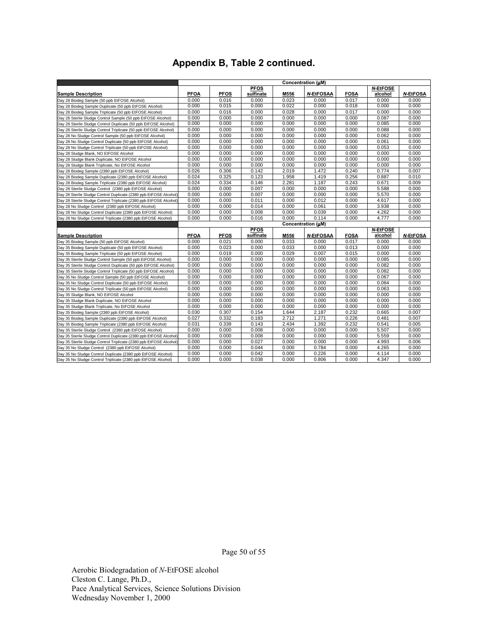|                                                                                                                               |             |             |             |       | Concentration (uM) |             |                 |                 |
|-------------------------------------------------------------------------------------------------------------------------------|-------------|-------------|-------------|-------|--------------------|-------------|-----------------|-----------------|
|                                                                                                                               |             |             | <b>PFOS</b> |       |                    |             | <b>N-EtFOSE</b> |                 |
| <b>Sample Description</b>                                                                                                     | <b>PFOA</b> | <b>PFOS</b> | sulfinate   | M556  | N-EtFOSAA          | <b>FOSA</b> | alcohol         | <b>N-EtFOSA</b> |
| Day 28 Biodeg Sample (50 ppb EtFOSE Alcohol)                                                                                  | 0.000       | 0.016       | 0.000       | 0.023 | 0.000              | 0.017       | 0.000           | 0.000           |
| Day 28 Biodeg Sample Duplicate (50 ppb EtFOSE Alcohol)                                                                        | 0.000       | 0.015       | 0.000       | 0.022 | 0.000              | 0.018       | 0.000           | 0.000           |
| Day 28 Biodeg Sample Triplicate (50 ppb EtFOSE Alcohol)                                                                       | 0.000       | 0.016       | 0.000       | 0.028 | 0.000              | 0.017       | 0.000           | 0.000           |
| Day 28 Sterile Sludge Control Sample (50 ppb EtFOSE Alcohol)                                                                  | 0.000       | 0.000       | 0.000       | 0.000 | 0.000              | 0.000       | 0.087           | 0.000           |
| Day 28 Sterile Sludge Control Duplicate (50 ppb EtFOSE Alcohol)                                                               | 0.000       | 0.000       | 0.000       | 0.000 | 0.000              | 0.000       | 0.085           | 0.000           |
| Day 28 Sterile Sludge Control Triplicate (50 ppb EtFOSE Alcohol)                                                              | 0.000       | 0.000       | 0.000       | 0.000 | 0.000              | 0.000       | 0.088           | 0.000           |
| Day 28 No Sludge Control Sample (50 ppb EtFOSE Alcohol)                                                                       | 0.000       | 0.000       | 0.000       | 0.000 | 0.000              | 0.000       | 0.062           | 0.000           |
| Day 28 No Sludge Control Duplicate (50 ppb EtFOSE Alcohol)                                                                    | 0.000       | 0.000       | 0.000       | 0.000 | 0.000              | 0.000       | 0.061           | 0.000           |
| Day 28 No Sludge Control Triplicate (50 ppb EtFOSE Alcohol)                                                                   | 0.000       | 0.000       | 0.000       | 0.000 | 0.000              | 0.000       | 0.053           | 0.000           |
| Day 28 Sludge Blank, NO EtFOSE Alcohol                                                                                        | 0.000       | 0.000       | 0.000       | 0.000 | 0.000              | 0.000       | 0.000           | 0.000           |
| Day 28 Sludge Blank Duplicate, NO EtFOSE Alcohol                                                                              | 0.000       | 0.000       | 0.000       | 0.000 | 0.000              | 0.000       | 0.000           | 0.000           |
| Day 28 Sludge Blank Triplicate, No EtFOSE Alcohol                                                                             | 0.000       | 0.000       | 0.000       | 0.000 | 0.000              | 0.000       | 0.000           | 0.000           |
| Day 28 Biodeg Sample (2380 ppb EtFOSE Alcohol)                                                                                | 0.026       | 0.306       | 0.142       | 2.019 | 1.472              | 0.240       | 0.774           | 0.007           |
| Day 28 Biodeg Sample Duplicate (2380 ppb EtFOSE Alcohol)                                                                      | 0.024       | 0.325       | 0.123       | 1.958 | 1.419              | 0.256       | 0.887           | 0.010           |
| Day 28 Biodeg Sample Triplicate (2380 ppb EtFOSE Alcohol)                                                                     | 0.024       | 0.334       | 0.146       | 2.281 | 1.187              | 0.243       | 0.671           | 0.009           |
| Day 28 Sterile Sludge Control (2380 ppb EtFOSE Alcohol)                                                                       | 0.000       | 0.000       | 0.007       | 0.000 | 0.000              | 0.000       | 5.588           | 0.000           |
| Day 28 Sterile Sludge Control Duplicate (2380 ppb EtFOSE Alcohol)                                                             | 0.000       | 0.000       | 0.007       | 0.000 | 0.000              | 0.000       | 5.570           | 0.000           |
| Day 28 Sterile Sludge Control Triplicate (2380 ppb EtFOSE Alcohol)                                                            | 0.000       | 0.000       | 0.011       | 0.000 | 0.012              | 0.000       | 4.617           | 0.000           |
| Day 28 No Sludge Control (2380 ppb EtFOSE Alcohol)                                                                            | 0.000       | 0.000       | 0.014       | 0.000 | 0.061              | 0.000       | 3.938           | 0.000           |
| Day 28 No Sludge Control Duplicate (2380 ppb EtFOSE Alcohol)                                                                  | 0.000       | 0.000       | 0.008       | 0.000 | 0.039              | 0.000       | 4.262           | 0.000           |
| Day 28 No Sludge Control Triplicate (2380 ppb EtFOSE Alcohol)                                                                 | 0.000       | 0.000       | 0.016       | 0.000 | 0.114              | 0.000       | 4.777           | 0.000           |
|                                                                                                                               |             |             |             |       | Concentration (uM) |             |                 |                 |
|                                                                                                                               |             |             | <b>PFOS</b> |       |                    |             | <b>N-EtFOSE</b> |                 |
| <b>Sample Description</b>                                                                                                     | <b>PFOA</b> | <b>PFOS</b> | sulfinate   | M556  | <b>N-EtFOSAA</b>   | <b>FOSA</b> | alcohol         | <b>N-EtFOSA</b> |
| Day 35 Biodeg Sample (50 ppb EtFOSE Alcohol)                                                                                  | 0.000       | 0.021       | 0.000       | 0.033 | 0.000              | 0.017       | 0.000           | 0.000           |
| Day 35 Biodeg Sample Duplicate (50 ppb EtFOSE Alcohol)                                                                        | 0.000       | 0.023       | 0.000       | 0.033 | 0.000              | 0.013       | 0.000           | 0.000           |
| Day 35 Biodeg Sample Triplicate (50 ppb EtFOSE Alcohol)                                                                       | 0.000       | 0.019       | 0.000       | 0.029 | 0.007              | 0.015       | 0.000           | 0.000           |
| Day 35 Sterile Sludge Control Sample (50 ppb EtFOSE Alcohol)                                                                  | 0.000       | 0.000       | 0.000       | 0.000 | 0.000              | 0.000       | 0.085           | 0.000           |
| Day 35 Sterile Sludge Control Duplicate (50 ppb EtFOSE Alcohol)                                                               | 0.000       | 0.000       | 0.000       | 0.000 | 0.000              | 0.000       | 0.082           | 0.000           |
| Day 35 Sterile Sludge Control Triplicate (50 ppb EtFOSE Alcohol)                                                              | 0.000       |             |             |       |                    |             |                 |                 |
| Day 35 No Sludge Control Sample (50 ppb EtFOSE Alcohol)                                                                       |             | 0.000       | 0.000       | 0.000 | 0.000              | 0.000       | 0.082           | 0.000           |
|                                                                                                                               | 0.000       | 0.000       | 0.000       | 0.000 | 0.000              | 0.000       | 0.067           | 0.000           |
| Day 35 No Sludge Control Duplicate (50 ppb EtFOSE Alcohol)                                                                    | 0.000       | 0.000       | 0.000       | 0.000 | 0.000              | 0.000       | 0.064           | 0.000           |
| Day 35 No Sludge Control Triplicate (50 ppb EtFOSE Alcohol)                                                                   | 0.000       | 0.000       | 0.000       | 0.000 | 0.000              | 0.000       | 0.063           | 0.000           |
| Day 35 Sludge Blank, NO EtFOSE Alcohol                                                                                        | 0.000       | 0.000       | 0.000       | 0.000 | 0.000              | 0.000       | 0.000           | 0.000           |
| Day 35 Sludge Blank Duplicate, NO EtFOSE Alcohol                                                                              | 0.000       | 0.000       | 0.000       | 0.000 | 0.000              | 0.000       | 0.000           | 0.000           |
| Day 35 Sludge Blank Triplicate, No EtFOSE Alcohol                                                                             | 0.000       | 0.000       | 0.000       | 0.000 | 0.000              | 0.000       | 0.000           | 0.000           |
| Day 35 Biodeg Sample (2380 ppb EtFOSE Alcohol)                                                                                | 0.030       | 0.307       | 0.154       | 1.644 | 2.187              | 0.232       | 0.665           | 0.007           |
| Day 35 Biodeg Sample Duplicate (2380 ppb EtFOSE Alcohol)                                                                      | 0.027       | 0.332       | 0.183       | 2.712 | 1.271              | 0.226       | 0.481           | 0.007           |
| Day 35 Biodeg Sample Triplicate (2380 ppb EtFOSE Alcohol)                                                                     | 0.031       | 0.339       | 0.143       | 2.434 | 1.392              | 0.232       | 0.541           | 0.005           |
| Day 35 Sterile Sludge Control (2380 ppb EtFOSE Alcohol)                                                                       | 0.000       | 0.000       | 0.008       | 0.000 | 0.000              | 0.000       | 5.507           | 0.000           |
| Day 35 Sterile Sludge Control Duplicate (2380 ppb EtFOSE Alcohol)                                                             | 0.000       | 0.000       | 0.008       | 0.000 | 0.000              | 0.000       | 5.559           | 0.000           |
| Day 35 Sterile Sludge Control Triplicate (2380 ppb EtFOSE Alcohol)                                                            | 0.000       | 0.000       | 0.027       | 0.000 | 0.000              | 0.000       | 4.993           | 0.006           |
| Day 35 No Sludge Control (2380 ppb EtFOSE Alcohol)                                                                            | 0.000       | 0.000       | 0.044       | 0.000 | 0.784              | 0.000       | 4.265           | 0.000           |
| Day 35 No Sludge Control Duplicate (2380 ppb EtFOSE Alcohol)<br>Day 35 No Sludge Control Triplicate (2380 ppb EtFOSE Alcohol) | 0.000       | 0.000       | 0.042       | 0.000 | 0.226              | 0.000       | 4.114           | 0.000           |

Page 50 of 55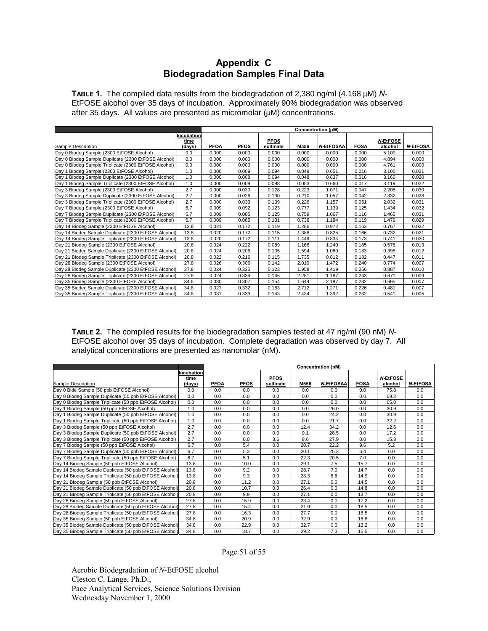## **Appendix C Biodegradation Samples Final Data**

**TABLE 1.** The compiled data results from the biodegradation of 2,380 ng/ml (4.168 µM) *N*-EtFOSE alcohol over 35 days of incubation. Approximately 90% biodegradation was observed after 35 days. All values are presented as micromolar (µM) concentrations.

|                                                       |                    |             |             |             | Concentration (uM) |                  |             |                 |                 |
|-------------------------------------------------------|--------------------|-------------|-------------|-------------|--------------------|------------------|-------------|-----------------|-----------------|
|                                                       | Incubation<br>time |             |             | <u>PFOS</u> |                    |                  |             | <b>N-EtFOSE</b> |                 |
| Sample Description                                    | (days)             | <b>PFOA</b> | <b>PFOS</b> | sulfinate   | M556               | <b>N EtFOSAA</b> | <b>FOSA</b> | alcohol         | <b>N-EtFOSA</b> |
| Day 0 Biodeg Sample (2300 EtFOSE Alcohol)             | 0.0                | 0.000       | 0.000       | 0.000       | 0.000              | 0.000            | 0.000       | 5.109           | 0.000           |
| Day 0 Biodeg Sample Duplicate (2300 EtFOSE Alcohol)   | 0.0                | 0.000       | 0.000       | 0.000       | 0.000              | 0.000            | 0.000       | 4.894           | 0.000           |
| Day 0 Biodeg Sample Triplicate (2300 EtFOSE Alcohol)  | 0.0                | 0.000       | 0.000       | 0.000       | 0.000              | 0.000            | 0.000       | 4.761           | 0.000           |
| Day 1 Biodeg Sample (2300 EtFOSE Alcohol)             | 1.0                | 0.000       | 0.009       | 0.094       | 0.049              | 0.651            | 0.016       | 3.100           | 0.021           |
| Day 1 Biodeg Sample Duplicate (2300 EtFOSE Alcohol)   | 1.0                | 0.000       | 0.008       | 0.094       | 0.048              | 0.637            | 0.016       | 3.160           | 0.020           |
| Day 1 Biodeg Sample Triplicate (2300 EtFOSE Alcohol)  | 1.0                | 0.000       | 0.009       | 0.098       | 0.053              | 0.660            | 0.017       | 3.119           | 0.022           |
| Day 3 Biodeg Sample (2300 EtFOSE Alcohol)             | 2.7                | 0.000       | 0.030       | 0.128       | 0.223              | 1.071            | 0.047       | 2.205           | 0.030           |
| Day 3 Biodeg Sample Duplicate (2300 EtFOSE Alcohol)   | 2.7                | 0.000       | 0.026       | 0.130       | 0.210              | 1.057            | 0.042       | 2.332           | 0.028           |
| Day 3 Biodeg Sample Triplicate (2300 EtFOSE Alcohol)  | 2.7                | 0.000       | 0.033       | 0.139       | 0.226              | 1.157            | 0.051       | 2.032           | 0.031           |
| Day 7 Biodeg Sample (2300 EtFOSE Alcohol)             | 6.7                | 0.009       | 0.092       | 0.123       | 0.777              | 1.139            | 0.125       | 1.434           | 0.032           |
| Day 7 Biodeg Sample Duplicate (2300 EtFOSE Alcohol)   | 6.7                | 0.009       | 0.085       | 0.125       | 0.759              | 1.067            | 0.116       | 1.465           | 0.031           |
| Day 7 Biodeg Sample Triplicate (2300 EtFOSE Alcohol)  | 6.7                | 0.009       | 0.085       | 0.131       | 0.738              | 1.184            | 0.119       | 1.479           | 0.029           |
| Day 14 Biodeg Sample (2300 EtFOSE Alcohol)            | 13.8               | 0.021       | 0.172       | 0.119       | 1.286              | 0.972            | 0.163       | 0.767           | 0.022           |
| Day 14 Biodeg Sample Duplicate (2300 EtFOSE Alcohol)  | 13.8               | 0.020       | 0.172       | 0.115       | 1.388              | 0.825            | 0.166       | 0.732           | 0.021           |
| Day 14 Biodeg Sample Triplicate (2300 EtFOSE Alcohol) | 13.8               | 0.020       | 0.172       | 0.111       | 1.449              | 0.834            | 0.173       | 0.741           | 0.020           |
| Day 21 Biodeg Sample (2300 EtFOSE Alcohol)            | 20.8               | 0.024       | 0.222       | 0.089       | 1.166              | 1.240            | 0.185       | 0.576           | 0.013           |
| Day 21 Biodeg Sample Duplicate (2300 EtFOSE Alcohol)  | 20.8               | 0.024       | 0.206       | 0.105       | 1.594              | 1.060            | 0.183       | 0.398           | 0.012           |
| Day 21 Biodeg Sample Triplicate (2300 EtFOSE Alcohol) | 20.8               | 0.022       | 0.216       | 0.115       | 1.735              | 0.812            | 0.182       | 0.447           | 0.011           |
| Day 28 Biodeg Sample (2300 EtFOSE Alcohol)            | 27.8               | 0.026       | 0.306       | 0.142       | 2.019              | 1.472            | 0.240       | 0.774           | 0.007           |
| Day 28 Biodeg Sample Duplicate (2300 EtFOSE Alcohol)  | 27.8               | 0.024       | 0.325       | 0.123       | 1.958              | 1.419            | 0.256       | 0.887           | 0.010           |
| Day 28 Biodeg Sample Triplicate (2300 EtFOSE Alcohol) | 27.8               | 0.024       | 0.334       | 0.146       | 2.281              | 1.187            | 0.243       | 0.671           | 0.009           |
| Day 35 Biodeg Sample (2300 EtFOSE Alcohol)            | 34.8               | 0.030       | 0.307       | 0.154       | 1.644              | 2.187            | 0.232       | 0.665           | 0.007           |
| Day 35 Biodeg Sample Duplicate (2300 EtFOSE Alcohol)  | 34.8               | 0.027       | 0.332       | 0.183       | 2.712              | 1.271            | 0.226       | 0.481           | 0.007           |
| Day 35 Biodeg Sample Triplicate (2300 EtFOSE Alcohol) | 34.8               | 0.031       | 0.339       | 0.143       | 2.434              | 1.392            | 0.232       | 0.541           | 0.005           |

**TABLE 2.** The compiled results for the biodegradation samples tested at 47 ng/ml (90 nM) *N*-EtFOSE alcohol over 35 days of incubation. Complete degradation was observed by day 7. All analytical concentrations are presented as nanomolar (nM).

|                                                          |                | Concentration (nM) |             |                          |      |                  |             |                            |                 |  |  |
|----------------------------------------------------------|----------------|--------------------|-------------|--------------------------|------|------------------|-------------|----------------------------|-----------------|--|--|
|                                                          | Incubation     |                    |             |                          |      |                  |             |                            |                 |  |  |
| Sample Description                                       | time<br>(davs) | <b>PFOA</b>        | <b>PFOS</b> | <b>PFOS</b><br>sulfinate | M556 | <b>N-EtFOSAA</b> | <b>FOSA</b> | <b>N-EtFOSE</b><br>alcohol | <b>N-EtFOSA</b> |  |  |
| Day 0 Bide Sample (50 ppb EtFOSE Alcohol)                | 0.0            | 0.0                | 0.0         | 0.0                      | 0.0  | 0.0              | 0.0         | 75.8                       | 0.0             |  |  |
| Day 0 Biodeg Sample Duplicate (50 ppb EtFOSE Alcohol)    | 0.0            | 0.0                | 0.0         | 0.0                      | 0.0  | 0.0              | 0.0         | 69.2                       | 0.0             |  |  |
| Day 0 Biodeg Sample Triplicate (50 ppb EtFOSE Alcohol)   | 0.0            | 0.0                | 0.0         | 0.0                      | 0.0  | 0.0              | 0.0         | 65.0                       | 0.0             |  |  |
| Day 1 Biodeg Sample (50 ppb EtFOSE Alcohol)              | 1.0            | 0.0                | 0.0         | 0.0                      | 0.0  | 26.0             | 0.0         | 30.9                       | 0.0             |  |  |
| Biodeg Sample Duplicate (50 ppb EtFOSE Alcohol)<br>Dav 1 | 1.0            | 0.0                | 0.0         | 0.0                      | 0.0  | 24.2             | 0.0         | 30.9                       | 0.0             |  |  |
| Day 1 Biodeg Sample Triplicate (50 ppb EtFOSE Alcohol)   | 1.0            | 0.0                | 0.0         | 0.0                      | 0.0  | 21.7             | 0.0         | 32.2                       | 0.0             |  |  |
| Day 3 Biodeg Sample (50 ppb EtFOSE Alcohol)              | 2.7            | 0.0                | 0.0         | 0.0                      | 12.4 | 34.2             | 0.0         | 12.6                       | 0.0             |  |  |
| Day 3 Biodeg Sample Duplicate (50 ppb EtFOSE Alcohol)    | 2.7            | 0.0                | 0.0         | 0.0                      | 9.1  | 28.5             | 0.0         | 17.2                       | 0.0             |  |  |
| Dav 3 Biodeg Sample Triplicate (50 ppb EtFOSE Alcohol)   | 2.7            | 0.0                | 0.0         | 3.6                      | 8.6  | 27.9             | 0.0         | 15.8                       | 0.0             |  |  |
| Day 7 Biodeg Sample (50 ppb EtFOSE Alcohol)              | 6.7            | 0.0                | 5.4         | 0.0                      | 20.7 | 22.2             | 9.6         | 5.2                        | 0.0             |  |  |
| Day 7 Biodeg Sample Duplicate (50 ppb EtFOSE Alcohol)    | 6.7            | 0.0                | 5.3         | 0.0                      | 20.1 | 25.2             | 6.4         | 0.0                        | 0.0             |  |  |
| Day 7 Biodeg Sample Triplicate (50 ppb EtFOSE Alcohol)   | 6.7            | 0.0                | 5.1         | 0.0                      | 22.3 | 20.5             | 7.0         | 0.0                        | 0.0             |  |  |
| Day 14 Biodeg Sample (50 ppb EtFOSE Alcohol)             | 13.8           | 0.0                | 10.0        | 0.0                      | 29.1 | 7.5              | 15.7        | 0.0                        | 0.0             |  |  |
| Day 14 Biodeg Sample Duplicate (50 ppb EtFOSE Alcohol)   | 13.8           | 0.0                | 9.2         | 0.0                      | 28.7 | 7.0              | 14.7        | 0.0                        | 0.0             |  |  |
| Day 14 Biodeg Sample Triplicate (50 ppb EtFOSE Alcohol)  | 13.8           | 0.0                | 9.3         | 0.0                      | 28.3 | 8.6              | 14.9        | 0.0                        | 0.0             |  |  |
| Day 21 Biodeg Sample (50 ppb EtFOSE Alcohol)             | 20.8           | 0.0                | 11.2        | 0.0                      | 27.1 | 0.0              | 14.5        | 0.0                        | 0.0             |  |  |
| Day 21 Biodeg Sample Duplicate (50 ppb EtFOSE Alcohol)   | 20.8           | 0.0                | 10.7        | 0.0                      | 26.4 | 0.0              | 14.8        | 0.0                        | 0.0             |  |  |
| Day 21 Biodeg Sample Triplicate (50 ppb EtFOSE Alcohol)  | 20.8           | 0.0                | 9.9         | 0.0                      | 27.1 | 0.0              | 13.7        | 0.0                        | 0.0             |  |  |
| Day 28 Biodeg Sample (50 ppb EtFOSE Alcohol)             | 27.8           | 0.0                | 15.9        | 0.0                      | 23.4 | 0.0              | 17.2        | 0.0                        | 0.0             |  |  |
| Day 28 Biodeg Sample Duplicate (50 ppb EtFOSE Alcohol)   | 27.8           | 0.0                | 15.4        | 0.0                      | 21.9 | 0.0              | 18.5        | 0.0                        | 0.0             |  |  |
| Day 28 Biodeg Sample Triplicate (50 ppb EtFOSE Alcohol)  | 27.8           | 0.0                | 16.3        | 0.0                      | 27.7 | 0.0              | 16.5        | 0.0                        | 0.0             |  |  |
| Day 35 Biodeg Sample (50 ppb EtFOSE Alcohol)             | 34.8           | 0.0                | 20.9        | 0.0                      | 32.9 | 0.0              | 16.8        | 0.0                        | 0.0             |  |  |
| Day 35 Biodeg Sample Duplicate (50 ppb EtFOSE Alcohol)   | 34.8           | 0.0                | 22.9        | 0.0                      | 32.7 | 0.0              | 13.2        | 0.0                        | 0.0             |  |  |
| Day 35 Biodeg Sample Triplicate (50 ppb EtFOSE Alcohol)  | 34.8           | 0.0                | 18.7        | 0.0                      | 29.2 | 7.3              | 15.5        | 0.0                        | 0.0             |  |  |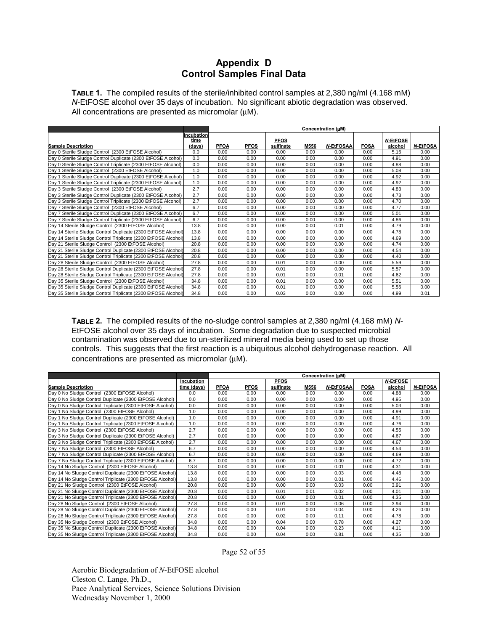## **Appendix D Control Samples Final Data**

**TABLE 1.** The compiled results of the sterile/inhibited control samples at 2,380 ng/ml (4.168 mM) *N*-EtFOSE alcohol over 35 days of incubation. No significant abiotic degradation was observed. All concentrations are presented as micromolar ( $\mu$ M).

|                                                                |                    | Concentration (µM) |             |                          |      |                  |             |                     |                 |
|----------------------------------------------------------------|--------------------|--------------------|-------------|--------------------------|------|------------------|-------------|---------------------|-----------------|
|                                                                | Incubation<br>time |                    |             |                          |      |                  |             |                     |                 |
| <b>Sample Description</b>                                      |                    | <b>PFOA</b>        | <b>PFOS</b> | <b>PFOS</b><br>sulfinate | M556 | <b>N-EtFOSAA</b> | <b>FOSA</b> | N-EtFOSE<br>alcohol | <b>N-EtFOSA</b> |
| Day 0 Sterile Sludge Control (2300 EtFOSE Alcohol)             | (days)<br>0.0      | 0.00               | 0.00        | 0.00                     | 0.00 | 0.00             | 0.00        | 5.16                | 0.00            |
|                                                                |                    |                    |             |                          |      |                  |             |                     |                 |
| Day 0 Sterile Sludge Control Duplicate (2300 EtFOSE Alcohol)   | 0.0                | 0.00               | 0.00        | 0.00                     | 0.00 | 0.00             | 0.00        | 4.91                | 0.00            |
| Day 0 Sterile Sludge Control Triplicate (2300 EtFOSE Alcohol)  | 0.0                | 0.00               | 0.00        | 0.00                     | 0.00 | 0.00             | 0.00        | 4.88                | 0.00            |
| Day 1 Sterile Sludge Control (2300 EtFOSE Alcohol)             | 1.0                | 0.00               | 0.00        | 0.00                     | 0.00 | 0.00             | 0.00        | 5.08                | 0.00            |
| Day 1 Sterile Sludge Control Duplicate (2300 EtFOSE Alcohol)   | 1.0                | 0.00               | 0.00        | 0.00                     | 0.00 | 0.00             | 0.00        | 4.92                | 0.00            |
| Day 1 Sterile Sludge Control Triplicate (2300 EtFOSE Alcohol)  | 1.0                | 0.00               | 0.00        | 0.00                     | 0.00 | 0.00             | 0.00        | 4.92                | 0.00            |
| Day 3 Sterile Sludge Control (2300 EtFOSE Alcohol)             | 2.7                | 0.00               | 0.00        | 0.00                     | 0.00 | 0.00             | 0.00        | 4.83                | 0.00            |
| Dav 3 Sterile Sludge Control Duplicate (2300 EtFOSE Alcohol)   | 2.7                | 0.00               | 0.00        | 0.00                     | 0.00 | 0.00             | 0.00        | 4.73                | 0.00            |
| Dav 3 Sterile Sludge Control Triplicate (2300 EtFOSE Alcohol)  | 2.7                | 0.00               | 0.00        | 0.00                     | 0.00 | 0.00             | 0.00        | 4.70                | 0.00            |
| Day 7 Sterile Sludge Control (2300 EtFOSE Alcohol)             | 6.7                | 0.00               | 0.00        | 0.00                     | 0.00 | 0.00             | 0.00        | 4.77                | 0.00            |
| Day 7 Sterile Sludge Control Duplicate (2300 EtFOSE Alcohol)   | 6.7                | 0.00               | 0.00        | 0.00                     | 0.00 | 0.00             | 0.00        | 5.01                | 0.00            |
| Day 7 Sterile Sludge Control Triplicate (2300 EtFOSE Alcohol)  | 6.7                | 0.00               | 0.00        | 0.00                     | 0.00 | 0.00             | 0.00        | 4.86                | 0.00            |
| Day 14 Sterile Sludge Control (2300 EtFOSE Alcohol)            | 13.8               | 0.00               | 0.00        | 0.00                     | 0.00 | 0.01             | 0.00        | 4.79                | 0.00            |
| Day 14 Sterile Sludge Control Duplicate (2300 EtFOSE Alcohol)  | 13.8               | 0.00               | 0.00        | 0.00                     | 0.00 | 0.00             | 0.00        | 4.78                | 0.00            |
| Day 14 Sterile Sludge Control Triplicate (2300 EtFOSE Alcohol) | 13.8               | 0.00               | 0.00        | 0.00                     | 0.00 | 0.00             | 0.00        | 4.69                | 0.00            |
| Day 21 Sterile Sludge Control (2300 EtFOSE Alcohol)            | 20.8               | 0.00               | 0.00        | 0.00                     | 0.00 | 0.00             | 0.00        | 4.74                | 0.00            |
| Day 21 Sterile Sludge Control Duplicate (2300 EtFOSE Alcohol)  | 20.8               | 0.00               | 0.00        | 0.00                     | 0.00 | 0.00             | 0.00        | 4.54                | 0.00            |
| Day 21 Sterile Sludge Control Triplicate (2300 EtFOSE Alcohol) | 20.8               | 0.00               | 0.00        | 0.00                     | 0.00 | 0.00             | 0.00        | 4.40                | 0.00            |
| Day 28 Sterile Sludge Control (2300 EtFOSE Alcohol)            | 27.8               | 0.00               | 0.00        | 0.01                     | 0.00 | 0.00             | 0.00        | 5.59                | 0.00            |
| Day 28 Sterile Sludge Control Duplicate (2300 EtFOSE Alcohol)  | 27.8               | 0.00               | 0.00        | 0.01                     | 0.00 | 0.00             | 0.00        | 5.57                | 0.00            |
| Day 28 Sterile Sludge Control Triplicate (2300 EtFOSE Alcohol) | 27.8               | 0.00               | 0.00        | 0.01                     | 0.00 | 0.01             | 0.00        | 4.62                | 0.00            |
| Day 35 Sterile Sludge Control (2300 EtFOSE Alcohol)            | 34.8               | 0.00               | 0.00        | 0.01                     | 0.00 | 0.00             | 0.00        | 5.51                | 0.00            |
| Day 35 Sterile Sludge Control Duplicate (2300 EtFOSE Alcohol)  | 34.8               | 0.00               | 0.00        | 0.01                     | 0.00 | 0.00             | 0.00        | 5.56                | 0.00            |
| Day 35 Sterile Sludge Control Triplicate (2300 EtFOSE Alcohol) | 34.8               | 0.00               | 0.00        | 0.03                     | 0.00 | 0.00             | 0.00        | 4.99                | 0.01            |

**TABLE 2.** The compiled results of the no-sludge control samples at 2,380 ng/ml (4.168 mM) *N*-EtFOSE alcohol over 35 days of incubation. Some degradation due to suspected microbial contamination was observed due to un-sterilized mineral media being used to set up those controls. This suggests that the first reaction is a ubiquitous alcohol dehydrogenase reaction. All concentrations are presented as micromolar (µM).

|                                                           |             | Concentration (µM) |             |             |      |                  |             |                 |                 |
|-----------------------------------------------------------|-------------|--------------------|-------------|-------------|------|------------------|-------------|-----------------|-----------------|
|                                                           | Incubation  |                    |             | <b>PFOS</b> |      |                  |             | <b>N-EtFOSE</b> |                 |
| <b>Sample Description</b>                                 | time (days) | <b>PFOA</b>        | <b>PFOS</b> | sulfinate   | M556 | <b>N-EtFOSAA</b> | <b>FOSA</b> | alcohol         | <b>N-EtFOSA</b> |
| Day 0 No Sludge Control (2300 EtFOSE Alcohol)             | 0.0         | 0.00               | 0.00        | 0.00        | 0.00 | 0.00             | 0.00        | 4.88            | 0.00            |
| Day 0 No Sludge Control Duplicate (2300 EtFOSE Alcohol)   | 0.0         | 0.00               | 0.00        | 0.00        | 0.00 | 0.00             | 0.00        | 4.95            | 0.00            |
| Day 0 No Sludge Control Triplicate (2300 EtFOSE Alcohol)  | 0.0         | 0.00               | 0.00        | 0.00        | 0.00 | 0.00             | 0.00        | 5.03            | 0.00            |
| Day 1 No Sludge Control (2300 EtFOSE Alcohol)             | 1.0         | 0.00               | 0.00        | 0.00        | 0.00 | 0.00             | 0.00        | 4.99            | 0.00            |
| Day 1 No Sludge Control Duplicate (2300 EtFOSE Alcohol)   | 1.0         | 0.00               | 0.00        | 0.00        | 0.00 | 0.00             | 0.00        | 4.91            | 0.00            |
| Dav 1 No Sludge Control Triplicate (2300 EtFOSE Alcohol)  | 1.0         | 0.00               | 0.00        | 0.00        | 0.00 | 0.00             | 0.00        | 4.76            | 0.00            |
| Day 3 No Sludge Control (2300 EtFOSE Alcohol)             | 2.7         | 0.00               | 0.00        | 0.00        | 0.00 | 0.00             | 0.00        | 4.55            | 0.00            |
| Day 3 No Sludge Control Duplicate (2300 EtFOSE Alcohol)   | 2.7         | 0.00               | 0.00        | 0.00        | 0.00 | 0.00             | 0.00        | 4.67            | 0.00            |
| Day 3 No Sludge Control Triplicate (2300 EtFOSE Alcohol)  | 2.7         | 0.00               | 0.00        | 0.00        | 0.00 | 0.00             | 0.00        | 4.67            | 0.00            |
| Day 7 No Sludge Control (2300 EtFOSE Alcohol)             | 6.7         | 0.00               | 0.00        | 0.00        | 0.00 | 0.00             | 0.00        | 4.54            | 0.00            |
| Day 7 No Sludge Control Duplicate (2300 EtFOSE Alcohol)   | 6.7         | 0.00               | 0.00        | 0.00        | 0.00 | 0.00             | 0.00        | 4.69            | 0.00            |
| Day 7 No Sludge Control Triplicate (2300 EtFOSE Alcohol)  | 6.7         | 0.00               | 0.00        | 0.00        | 0.00 | 0.00             | 0.00        | 4.72            | 0.00            |
| Day 14 No Sludge Control (2300 EtFOSE Alcohol)            | 13.8        | 0.00               | 0.00        | 0.00        | 0.00 | 0.01             | 0.00        | 4.31            | 0.00            |
| Day 14 No Sludge Control Duplicate (2300 EtFOSE Alcohol)  | 13.8        | 0.00               | 0.00        | 0.00        | 0.00 | 0.03             | 0.00        | 4.48            | 0.00            |
| Day 14 No Sludge Control Triplicate (2300 EtFOSE Alcohol) | 13.8        | 0.00               | 0.00        | 0.00        | 0.00 | 0.01             | 0.00        | 4.46            | 0.00            |
| Day 21 No Sludge Control (2300 EtFOSE Alcohol)            | 20.8        | 0.00               | 0.00        | 0.00        | 0.00 | 0.03             | 0.00        | 3.91            | 0.00            |
| Day 21 No Sludge Control Duplicate (2300 EtFOSE Alcohol)  | 20.8        | 0.00               | 0.00        | 0.01        | 0.01 | 0.02             | 0.00        | 4.01            | 0.00            |
| Day 21 No Sludge Control Triplicate (2300 EtFOSE Alcohol) | 20.8        | 0.00               | 0.00        | 0.00        | 0.00 | 0.01             | 0.00        | 4.35            | 0.00            |
| Day 28 No Sludge Control (2300 EtFOSE Alcohol)            | 27.8        | 0.00               | 0.00        | 0.01        | 0.00 | 0.06             | 0.00        | 3.94            | 0.00            |
| Day 28 No Sludge Control Duplicate (2300 EtFOSE Alcohol)  | 27.8        | 0.00               | 0.00        | 0.01        | 0.00 | 0.04             | 0.00        | 4.26            | 0.00            |
| Day 28 No Sludge Control Triplicate (2300 EtFOSE Alcohol) | 27.8        | 0.00               | 0.00        | 0.02        | 0.00 | 0.11             | 0.00        | 4.78            | 0.00            |
| Day 35 No Sludge Control (2300 EtFOSE Alcohol)            | 34.8        | 0.00               | 0.00        | 0.04        | 0.00 | 0.78             | 0.00        | 4.27            | 0.00            |
| Day 35 No Sludge Control Duplicate (2300 EtFOSE Alcohol)  | 34.8        | 0.00               | 0.00        | 0.04        | 0.00 | 0.23             | 0.00        | 4.11            | 0.00            |
| Day 35 No Sludge Control Triplicate (2300 EtFOSE Alcohol) | 34.8        | 0.00               | 0.00        | 0.04        | 0.00 | 0.81             | 0.00        | 4.35            | 0.00            |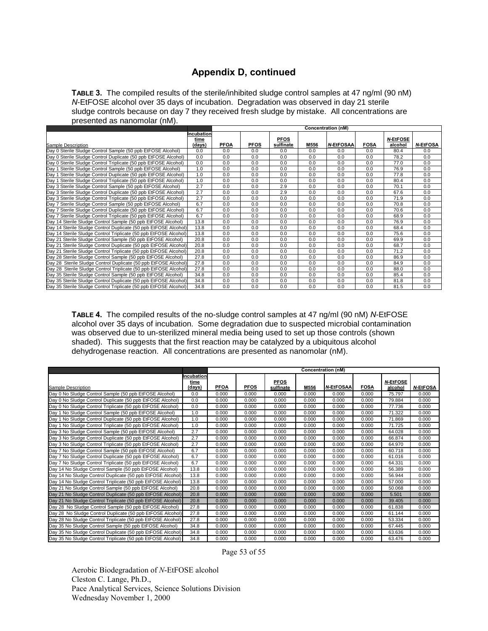## **Appendix D, continued**

**TABLE 3.** The compiled results of the sterile/inhibited sludge control samples at 47 ng/ml (90 nM) *N*-EtFOSE alcohol over 35 days of incubation. Degradation was observed in day 21 sterile sludge controls because on day 7 they received fresh sludge by mistake. All concentrations are presented as nanomolar (nM).

|                                                                    | <b>Concentration (nM)</b> |             |             |             |      |                  |             |                 |                 |
|--------------------------------------------------------------------|---------------------------|-------------|-------------|-------------|------|------------------|-------------|-----------------|-----------------|
|                                                                    | Incubation<br>time        |             |             | <b>PFOS</b> |      |                  |             | <b>N-EtFOSE</b> |                 |
| Sample Description                                                 | (days)                    | <b>PFOA</b> | <b>PFOS</b> | sulfinate   | M556 | <b>N-EtFOSAA</b> | <b>FOSA</b> | alcohol         | <b>N-EtFOSA</b> |
| Day 0 Sterile Sludge Control Sample (50 ppb EtFOSE Alcohol)        | 0.0                       | 0.0         | 0.0         | 0.0         | 0.0  | 0.0              | 0.0         | 80.4            | 0.0             |
| Day 0 Sterile Sludge Control Duplicate (50 ppb EtFOSE Alcohol)     | 0.0                       | 0.0         | 0.0         | 0.0         | 0.0  | 0.0              | 0.0         | 78.2            | 0.0             |
| Day 0 Sterile Sludge Control Triplicate (50 ppb EtFOSE Alcohol)    | 0.0                       | 0.0         | 0.0         | 0.0         | 0.0  | 0.0              | 0.0         | 77.0            | 0.0             |
| Sterile Sludge Control Sample (50 ppb EtFOSE Alcohol)<br>Dav 1     | 1.0                       | 0.0         | 0.0         | 0.0         | 0.0  | 0.0              | 0.0         | 76.9            | 0.0             |
| Sterile Sludge Control Duplicate (50 ppb EtFOSE Alcohol)<br>Dav 1  | 1.0                       | 0.0         | 0.0         | 0.0         | 0.0  | 0.0              | 0.0         | 77.8            | 0.0             |
| Sterile Sludge Control Triplicate (50 ppb EtFOSE Alcohol)<br>Dav 1 | 1.0                       | 0.0         | 0.0         | 0.0         | 0.0  | 0.0              | 0.0         | 80.4            | 0.0             |
| Day 3 Sterile Sludge Control Sample (50 ppb EtFOSE Alcohol)        | 2.7                       | 0.0         | 0.0         | 2.9         | 0.0  | 0.0              | 0.0         | 70.1            | 0.0             |
| Day 3 Sterile Sludge Control Duplicate (50 ppb EtFOSE Alcohol)     | 2.7                       | 0.0         | 0.0         | 2.9         | 0.0  | 0.0              | 0.0         | 67.6            | 0.0             |
| Day 3 Sterile Sludge Control Triplicate (50 ppb EtFOSE Alcohol)    | 2.7                       | 0.0         | 0.0         | 0.0         | 0.0  | 0.0              | 0.0         | 71.9            | 0.0             |
| Day 7 Sterile Sludge Control Sample (50 ppb EtFOSE Alcohol)        | 6.7                       | 0.0         | 0.0         | 0.0         | 0.0  | 0.0              | 0.0         | 70.8            | 0.0             |
| Day 7 Sterile Sludge Control Duplicate (50 ppb EtFOSE Alcohol)     | 6.7                       | 0.0         | 0.0         | 0.0         | 0.0  | 0.0              | 0.0         | 70.6            | 0.0             |
| Day 7 Sterile Sludge Control Triplicate (50 ppb EtFOSE Alcohol)    | 6.7                       | 0.0         | 0.0         | 0.0         | 0.0  | 0.0              | 0.0         | 68.9            | 0.0             |
| Day 14 Sterile Sludge Control Sample (50 ppb EtFOSE Alcohol)       | 13.8                      | 0.0         | 0.0         | 0.0         | 0.0  | 0.0              | 0.0         | 76.9            | 0.0             |
| Day 14 Sterile Sludge Control Duplicate (50 ppb EtFOSE Alcohol)    | 13.8                      | 0.0         | 0.0         | 0.0         | 0.0  | 0.0              | 0.0         | 68.4            | 0.0             |
| Day 14 Sterile Sludge Control Triplicate (50 ppb EtFOSE Alcohol)   | 13.8                      | 0.0         | 0.0         | 0.0         | 0.0  | 0.0              | 0.0         | 75.6            | 0.0             |
| Day 21 Sterile Sludge Control Sample (50 ppb EtFOSE Alcohol)       | 20.8                      | 0.0         | 0.0         | 0.0         | 0.0  | 0.0              | 0.0         | 69.9            | 0.0             |
| Day 21 Sterile Sludge Control Duplicate (50 ppb EtFOSE Alcohol)    | 20.8                      | 0.0         | 0.0         | 0.0         | 0.0  | 0.0              | 0.0         | 68.7            | 0.0             |
| Day 21 Sterile Sludge Control Triplicate (50 ppb EtFOSE Alcohol)   | 20.8                      | 0.0         | 0.0         | 0.0         | 0.0  | 0.0              | 0.0         | 71.2            | 0.0             |
| Day 28 Sterile Sludge Control Sample (50 ppb EtFOSE Alcohol)       | 27.8                      | 0.0         | 0.0         | 0.0         | 0.0  | 0.0              | 0.0         | 86.9            | 0.0             |
| Day 28 Sterile Sludge Control Duplicate (50 ppb EtFOSE Alcohol)    | 27.8                      | 0.0         | 0.0         | 0.0         | 0.0  | 0.0              | 0.0         | 84.9            | 0.0             |
| Day 28 Sterile Sludge Control Triplicate (50 ppb EtFOSE Alcohol)   | 27.8                      | 0.0         | 0.0         | 0.0         | 0.0  | 0.0              | 0.0         | 88.0            | 0.0             |
| Day 35 Sterile Sludge Control Sample (50 ppb EtFOSE Alcohol)       | 34.8                      | 0.0         | 0.0         | 0.0         | 0.0  | 0.0              | 0.0         | 85.4            | 0.0             |
| Day 35 Sterile Sludge Control Duplicate (50 ppb EtFOSE Alcohol)    | 34.8                      | 0.0         | 0.0         | 0.0         | 0.0  | 0.0              | 0.0         | 81.8            | 0.0             |
| Day 35 Sterile Sludge Control Triplicate (50 ppb EtFOSE Alcohol)   | 34.8                      | 0.0         | 0.0         | 0.0         | 0.0  | 0.0              | 0.0         | 81.5            | 0.0             |

**TABLE 4.** The compiled results of the no-sludge control samples at 47 ng/ml (90 nM) *N*-EtFOSE alcohol over 35 days of incubation. Some degradation due to suspected microbial contamination was observed due to un-sterilized mineral media being used to set up those controls (shown shaded). This suggests that the first reaction may be catalyzed by a ubiquitous alcohol dehydrogenase reaction. All concentrations are presented as nanomolar (nM).

|                                                             |                    | Concentration (nM) |             |             |       |                  |             |                 |                 |
|-------------------------------------------------------------|--------------------|--------------------|-------------|-------------|-------|------------------|-------------|-----------------|-----------------|
|                                                             | Incubation<br>time |                    |             | <b>PFOS</b> |       |                  |             | <b>N-EtFOSE</b> |                 |
| Sample Description                                          | (days)             | <b>PFOA</b>        | <b>PFOS</b> | sulfinate   | M556  | <b>N-EtFOSAA</b> | <b>FOSA</b> | alcohol         | <b>N-EtFOSA</b> |
| Day 0 No Sludge Control Sample (50 ppb EtFOSE Alcohol)      | 0.0                | 0.000              | 0.000       | 0.000       | 0.000 | 0.000            | 0.000       | 75.797          | 0.000           |
| Day 0 No Sludge Control Duplicate (50 ppb EtFOSE Alcohol)   | 0.0                | 0.000              | 0.000       | 0.000       | 0.000 | 0.000            | 0.000       | 79.884          | 0.000           |
| Day 0 No Sludge Control Triplicate (50 ppb EtFOSE Alcohol)  | 0.0                | 0.000              | 0.000       | 0.000       | 0.000 | 0.000            | 0.000       | 77.736          | 0.000           |
| Day 1 No Sludge Control Sample (50 ppb EtFOSE Alcohol)      | 1.0                | 0.000              | 0.000       | 0.000       | 0.000 | 0.000            | 0.000       | 71.322          | 0.000           |
| Day 1 No Sludge Control Duplicate (50 ppb EtFOSE Alcohol)   | 1.0                | 0.000              | 0.000       | 0.000       | 0.000 | 0.000            | 0.000       | 71.869          | 0.000           |
| Day 1 No Sludge Control Triplicate (50 ppb EtFOSE Alcohol)  | 1.0                | 0.000              | 0.000       | 0.000       | 0.000 | 0.000            | 0.000       | 71.725          | 0.000           |
| Day 3 No Sludge Control Sample (50 ppb EtFOSE Alcohol)      | 2.7                | 0.000              | 0.000       | 0.000       | 0.000 | 0.000            | 0.000       | 64.028          | 0.000           |
| Day 3 No Sludge Control Duplicate (50 ppb EtFOSE Alcohol)   | 2.7                | 0.000              | 0.000       | 0.000       | 0.000 | 0.000            | 0.000       | 66.874          | 0.000           |
| Day 3 No Sludge Control Triplicate (50 ppb EtFOSE Alcohol)  | 2.7                | 0.000              | 0.000       | 0.000       | 0.000 | 0.000            | 0.000       | 64.970          | 0.000           |
| Day 7 No Sludge Control Sample (50 ppb EtFOSE Alcohol)      | 6.7                | 0.000              | 0.000       | 0.000       | 0.000 | 0.000            | 0.000       | 60.718          | 0.000           |
| Day 7 No Sludge Control Duplicate (50 ppb EtFOSE Alcohol)   | 6.7                | 0.000              | 0.000       | 0.000       | 0.000 | 0.000            | 0.000       | 61.016          | 0.000           |
| Day 7 No Sludge Control Triplicate (50 ppb EtFOSE Alcohol)  | 6.7                | 0.000              | 0.000       | 0.000       | 0.000 | 0.000            | 0.000       | 64.331          | 0.000           |
| Day 14 No Sludge Control Sample (50 ppb EtFOSE Alcohol)     | 13.8               | 0.000              | 0.000       | 0.000       | 0.000 | 0.000            | 0.000       | 56.389          | 0.000           |
| Day 14 No Sludge Control Duplicate (50 ppb EtFOSE Alcohol)  | 13.8               | 0.000              | 0.000       | 0.000       | 0.000 | 0.000            | 0.000       | 56.944          | 0.000           |
| Day 14 No Sludge Control Triplicate (50 ppb EtFOSE Alcohol) | 13.8               | 0.000              | 0.000       | 0.000       | 0.000 | 0.000            | 0.000       | 57.000          | 0.000           |
| Day 21 No Sludge Control Sample (50 ppb EtFOSE Alcohol)     | 20.8               | 0.000              | 0.000       | 0.000       | 0.000 | 0.000            | 0.000       | 50.068          | 0.000           |
| Day 21 No Sludge Control Duplicate (50 ppb EtFOSE Alcohol)  | 20.8               | 0.000              | 0.000       | 0.000       | 0.000 | 0.000            | 0.000       | 5.501           | 0.000           |
| Day 21 No Sludge Control Triplicate (50 ppb EtFOSE Alcohol) | 20.8               | 0.000              | 0.000       | 0.000       | 0.000 | 0.000            | 0.000       | 39.405          | 0.000           |
| Day 28 No Sludge Control Sample (50 ppb EtFOSE Alcohol)     | 27.8               | 0.000              | 0.000       | 0.000       | 0.000 | 0.000            | 0.000       | 61.838          | 0.000           |
| Day 28 No Sludge Control Duplicate (50 ppb EtFOSE Alcohol)  | 27.8               | 0.000              | 0.000       | 0.000       | 0.000 | 0.000            | 0.000       | 61.144          | 0.000           |
| Day 28 No Sludge Control Triplicate (50 ppb EtFOSE Alcohol) | 27.8               | 0.000              | 0.000       | 0.000       | 0.000 | 0.000            | 0.000       | 53.334          | 0.000           |
| Day 35 No Sludge Control Sample (50 ppb EtFOSE Alcohol)     | 34.8               | 0.000              | 0.000       | 0.000       | 0.000 | 0.000            | 0.000       | 67.445          | 0.000           |
| Day 35 No Sludge Control Duplicate (50 ppb EtFOSE Alcohol)  | 34.8               | 0.000              | 0.000       | 0.000       | 0.000 | 0.000            | 0.000       | 63.636          | 0.000           |
| Day 35 No Sludge Control Triplicate (50 ppb EtFOSE Alcohol) | 34.8               | 0.000              | 0.000       | 0.000       | 0.000 | 0.000            | 0.000       | 63.476          | 0.000           |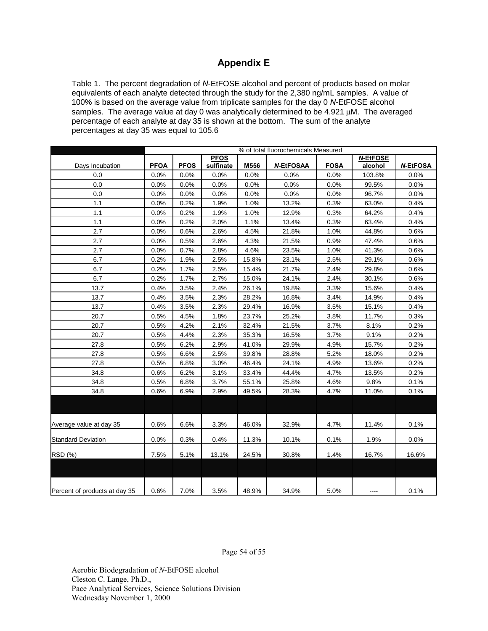## **Appendix E**

Table 1. The percent degradation of *N*-EtFOSE alcohol and percent of products based on molar equivalents of each analyte detected through the study for the 2,380 ng/mL samples. A value of 100% is based on the average value from triplicate samples for the day 0 *N*-EtFOSE alcohol samples. The average value at day 0 was analytically determined to be 4.921 µM. The averaged percentage of each analyte at day 35 is shown at the bottom. The sum of the analyte percentages at day 35 was equal to 105.6

|                               | % of total fluorochemicals Measured |             |                          |         |                  |             |                            |                 |
|-------------------------------|-------------------------------------|-------------|--------------------------|---------|------------------|-------------|----------------------------|-----------------|
| Days Incubation               | <b>PFOA</b>                         | <b>PFOS</b> | <b>PFOS</b><br>sulfinate | M556    | <b>N-EtFOSAA</b> | <b>FOSA</b> | <b>N-EtFOSE</b><br>alcohol | <b>N-EtFOSA</b> |
| 0.0                           | 0.0%                                | 0.0%        | 0.0%                     | $0.0\%$ | 0.0%             | $0.0\%$     | 103.8%                     | $0.0\%$         |
| 0.0                           | 0.0%                                | 0.0%        | 0.0%                     | $0.0\%$ | 0.0%             | 0.0%        | 99.5%                      | 0.0%            |
| 0.0                           | $0.0\%$                             | 0.0%        | $0.0\%$                  | $0.0\%$ | $0.0\%$          | $0.0\%$     | 96.7%                      | 0.0%            |
| 1.1                           | 0.0%                                | 0.2%        | 1.9%                     | 1.0%    | 13.2%            | 0.3%        | 63.0%                      | 0.4%            |
| 1.1                           | 0.0%                                | 0.2%        | 1.9%                     | 1.0%    | 12.9%            | 0.3%        | 64.2%                      | 0.4%            |
| 1.1                           | $0.0\%$                             | 0.2%        | 2.0%                     | 1.1%    | 13.4%            | 0.3%        | 63.4%                      | $0.4\%$         |
| 2.7                           | 0.0%                                | 0.6%        | 2.6%                     | 4.5%    | 21.8%            | 1.0%        | 44.8%                      | 0.6%            |
| 2.7                           | 0.0%                                | 0.5%        | 2.6%                     | 4.3%    | 21.5%            | 0.9%        | 47.4%                      | 0.6%            |
| 2.7                           | 0.0%                                | 0.7%        | 2.8%                     | 4.6%    | 23.5%            | 1.0%        | 41.3%                      | 0.6%            |
| 6.7                           | 0.2%                                | 1.9%        | 2.5%                     | 15.8%   | 23.1%            | 2.5%        | 29.1%                      | 0.6%            |
| 6.7                           | 0.2%                                | 1.7%        | 2.5%                     | 15.4%   | 21.7%            | 2.4%        | 29.8%                      | 0.6%            |
| 6.7                           | 0.2%                                | 1.7%        | 2.7%                     | 15.0%   | 24.1%            | 2.4%        | 30.1%                      | 0.6%            |
| 13.7                          | 0.4%                                | 3.5%        | 2.4%                     | 26.1%   | 19.8%            | 3.3%        | 15.6%                      | 0.4%            |
| 13.7                          | 0.4%                                | 3.5%        | 2.3%                     | 28.2%   | 16.8%            | 3.4%        | 14.9%                      | 0.4%            |
| 13.7                          | 0.4%                                | 3.5%        | 2.3%                     | 29.4%   | 16.9%            | 3.5%        | 15.1%                      | 0.4%            |
| 20.7                          | 0.5%                                | 4.5%        | 1.8%                     | 23.7%   | 25.2%            | 3.8%        | 11.7%                      | 0.3%            |
| 20.7                          | 0.5%                                | 4.2%        | 2.1%                     | 32.4%   | 21.5%            | 3.7%        | 8.1%                       | 0.2%            |
| 20.7                          | 0.5%                                | 4.4%        | 2.3%                     | 35.3%   | 16.5%            | 3.7%        | 9.1%                       | 0.2%            |
| 27.8                          | 0.5%                                | 6.2%        | 2.9%                     | 41.0%   | 29.9%            | 4.9%        | 15.7%                      | 0.2%            |
| 27.8                          | 0.5%                                | 6.6%        | 2.5%                     | 39.8%   | 28.8%            | 5.2%        | 18.0%                      | 0.2%            |
| 27.8                          | 0.5%                                | 6.8%        | 3.0%                     | 46.4%   | 24.1%            | 4.9%        | 13.6%                      | 0.2%            |
| 34.8                          | 0.6%                                | 6.2%        | 3.1%                     | 33.4%   | 44.4%            | 4.7%        | 13.5%                      | 0.2%            |
| 34.8                          | 0.5%                                | 6.8%        | 3.7%                     | 55.1%   | 25.8%            | 4.6%        | 9.8%                       | 0.1%            |
| 34.8                          | 0.6%                                | 6.9%        | 2.9%                     | 49.5%   | 28.3%            | 4.7%        | 11.0%                      | 0.1%            |
|                               |                                     |             |                          |         |                  |             |                            |                 |
| Average value at day 35       | 0.6%                                | 6.6%        | 3.3%                     | 46.0%   | 32.9%            | 4.7%        | 11.4%                      | 0.1%            |
| <b>Standard Deviation</b>     | 0.0%                                | 0.3%        | 0.4%                     | 11.3%   | 10.1%            | 0.1%        | 1.9%                       | $0.0\%$         |
| RSD (%)                       | 7.5%                                | 5.1%        | 13.1%                    | 24.5%   | 30.8%            | 1.4%        | 16.7%                      | 16.6%           |
|                               |                                     |             |                          |         |                  |             |                            |                 |
| Percent of products at day 35 | 0.6%                                | 7.0%        | 3.5%                     | 48.9%   | 34.9%            | 5.0%        |                            | 0.1%            |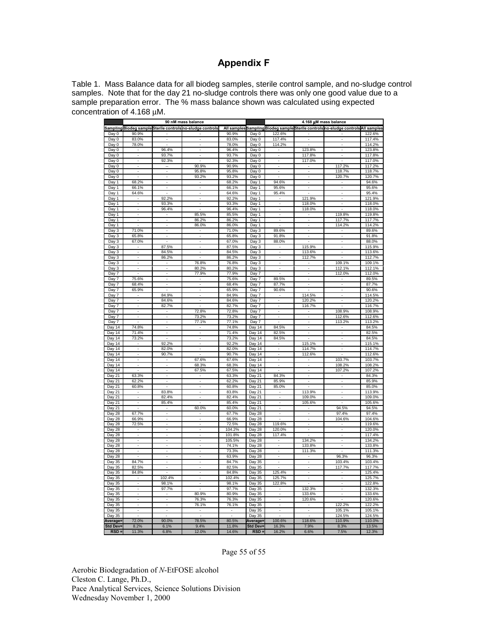## **Appendix F**

Table 1. Mass Balance data for all biodeg samples, sterile control sample, and no-sludge control samples. Note that for the day 21 no-sludge controls there was only one good value due to a sample preparation error. The % mass balance shown was calculated using expected concentration of 4.168 µM.

|                 |                          |                              | 90 nM mass balance                                                |        |                 | 4.168 μM mass balance    |                          |                                                                                           |                  |  |
|-----------------|--------------------------|------------------------------|-------------------------------------------------------------------|--------|-----------------|--------------------------|--------------------------|-------------------------------------------------------------------------------------------|------------------|--|
|                 |                          |                              | <u>Sampling Biodeg sample Sterile controls no-sludge controls</u> |        |                 |                          |                          | <u>All samples Sampling Biodeg sample Sterile controls no-sludge controls All samples</u> |                  |  |
| Day 0           | 90.9%                    |                              |                                                                   | 90.9%  | Day 0           | 122.6%                   |                          |                                                                                           | 122.6%           |  |
| Day 0           | 83.0%                    |                              |                                                                   | 83.0%  | Day 0           | 117.4%                   |                          |                                                                                           | 117.4%           |  |
| Day 0           | 78.0%                    |                              |                                                                   | 78.0%  | Day 0           | 114.2%                   |                          |                                                                                           | 114.2%           |  |
| Day 0           |                          | 96.4%                        |                                                                   | 96.4%  | Day 0           |                          | 123.8%                   |                                                                                           | 123.8%           |  |
| Day 0           |                          | 93.7%                        |                                                                   | 93.7%  | Day 0           | J.                       | 117.8%                   |                                                                                           | 117.8%           |  |
| Day 0           | $\overline{a}$           | 92.3%                        |                                                                   | 92.3%  | Day 0           | J.                       | 117.0%                   |                                                                                           | 117.0%           |  |
| Day 0           |                          |                              | 90.9%                                                             | 90.9%  | Day 0           |                          |                          | 117.2%                                                                                    | 117.2%           |  |
| Day 0           | Ĭ.                       | L.                           | 95.8%                                                             | 95.8%  | Day 0           |                          | Ĭ.                       | 118.7%                                                                                    | 118.7%           |  |
| Day 0           |                          |                              | 93.2%                                                             | 93.2%  | Day 0           |                          |                          | 120.7%                                                                                    | 120.7%           |  |
| Day 1           | 68.2%                    | Ţ                            |                                                                   | 68.2%  | Day 1           | 94.6%                    |                          |                                                                                           | 94.6%            |  |
| Day 1           | 66.1%                    | ÷                            | ÷,                                                                | 66.1%  | Day 1           | 95.6%                    | ÷,                       |                                                                                           | 95.6%            |  |
| Day 1           | 64.6%                    |                              | ÷,                                                                | 64.6%  | Day 1           | 95.4%                    |                          |                                                                                           | 95.4%            |  |
|                 | ÷                        | 92.2%                        | ÷                                                                 | 92.2%  |                 | ٠                        | 121.9%                   | ٠                                                                                         | 121.9%           |  |
| Day 1           |                          |                              |                                                                   |        | Day 1           |                          |                          |                                                                                           |                  |  |
| Day 1           | $\overline{\phantom{a}}$ | 93.3%                        | $\overline{\phantom{a}}$                                          | 93.3%  | Day 1           | $\overline{\phantom{a}}$ | 118.0%                   | $\overline{\phantom{a}}$                                                                  | 118.0%           |  |
| Day 1           | $\overline{\phantom{a}}$ | 96.4%                        |                                                                   | 96.4%  | Day 1           | $\overline{\phantom{m}}$ | 118.0%                   |                                                                                           | 118.0%           |  |
| Day 1           | ÷                        | $\overline{\phantom{a}}$     | 85.5%                                                             | 85.5%  | Day 1           | $\overline{\phantom{a}}$ | $\overline{\phantom{a}}$ | 119.8%                                                                                    | 119.8%           |  |
| Day 1           |                          | ÷                            | 86.2%                                                             | 86.2%  | Day 1           | ÷                        |                          | 117.7%                                                                                    | 117.7%           |  |
| Day 1           |                          | ÷                            | 86.0%                                                             | 86.0%  | Day 1           | ä,                       | ÷                        | 114.2%                                                                                    | 114.2%           |  |
| Day 3           | 71.0%                    |                              |                                                                   | 71.0%  | Day 3           | 89.6%                    |                          |                                                                                           | 89.6%            |  |
| Day 3           | 65.8%                    |                              |                                                                   | 65.8%  | Day 3           | 91.8%                    |                          |                                                                                           | 91.8%            |  |
| Day 3           | 67.0%                    |                              |                                                                   | 67.0%  | Day 3           | 88.0%                    |                          |                                                                                           | 88.0%            |  |
| Day 3           |                          | 87.5%                        |                                                                   | 87.5%  | Day 3           |                          | 115.9%                   |                                                                                           | 115.9%           |  |
| Day 3           |                          | 84.5%                        |                                                                   | 84.5%  | Day 3           |                          | 113.6%                   |                                                                                           | 113.6%           |  |
| Day 3           |                          | 86.2%                        |                                                                   | 86.2%  | Day 3           |                          | 112.7%                   |                                                                                           | 112.7%           |  |
| Day 3           |                          |                              | 76.8%                                                             | 76.8%  | Day 3           |                          |                          | 109.1%                                                                                    | 109.1%           |  |
| Day 3           | $\overline{\phantom{a}}$ | ÷,                           | 80.2%                                                             | 80.2%  | Day 3           | ÷,                       | ÷,                       | 112.1%                                                                                    | 112.1%           |  |
| Day 7           |                          | Ξ                            | 77.9%                                                             | 77.9%  | Day 7           |                          |                          | 112.0%                                                                                    | 112.0%           |  |
| Day 7           | 75.6%                    | L.                           |                                                                   | 75.6%  | Day 7           | 89.5%                    |                          |                                                                                           | 89.5%            |  |
| Day 7           | 68.4%                    | Ξ                            |                                                                   | 68.4%  | Day 7           | 87.7%                    |                          |                                                                                           | 87.7%            |  |
| Day 7           | 65.9%                    |                              | ÷,                                                                | 65.9%  | Day 7           | 90.6%                    |                          | ÷,                                                                                        | 90.6%            |  |
| Day 7           |                          | 84.9%                        |                                                                   | 84.9%  | Day 7           |                          | 114.5%                   |                                                                                           | 114.5%           |  |
|                 | ÷,                       | 84.6%                        | ÷                                                                 | 84.6%  |                 | ٠                        | 120.2%                   | $\overline{a}$                                                                            | 120.2%           |  |
| Day 7           | $\overline{\phantom{a}}$ |                              | $\sim$                                                            |        | Day 7           | ٠                        |                          | ٠                                                                                         |                  |  |
| Day 7           |                          | 82.7%                        |                                                                   | 82.7%  | Day 7           |                          | 116.7%                   |                                                                                           | 116.7%           |  |
| Day 7           | $\overline{\phantom{a}}$ | $\overline{\phantom{a}}$     | 72.8%                                                             | 72.8%  | Day 7           | ÷                        | $\overline{\phantom{a}}$ | 108.9%                                                                                    | 108.9%           |  |
| Day 7           | $\overline{\phantom{a}}$ | $\overline{\phantom{a}}$     | 73.2%                                                             | 73.2%  | Day 7           | ×,                       | $\overline{\phantom{a}}$ | 112.6%                                                                                    | 112.6%           |  |
| Day 7           | $\overline{\phantom{a}}$ | $\overline{\phantom{a}}$     | 77.1%                                                             | 77.1%  | Day 7           |                          | $\overline{\phantom{a}}$ | 113.2%                                                                                    | 113.2%           |  |
| Day 14          | 74.8%                    | $\qquad \qquad \blacksquare$ |                                                                   | 74.8%  | Day 14          | 84.5%                    |                          |                                                                                           | 84.5%            |  |
| Day 14          | 71.4%                    | $\overline{\phantom{a}}$     | $\overline{\phantom{a}}$                                          | 71.4%  | Day 14          | 82.5%                    | $\overline{a}$           | ٠                                                                                         | 82.5%            |  |
| Day 14          | 73.2%                    |                              |                                                                   | 73.2%  | Day 14          | 84.5%                    |                          |                                                                                           | 84.5%            |  |
| Day 14          |                          | 92.2%                        |                                                                   | 92.2%  | Day 14          |                          | 115.1%                   |                                                                                           | 115.1%           |  |
| Day 14          |                          | 82.0%                        |                                                                   | 82.0%  | Day 14          |                          | 114.7%                   |                                                                                           | 114.7%           |  |
| Day $14$        |                          | 90.7%                        |                                                                   | 90.7%  | Day 14          |                          | 112.6%                   |                                                                                           | 112.6%           |  |
| Day $14$        |                          |                              | 67.6%                                                             | 67.6%  | Day 14          |                          |                          | 103.7%                                                                                    | 103.7%           |  |
| Day 14          |                          |                              | 68.3%                                                             | 68.3%  | Day 14          |                          |                          | 108.2%                                                                                    | 108.2%           |  |
| Day 14          |                          |                              | 67.5%                                                             | 67.5%  | Day 14          |                          |                          | 107.2%                                                                                    | 107.2%           |  |
| Day 21          | 63.3%                    | ÷,                           |                                                                   | 63.3%  | Day 21          | 84.3%                    |                          |                                                                                           | 84.3%            |  |
| Day 21          | 62.2%                    |                              | τ                                                                 | 62.2%  | Day 21          | 85.9%                    |                          | Ξ                                                                                         | 85.9%            |  |
| Day 21          | 60.8%                    |                              | Ĭ.                                                                | 60.8%  | Day 21          | 85.0%                    |                          | Ĭ.                                                                                        | 85.0%            |  |
| Day 21          |                          | 83.8%                        | τ                                                                 | 83.8%  | Day 21          |                          | 113.9%                   | Ξ                                                                                         | 113.9%           |  |
| Day 21          | $\overline{a}$           | 82.4%                        | ÷,                                                                | 82.4%  | Day 21          | ÷                        | 109.0%                   | ÷                                                                                         | 109.0%           |  |
| Day 21          |                          | 85.4%                        |                                                                   | 85.4%  | Day 21          |                          | 105.6%                   |                                                                                           | 105.6%           |  |
| Day 21          |                          | ٠                            | 60.0%                                                             | 60.0%  | Day 21          | $\overline{\phantom{a}}$ |                          | 94.5%                                                                                     | 94.5%            |  |
| Day 28          | 67.7%                    | ٠                            | ٠                                                                 | 67.7%  | Day 28          | ٠                        | $\overline{\phantom{a}}$ | 97.4%                                                                                     | 97.4%            |  |
|                 |                          | ÷                            | ÷                                                                 |        |                 |                          |                          | 104.6%                                                                                    |                  |  |
| Day 28          | 66.9%                    | $\overline{\phantom{a}}$     | $\sim$                                                            | 66.9%  | Day 28          | 119.6%                   | $\overline{\phantom{a}}$ |                                                                                           | 104.6%<br>119.6% |  |
| Day 28          | 72.5%                    |                              |                                                                   | 72.5%  | Day 28          |                          |                          | $\sim$                                                                                    |                  |  |
| Day 28          |                          | $\overline{\phantom{a}}$     | $\overline{\phantom{a}}$                                          | 104.2% | Day 28          | 120.0%                   | $\overline{a}$           | $\overline{\phantom{a}}$                                                                  | 120.0%           |  |
| Day 28          | $\overline{\phantom{a}}$ | -                            | ٠                                                                 | 101.8% | Day 28          | 117.4%                   |                          | -                                                                                         | 117.4%           |  |
| Day 28          |                          | ٠                            | ٠                                                                 | 105.5% | Day 28          |                          | 134.2%                   | ٠                                                                                         | 134.2%           |  |
| Day 28          |                          |                              |                                                                   | 74.1%  | Day 28          |                          | 133.8%                   |                                                                                           | 133.8%           |  |
| Day 28          |                          |                              |                                                                   | 73.3%  | Day 28          |                          | 111.3%                   |                                                                                           | 111.3%           |  |
| Day 28          |                          |                              |                                                                   | 63.9%  | Day 28          |                          |                          | 96.3%                                                                                     | 96.3%            |  |
| Day 35          | 84.7%                    |                              |                                                                   | 84.7%  | Day 35          |                          |                          | 103.4%                                                                                    | 103.4%           |  |
| Day 35          | 82.5%                    |                              |                                                                   | 82.5%  | Day 35          |                          |                          | 117.7%                                                                                    | 117.7%           |  |
| Day 35          | 84.8%                    |                              |                                                                   | 84.8%  | Day 35          | 125.4%                   |                          |                                                                                           | 125.4%           |  |
| Day 35          |                          | 102.4%                       | ×,                                                                | 102.4% | Day 35          | 125.7%                   |                          | ÷,                                                                                        | 125.7%           |  |
| Day 35          |                          | 98.1%                        | ÷,                                                                | 98.1%  | Day 35          | 122.8%                   |                          | ÷,                                                                                        | 122.8%           |  |
| Day 35          | ÷,                       | 97.7%                        |                                                                   | 97.7%  | Day 35          |                          | 132.3%                   | Ĭ.                                                                                        | 132.3%           |  |
| Day 35          |                          |                              | 80.9%                                                             | 80.9%  | Day 35          |                          | 133.6%                   | l,                                                                                        | 133.6%           |  |
| Day 35          | τ                        | Ξ                            | 76.3%                                                             | 76.3%  | <b>Day 35</b>   | τ                        | 120.6%                   |                                                                                           | 120.6%           |  |
| Day 35          | ÷,                       | ÷                            | 76.1%                                                             | 76.1%  | Day 35          | ÷.                       |                          | 122.2%                                                                                    | 122.2%           |  |
| Day $35$        |                          |                              |                                                                   |        | Day 35          |                          |                          | 105.1%                                                                                    | 105.1%           |  |
| Day 35          | $\overline{a}$           | $\overline{a}$               |                                                                   |        | Day 35          |                          |                          | 124.5%                                                                                    | 124.5%           |  |
| Average=        | 72.0%                    | 90.0%                        | 78.5%                                                             | 80.5%  | Average:        | 100.6%                   | 118.6%                   | 110.9%                                                                                    | 110.0%           |  |
| <b>Std Dev-</b> |                          |                              |                                                                   |        | <b>Std Dev-</b> |                          |                          |                                                                                           |                  |  |
| <b>RSD</b>      | 8.2%                     | 6.1%                         | 9.4%                                                              | 11.8%  | $RSD =$         | 16.3%                    | 7.9%                     | 8.3%                                                                                      | 13.5%            |  |
|                 | 11.3%                    | 6.8%                         | 12.0%                                                             | 14.6%  |                 | 16.2%                    | 6.6%                     | 7.5%                                                                                      | 12.3%            |  |

Page 55 of 55